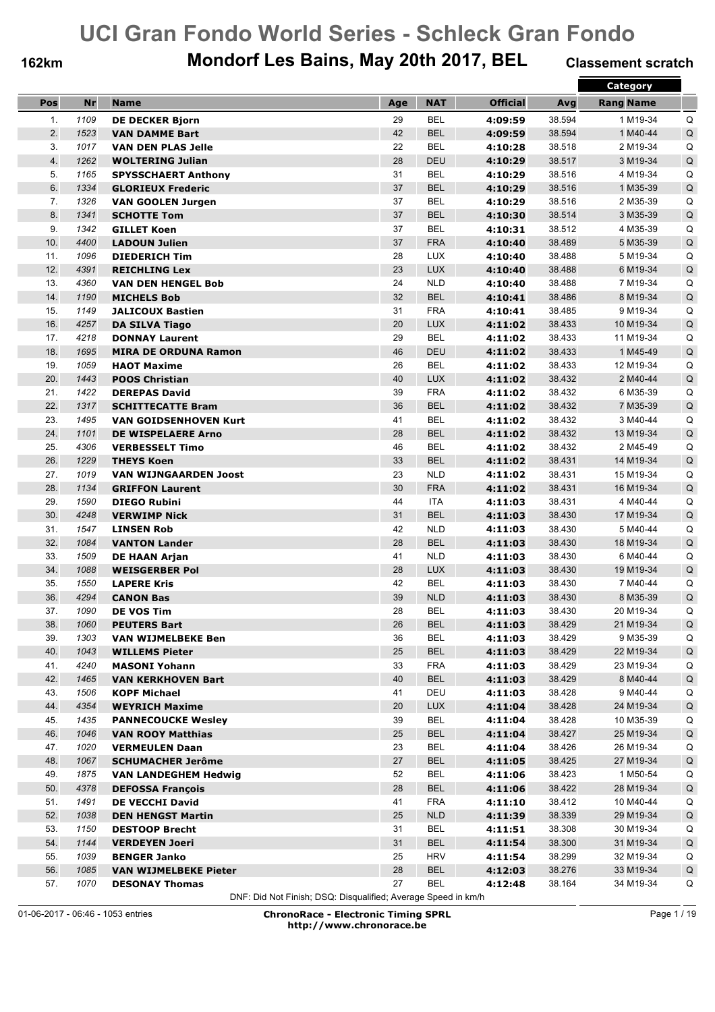## **162km Mondorf Les Bains, May 20th 2017, BEL Classement scratch**

|     |           |                              |     |            |                 |        | <b>Category</b>  |             |
|-----|-----------|------------------------------|-----|------------|-----------------|--------|------------------|-------------|
| Pos | <b>Nr</b> | <b>Name</b>                  | Age | <b>NAT</b> | <b>Official</b> | Avg    | <b>Rang Name</b> |             |
| 1.  | 1109      | <b>DE DECKER Biorn</b>       | 29  | <b>BEL</b> | 4:09:59         | 38.594 | 1 M19-34         | Q           |
| 2.  | 1523      | <b>VAN DAMME Bart</b>        | 42  | <b>BEL</b> | 4:09:59         | 38.594 | 1 M40-44         | Q           |
| 3.  | 1017      | <b>VAN DEN PLAS Jelle</b>    | 22  | <b>BEL</b> | 4:10:28         | 38.518 | 2 M19-34         | Q           |
| 4.  | 1262      | <b>WOLTERING Julian</b>      | 28  | <b>DEU</b> | 4:10:29         | 38.517 | 3 M19-34         | Q           |
| 5.  | 1165      | <b>SPYSSCHAERT Anthony</b>   | 31  | <b>BEL</b> | 4:10:29         | 38.516 | 4 M19-34         | Q           |
| 6.  | 1334      | <b>GLORIEUX Frederic</b>     | 37  | <b>BEL</b> | 4:10:29         | 38.516 | 1 M35-39         | Q           |
| 7.  | 1326      | <b>VAN GOOLEN Jurgen</b>     | 37  | <b>BEL</b> | 4:10:29         | 38.516 | 2 M35-39         | Q           |
| 8.  | 1341      | <b>SCHOTTE Tom</b>           | 37  | <b>BEL</b> | 4:10:30         | 38.514 | 3 M35-39         | $\sf Q$     |
| 9.  | 1342      | <b>GILLET Koen</b>           | 37  | <b>BEL</b> | 4:10:31         | 38.512 | 4 M35-39         | Q           |
| 10. | 4400      | <b>LADOUN Julien</b>         | 37  | <b>FRA</b> | 4:10:40         | 38.489 | 5 M35-39         | Q           |
| 11. | 1096      | <b>DIEDERICH Tim</b>         | 28  | <b>LUX</b> | 4:10:40         | 38.488 | 5 M19-34         | Q           |
| 12. | 4391      | <b>REICHLING Lex</b>         | 23  | <b>LUX</b> | 4:10:40         | 38.488 | 6 M19-34         | $\mathsf Q$ |
| 13. | 4360      | <b>VAN DEN HENGEL Bob</b>    | 24  | <b>NLD</b> | 4:10:40         | 38.488 | 7 M19-34         | Q           |
| 14. | 1190      | <b>MICHELS Bob</b>           | 32  | <b>BEL</b> | 4:10:41         | 38.486 | 8 M19-34         | Q           |
| 15. | 1149      | <b>JALICOUX Bastien</b>      | 31  | <b>FRA</b> | 4:10:41         | 38.485 | 9 M19-34         | Q           |
| 16. | 4257      | <b>DA SILVA Tiago</b>        | 20  | <b>LUX</b> | 4:11:02         | 38.433 | 10 M19-34        | Q           |
| 17. | 4218      | <b>DONNAY Laurent</b>        | 29  | <b>BEL</b> | 4:11:02         | 38.433 | 11 M19-34        | Q           |
| 18. | 1695      | <b>MIRA DE ORDUNA Ramon</b>  | 46  | DEU        | 4:11:02         | 38.433 | 1 M45-49         | $\mathsf Q$ |
| 19. | 1059      | <b>HAOT Maxime</b>           | 26  | <b>BEL</b> | 4:11:02         | 38.433 | 12 M19-34        | Q           |
| 20. | 1443      | <b>POOS Christian</b>        | 40  | <b>LUX</b> | 4:11:02         | 38.432 | 2 M40-44         | Q           |
| 21. | 1422      | <b>DEREPAS David</b>         | 39  | <b>FRA</b> | 4:11:02         | 38.432 | 6 M35-39         | Q           |
| 22. | 1317      | <b>SCHITTECATTE Bram</b>     | 36  | <b>BEL</b> | 4:11:02         | 38.432 | 7 M35-39         | Q           |
| 23. | 1495      | <b>VAN GOIDSENHOVEN Kurt</b> | 41  | <b>BEL</b> | 4:11:02         | 38.432 | 3 M40-44         | Q           |
| 24. | 1101      | <b>DE WISPELAERE Arno</b>    | 28  | <b>BEL</b> | 4:11:02         | 38.432 | 13 M19-34        | $\mathsf Q$ |
| 25. | 4306      | <b>VERBESSELT Timo</b>       | 46  | <b>BEL</b> | 4:11:02         | 38.432 | 2 M45-49         | Q           |
| 26. | 1229      | <b>THEYS Koen</b>            | 33  | <b>BEL</b> | 4:11:02         | 38.431 | 14 M19-34        | Q           |
| 27. | 1019      | <b>VAN WIJNGAARDEN Joost</b> | 23  | <b>NLD</b> | 4:11:02         | 38.431 | 15 M19-34        | Q           |
| 28. | 1134      | <b>GRIFFON Laurent</b>       | 30  | <b>FRA</b> | 4:11:02         | 38.431 | 16 M19-34        | Q           |
| 29. | 1590      | <b>DIEGO Rubini</b>          | 44  | <b>ITA</b> | 4:11:03         | 38.431 | 4 M40-44         | Q           |
| 30. | 4248      | <b>VERWIMP Nick</b>          | 31  | <b>BEL</b> | 4:11:03         | 38.430 | 17 M19-34        | Q           |
| 31. | 1547      | <b>LINSEN Rob</b>            | 42  | <b>NLD</b> | 4:11:03         | 38.430 | 5 M40-44         | Q           |
| 32. | 1084      | <b>VANTON Lander</b>         | 28  | <b>BEL</b> | 4:11:03         | 38.430 | 18 M19-34        | Q           |
| 33. | 1509      | <b>DE HAAN Arjan</b>         | 41  | <b>NLD</b> | 4:11:03         | 38.430 | 6 M40-44         | Q           |
| 34. | 1088      | <b>WEISGERBER Pol</b>        | 28  | <b>LUX</b> | 4:11:03         | 38.430 | 19 M19-34        | Q           |
| 35. | 1550      | <b>LAPERE Kris</b>           | 42  | <b>BEL</b> | 4:11:03         | 38.430 | 7 M40-44         | Q           |
| 36. | 4294      | <b>CANON Bas</b>             | 39  | <b>NLD</b> | 4:11:03         | 38.430 | 8 M35-39         | Q           |
| 37. | 1090      | <b>DE VOS Tim</b>            | 28  | <b>BEL</b> | 4:11:03         | 38.430 | 20 M19-34        | Q           |
| 38. | 1060      | <b>PEUTERS Bart</b>          | 26  | <b>BEL</b> | 4:11:03         | 38.429 | 21 M19-34        | Q           |
| 39. | 1303      | <b>VAN WIJMELBEKE Ben</b>    | 36  | <b>BEL</b> | 4:11:03         | 38.429 | 9 M35-39         | Q           |
| 40. | 1043      | <b>WILLEMS Pieter</b>        | 25  | <b>BEL</b> | 4:11:03         | 38.429 | 22 M19-34        | $\sf Q$     |
| 41. | 4240      | <b>MASONI Yohann</b>         | 33  | <b>FRA</b> | 4:11:03         | 38.429 | 23 M19-34        | Q           |
| 42. | 1465      | <b>VAN KERKHOVEN Bart</b>    | 40  | <b>BEL</b> | 4:11:03         | 38.429 | 8 M40-44         | $\mathsf Q$ |
| 43. | 1506      | <b>KOPF Michael</b>          | 41  | DEU        | 4:11:03         | 38.428 | 9 M40-44         | Q           |
| 44. | 4354      | <b>WEYRICH Maxime</b>        | 20  | <b>LUX</b> | 4:11:04         | 38.428 | 24 M19-34        | $\sf Q$     |
| 45. | 1435      | <b>PANNECOUCKE Wesley</b>    | 39  | <b>BEL</b> | 4:11:04         | 38.428 | 10 M35-39        | Q           |
| 46. | 1046      | <b>VAN ROOY Matthias</b>     | 25  | <b>BEL</b> | 4:11:04         | 38.427 | 25 M19-34        | $\mathsf Q$ |
| 47. | 1020      | <b>VERMEULEN Daan</b>        | 23  | <b>BEL</b> | 4:11:04         | 38.426 | 26 M19-34        | Q           |
| 48. | 1067      | <b>SCHUMACHER Jerôme</b>     | 27  | <b>BEL</b> | 4:11:05         | 38.425 | 27 M19-34        | $\mathsf Q$ |
| 49. | 1875      | <b>VAN LANDEGHEM Hedwig</b>  | 52  | <b>BEL</b> | 4:11:06         | 38.423 | 1 M50-54         | Q           |
| 50. | 4378      | <b>DEFOSSA François</b>      | 28  | <b>BEL</b> | 4:11:06         | 38.422 | 28 M19-34        | $\mathsf Q$ |
| 51. | 1491      | <b>DE VECCHI David</b>       | 41  | <b>FRA</b> | 4:11:10         | 38.412 | 10 M40-44        | Q           |
| 52. | 1038      | <b>DEN HENGST Martin</b>     | 25  | NLD        | 4:11:39         | 38.339 | 29 M19-34        | $\mathsf Q$ |
| 53. | 1150      | <b>DESTOOP Brecht</b>        | 31  | <b>BEL</b> | 4:11:51         | 38.308 | 30 M19-34        | Q           |
| 54. | 1144      | <b>VERDEYEN Joeri</b>        | 31  | <b>BEL</b> | 4:11:54         | 38.300 | 31 M19-34        | Q           |
| 55. | 1039      | <b>BENGER Janko</b>          | 25  | <b>HRV</b> | 4:11:54         | 38.299 | 32 M19-34        | Q           |
| 56. | 1085      |                              | 28  | <b>BEL</b> |                 | 38.276 | 33 M19-34        | $\sf Q$     |
| 57. |           | <b>VAN WIJMELBEKE Pieter</b> | 27  |            | 4:12:03         |        |                  |             |
|     | 1070      | <b>DESONAY Thomas</b>        |     | <b>BEL</b> | 4:12:48         | 38.164 | 34 M19-34        | Q           |

DNF: Did Not Finish; DSQ: Disqualified; Average Speed in km/h

01-06-2017 - 06:46 - 1053 entries **ChronoRace - Electronic Timing SPRL http://www.chronorace.be**

Page 1 / 19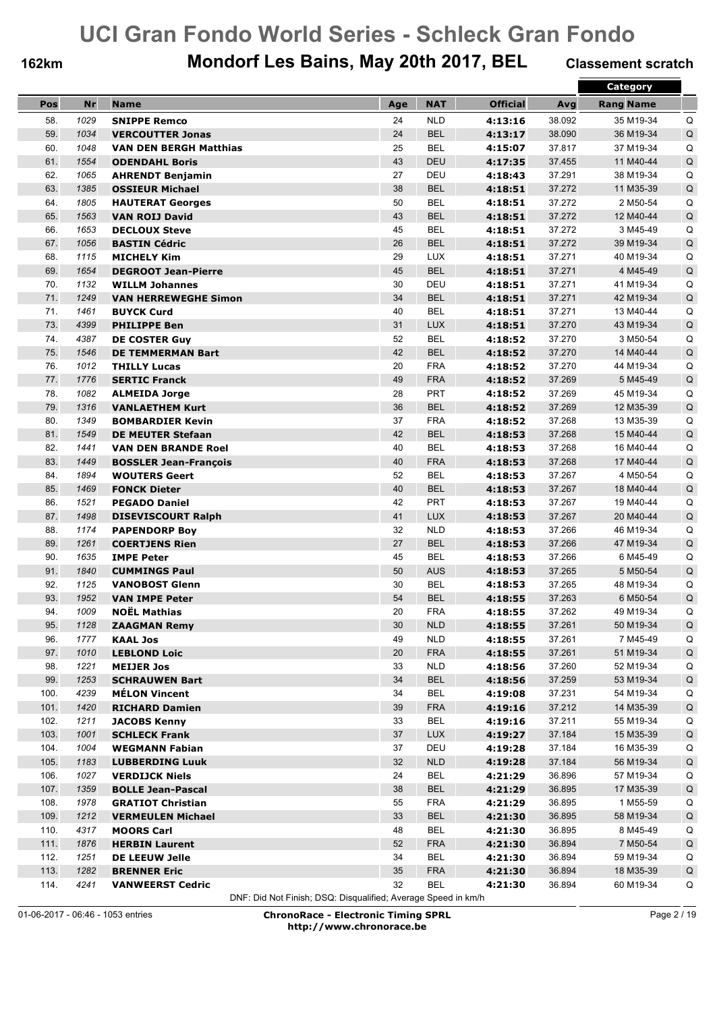## **162km Mondorf Les Bains, May 20th 2017, BEL Classement scratch**

|      |           |                               |        |            |                 |        | <b>Category</b>  |             |
|------|-----------|-------------------------------|--------|------------|-----------------|--------|------------------|-------------|
| Pos  | <b>Nr</b> | <b>Name</b>                   | Age    | <b>NAT</b> | <b>Official</b> | Avg    | <b>Rang Name</b> |             |
| 58.  | 1029      | <b>SNIPPE Remco</b>           | 24     | <b>NLD</b> | 4:13:16         | 38.092 | 35 M19-34        | Q           |
| 59.  | 1034      | <b>VERCOUTTER Jonas</b>       | 24     | <b>BEL</b> | 4:13:17         | 38.090 | 36 M19-34        | Q           |
| 60.  | 1048      | <b>VAN DEN BERGH Matthias</b> | 25     | <b>BEL</b> | 4:15:07         | 37.817 | 37 M19-34        | Q           |
| 61.  | 1554      | <b>ODENDAHL Boris</b>         | 43     | <b>DEU</b> | 4:17:35         | 37.455 | 11 M40-44        | Q           |
| 62.  | 1065      | <b>AHRENDT Benjamin</b>       | 27     | DEU        | 4:18:43         | 37.291 | 38 M19-34        | Q           |
| 63.  | 1385      | <b>OSSIEUR Michael</b>        | 38     | <b>BEL</b> | 4:18:51         | 37.272 | 11 M35-39        | Q           |
| 64.  | 1805      | <b>HAUTERAT Georges</b>       | 50     | <b>BEL</b> | 4:18:51         | 37.272 | 2 M50-54         | Q           |
| 65.  | 1563      | <b>VAN ROIJ David</b>         | 43     | <b>BEL</b> | 4:18:51         | 37.272 | 12 M40-44        | $\sf Q$     |
| 66.  | 1653      | <b>DECLOUX Steve</b>          | 45     | <b>BEL</b> | 4:18:51         | 37.272 | 3 M45-49         | Q           |
| 67.  | 1056      | <b>BASTIN Cédric</b>          | 26     | <b>BEL</b> | 4:18:51         | 37.272 | 39 M19-34        | Q           |
| 68.  | 1115      | <b>MICHELY Kim</b>            | 29     | <b>LUX</b> | 4:18:51         | 37.271 | 40 M19-34        | Q           |
| 69.  | 1654      | <b>DEGROOT Jean-Pierre</b>    | 45     | <b>BEL</b> | 4:18:51         | 37.271 | 4 M45-49         | Q           |
| 70.  | 1132      | <b>WILLM Johannes</b>         | 30     | DEU        | 4:18:51         | 37.271 | 41 M19-34        | Q           |
| 71.  | 1249      | <b>VAN HERREWEGHE Simon</b>   | 34     | <b>BEL</b> | 4:18:51         | 37.271 | 42 M19-34        | $\sf Q$     |
| 71.  | 1461      | <b>BUYCK Curd</b>             | 40     | <b>BEL</b> | 4:18:51         | 37.271 | 13 M40-44        | Q           |
| 73.  | 4399      | <b>PHILIPPE Ben</b>           | 31     | <b>LUX</b> | 4:18:51         | 37.270 | 43 M19-34        | Q           |
| 74.  | 4387      | <b>DE COSTER Guy</b>          | 52     | <b>BEL</b> | 4:18:52         | 37.270 | 3 M50-54         | Q           |
| 75.  | 1546      | <b>DE TEMMERMAN Bart</b>      | 42     | <b>BEL</b> | 4:18:52         | 37.270 | 14 M40-44        | $\sf Q$     |
| 76.  | 1012      | <b>THILLY Lucas</b>           | 20     | <b>FRA</b> | 4:18:52         | 37.270 | 44 M19-34        | Q           |
| 77.  | 1776      | <b>SERTIC Franck</b>          | 49     | <b>FRA</b> | 4:18:52         | 37.269 | 5 M45-49         | Q           |
| 78.  | 1082      | <b>ALMEIDA Jorge</b>          | 28     | <b>PRT</b> | 4:18:52         | 37.269 | 45 M19-34        | Q           |
| 79.  | 1316      | <b>VANLAETHEM Kurt</b>        | 36     | <b>BEL</b> | 4:18:52         | 37.269 | 12 M35-39        | Q           |
| 80.  | 1349      | <b>BOMBARDIER Kevin</b>       | 37     | <b>FRA</b> | 4:18:52         | 37.268 | 13 M35-39        | Q           |
| 81.  | 1549      | <b>DE MEUTER Stefaan</b>      | 42     | <b>BEL</b> | 4:18:53         | 37.268 | 15 M40-44        | Q           |
| 82.  | 1441      | <b>VAN DEN BRANDE Roel</b>    | 40     | <b>BEL</b> | 4:18:53         | 37.268 | 16 M40-44        | Q           |
| 83.  | 1449      | <b>BOSSLER Jean-François</b>  | 40     | <b>FRA</b> | 4:18:53         | 37.268 | 17 M40-44        | $\sf Q$     |
| 84.  | 1894      | <b>WOUTERS Geert</b>          | 52     | <b>BEL</b> | 4:18:53         | 37.267 | 4 M50-54         | Q           |
| 85.  | 1469      | <b>FONCK Dieter</b>           | 40     | <b>BEL</b> | 4:18:53         | 37.267 | 18 M40-44        | Q           |
| 86.  | 1521      | <b>PEGADO Daniel</b>          | 42     | PRT        | 4:18:53         | 37.267 | 19 M40-44        | Q           |
| 87.  | 1498      | <b>DISEVISCOURT Ralph</b>     | 41     | <b>LUX</b> | 4:18:53         | 37.267 | 20 M40-44        | Q           |
| 88.  | 1174      | <b>PAPENDORP Boy</b>          | 32     | <b>NLD</b> | 4:18:53         | 37.266 | 46 M19-34        | Q           |
| 89.  | 1261      | <b>COERTJENS Rien</b>         | 27     | <b>BEL</b> | 4:18:53         | 37.266 | 47 M19-34        | Q           |
| 90.  | 1635      | <b>IMPE Peter</b>             | 45     | <b>BEL</b> | 4:18:53         | 37.266 | 6 M45-49         | Q           |
| 91.  | 1840      | <b>CUMMINGS Paul</b>          | 50     | <b>AUS</b> | 4:18:53         | 37.265 | 5 M50-54         | Q           |
| 92.  | 1125      | <b>VANOBOST Glenn</b>         | 30     | <b>BEL</b> | 4:18:53         | 37.265 | 48 M19-34        | Q           |
| 93.  | 1952      | <b>VAN IMPE Peter</b>         | 54     | <b>BEL</b> | 4:18:55         | 37.263 | 6 M50-54         | Q           |
| 94.  | 1009      | <b>NOËL Mathias</b>           | 20     | <b>FRA</b> | 4:18:55         | 37.262 | 49 M19-34        | Q           |
| 95.  | 1128      | <b>ZAAGMAN Remy</b>           | $30\,$ | <b>NLD</b> | 4:18:55         | 37.261 | 50 M19-34        | $\sf Q$     |
| 96.  | 1777      | <b>KAAL Jos</b>               | 49     | <b>NLD</b> | 4:18:55         | 37.261 | 7 M45-49         | Q           |
| 97.  | 1010      | <b>LEBLOND Loic</b>           | 20     | <b>FRA</b> | 4:18:55         | 37.261 | 51 M19-34        | $\mathsf Q$ |
| 98.  | 1221      | <b>MEIJER Jos</b>             | 33     | <b>NLD</b> | 4:18:56         | 37.260 | 52 M19-34        | Q           |
| 99.  | 1253      | <b>SCHRAUWEN Bart</b>         | 34     | <b>BEL</b> | 4:18:56         | 37.259 | 53 M19-34        | $\mathsf Q$ |
| 100. | 4239      | <b>MÉLON Vincent</b>          | 34     | <b>BEL</b> | 4:19:08         | 37.231 | 54 M19-34        | Q           |
| 101. | 1420      | <b>RICHARD Damien</b>         | 39     | <b>FRA</b> | 4:19:16         | 37.212 | 14 M35-39        | Q           |
| 102. | 1211      | <b>JACOBS Kenny</b>           | 33     | BEL        | 4:19:16         | 37.211 | 55 M19-34        | Q           |
| 103. | 1001      | <b>SCHLECK Frank</b>          | 37     | LUX        | 4:19:27         | 37.184 | 15 M35-39        | $\mathsf Q$ |
| 104. | 1004      | <b>WEGMANN Fabian</b>         | 37     | DEU        | 4:19:28         | 37.184 | 16 M35-39        | Q           |
| 105. | 1183      | <b>LUBBERDING Luuk</b>        | 32     | <b>NLD</b> | 4:19:28         | 37.184 | 56 M19-34        | $\mathsf Q$ |
| 106. | 1027      | <b>VERDIJCK Niels</b>         | 24     | <b>BEL</b> | 4:21:29         | 36.896 | 57 M19-34        | Q           |
| 107. | 1359      | <b>BOLLE Jean-Pascal</b>      | 38     | <b>BEL</b> | 4:21:29         | 36.895 | 17 M35-39        | $\mathsf Q$ |
| 108. | 1978      | <b>GRATIOT Christian</b>      | 55     | <b>FRA</b> | 4:21:29         | 36.895 | 1 M55-59         | Q           |
| 109. | 1212      | <b>VERMEULEN Michael</b>      | 33     | <b>BEL</b> | 4:21:30         | 36.895 | 58 M19-34        | $\mathsf Q$ |
| 110. | 4317      | <b>MOORS Carl</b>             | 48     | <b>BEL</b> | 4:21:30         | 36.895 | 8 M45-49         | Q           |
| 111. | 1876      | <b>HERBIN Laurent</b>         | 52     | <b>FRA</b> | 4:21:30         | 36.894 | 7 M50-54         | $\mathsf Q$ |
| 112. | 1251      | <b>DE LEEUW Jelle</b>         | 34     | <b>BEL</b> | 4:21:30         | 36.894 | 59 M19-34        | Q           |
| 113. | 1282      | <b>BRENNER Eric</b>           | 35     | <b>FRA</b> | 4:21:30         | 36.894 | 18 M35-39        | $\mathsf Q$ |
| 114. | 4241      | <b>VANWEERST Cedric</b>       | 32     | <b>BEL</b> | 4:21:30         | 36.894 | 60 M19-34        | Q           |

DNF: Did Not Finish; DSQ: Disqualified; Average Speed in km/h

01-06-2017 - 06:46 - 1053 entries **ChronoRace - Electronic Timing SPRL http://www.chronorace.be**

Page 2 / 19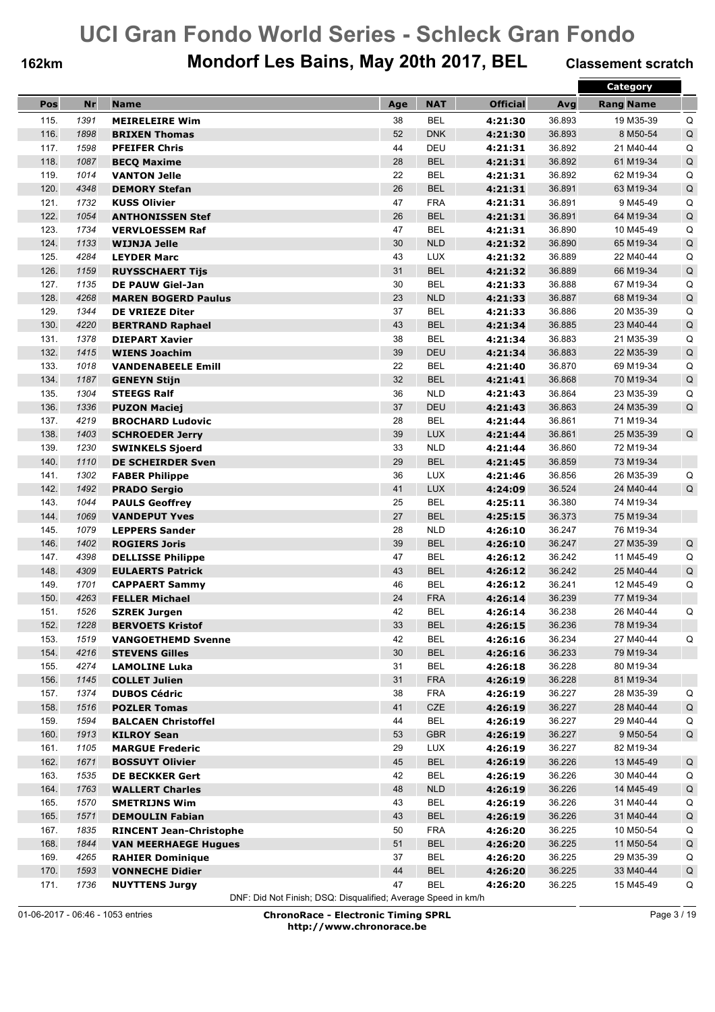## **162km Mondorf Les Bains, May 20th 2017, BEL Classement scratch**

|              |              |                                               |          |                          |                    |                  | Category               |             |
|--------------|--------------|-----------------------------------------------|----------|--------------------------|--------------------|------------------|------------------------|-------------|
| Pos          | Nr           | <b>Name</b>                                   | Age      | <b>NAT</b>               | <b>Official</b>    | Avg              | <b>Rang Name</b>       |             |
| 115.         | 1391         | <b>MEIRELEIRE Wim</b>                         | 38       | <b>BEL</b>               | 4:21:30            | 36.893           | 19 M35-39              | Q           |
| 116.         | 1898         | <b>BRIXEN Thomas</b>                          | 52       | <b>DNK</b>               | 4:21:30            | 36.893           | 8 M50-54               | $\mathsf Q$ |
| 117.         | 1598         | <b>PFEIFER Chris</b>                          | 44       | DEU                      | 4:21:31            | 36.892           | 21 M40-44              | Q           |
| 118.         | 1087         | <b>BECQ Maxime</b>                            | 28       | <b>BEL</b>               | 4:21:31            | 36.892           | 61 M19-34              | $\mathsf Q$ |
| 119.         | 1014         | <b>VANTON Jelle</b>                           | 22       | <b>BEL</b>               | 4:21:31            | 36.892           | 62 M19-34              | Q           |
| 120.         | 4348         | <b>DEMORY Stefan</b>                          | 26       | <b>BEL</b>               | 4:21:31            | 36.891           | 63 M19-34              | Q           |
| 121.         | 1732         | <b>KUSS Olivier</b>                           | 47       | <b>FRA</b>               | 4:21:31            | 36.891           | 9 M45-49               | Q           |
| 122.         | 1054         | <b>ANTHONISSEN Stef</b>                       | 26       | <b>BEL</b>               | 4:21:31            | 36.891           | 64 M19-34              | Q           |
| 123.         | 1734         | <b>VERVLOESSEM Raf</b>                        | 47       | <b>BEL</b>               | 4:21:31            | 36.890           | 10 M45-49              | Q           |
| 124.         | 1133         | <b>WIJNJA Jelle</b>                           | 30       | <b>NLD</b>               | 4:21:32            | 36.890           | 65 M19-34              | Q           |
| 125.         | 4284         | <b>LEYDER Marc</b>                            | 43       | <b>LUX</b>               | 4:21:32            | 36.889           | 22 M40-44              | Q           |
| 126.         | 1159         | <b>RUYSSCHAERT Tijs</b>                       | 31       | <b>BEL</b>               | 4:21:32            | 36.889           | 66 M19-34              | Q           |
| 127.         | 1135         | <b>DE PAUW Giel-Jan</b>                       | 30       | <b>BEL</b>               | 4:21:33            | 36.888           | 67 M19-34              | Q           |
| 128.         | 4268         | <b>MAREN BOGERD Paulus</b>                    | 23       | <b>NLD</b>               | 4:21:33            | 36.887           | 68 M19-34              | Q           |
| 129.         | 1344         | <b>DE VRIEZE Diter</b>                        | 37       | <b>BEL</b>               | 4:21:33            | 36.886           | 20 M35-39              | Q           |
| 130.         | 4220         | <b>BERTRAND Raphael</b>                       | 43       | <b>BEL</b>               | 4:21:34            | 36.885           | 23 M40-44              | $\mathsf Q$ |
| 131.         | 1378         | <b>DIEPART Xavier</b>                         | 38       | <b>BEL</b>               | 4:21:34            | 36.883           | 21 M35-39              | Q           |
| 132.         | 1415         | <b>WIENS Joachim</b>                          | 39       | <b>DEU</b>               | 4:21:34            | 36.883           | 22 M35-39              | $\mathsf Q$ |
| 133.         | 1018         | <b>VANDENABEELE Emill</b>                     | 22       | <b>BEL</b>               | 4:21:40            | 36.870           | 69 M19-34              | Q           |
| 134.         | 1187         | <b>GENEYN Stijn</b>                           | 32       | <b>BEL</b>               | 4:21:41            | 36.868           | 70 M19-34              | Q           |
| 135.         | 1304         | <b>STEEGS Ralf</b>                            | 36       | <b>NLD</b>               | 4:21:43            | 36.864           | 23 M35-39              | Q           |
| 136.         | 1336         | <b>PUZON Maciej</b>                           | 37       | DEU                      | 4:21:43            | 36.863           | 24 M35-39              | Q           |
| 137.         | 4219         | <b>BROCHARD Ludovic</b>                       | 28       | <b>BEL</b>               | 4:21:44            | 36.861           | 71 M19-34              |             |
| 138.         | 1403         | <b>SCHROEDER Jerry</b>                        | 39       | <b>LUX</b>               | 4:21:44            | 36.861           | 25 M35-39              | Q           |
| 139.         | 1230         | <b>SWINKELS Sjoerd</b>                        | 33       | <b>NLD</b>               | 4:21:44            | 36.860           | 72 M19-34              |             |
| 140.         | 1110         | <b>DE SCHEIRDER Sven</b>                      | 29       | <b>BEL</b>               | 4:21:45            | 36.859           | 73 M19-34              |             |
| 141.         | 1302         | <b>FABER Philippe</b>                         | 36       | <b>LUX</b>               | 4:21:46            | 36.856           | 26 M35-39              | Q           |
| 142.         | 1492         | <b>PRADO Sergio</b>                           | 41       | <b>LUX</b>               | 4:24:09            | 36.524           | 24 M40-44              | Q           |
| 143.         | 1044         | <b>PAULS Geoffrey</b>                         | 25       | <b>BEL</b>               | 4:25:11            | 36.380           | 74 M19-34              |             |
| 144.         | 1069         | <b>VANDEPUT Yves</b>                          | 27       | <b>BEL</b>               | 4:25:15            | 36.373           | 75 M19-34              |             |
| 145.         | 1079         | <b>LEPPERS Sander</b>                         | 28       | <b>NLD</b>               | 4:26:10            | 36.247           | 76 M19-34              |             |
| 146.         | 1402         | <b>ROGIERS Joris</b>                          | 39       | <b>BEL</b>               | 4:26:10            | 36.247           | 27 M35-39              | $\sf Q$     |
| 147.         | 4398         | <b>DELLISSE Philippe</b>                      | 47       | <b>BEL</b>               | 4:26:12            | 36.242           | 11 M45-49              | Q           |
| 148.         | 4309         | <b>EULAERTS Patrick</b>                       | 43       | <b>BEL</b>               | 4:26:12            | 36.242           | 25 M40-44              | Q           |
| 149.         | 1701         | <b>CAPPAERT Sammy</b>                         | 46       | <b>BEL</b>               | 4:26:12            | 36.241           | 12 M45-49              | Q           |
| 150.         | 4263         | <b>FELLER Michael</b>                         | 24       | <b>FRA</b>               | 4:26:14            | 36.239           | 77 M19-34              |             |
| 151.         | 1526         | <b>SZREK Jurgen</b>                           | 42       | <b>BEL</b>               | 4:26:14            | 36.238           | 26 M40-44              | Q           |
| 152.         | 1228         | <b>BERVOETS Kristof</b>                       | 33       | <b>BEL</b>               | 4:26:15            | 36.236           | 78 M19-34              |             |
| 153.         | 1519         | <b>VANGOETHEMD Svenne</b>                     | 42       | <b>BEL</b>               | 4:26:16            | 36.234           | 27 M40-44              | Q           |
| 154.         | 4216<br>4274 | <b>STEVENS Gilles</b><br><b>LAMOLINE Luka</b> | 30       | <b>BEL</b><br><b>BEL</b> | 4:26:16            | 36.233           | 79 M19-34<br>80 M19-34 |             |
| 155.<br>156. | 1145         |                                               | 31<br>31 | <b>FRA</b>               | 4:26:18<br>4:26:19 | 36.228<br>36.228 | 81 M19-34              |             |
| 157.         | 1374         | <b>COLLET Julien</b><br><b>DUBOS Cédric</b>   | 38       | <b>FRA</b>               | 4:26:19            | 36.227           | 28 M35-39              | Q           |
| 158.         | 1516         | <b>POZLER Tomas</b>                           | 41       | CZE                      | 4:26:19            | 36.227           | 28 M40-44              | $\mathsf Q$ |
| 159.         | 1594         | <b>BALCAEN Christoffel</b>                    | 44       | <b>BEL</b>               | 4:26:19            | 36.227           | 29 M40-44              | Q           |
| 160.         | 1913         | <b>KILROY Sean</b>                            | 53       | <b>GBR</b>               | 4:26:19            | 36.227           | 9 M50-54               | $\sf Q$     |
| 161.         | 1105         | <b>MARGUE Frederic</b>                        | 29       | <b>LUX</b>               | 4:26:19            | 36.227           | 82 M19-34              |             |
| 162.         | 1671         | <b>BOSSUYT Olivier</b>                        | 45       | <b>BEL</b>               | 4:26:19            | 36.226           | 13 M45-49              | Q           |
| 163.         | 1535         | <b>DE BECKKER Gert</b>                        | 42       | <b>BEL</b>               | 4:26:19            | 36.226           | 30 M40-44              | Q           |
| 164.         | 1763         | <b>WALLERT Charles</b>                        | 48       | <b>NLD</b>               | 4:26:19            | 36.226           | 14 M45-49              | $\sf Q$     |
| 165.         | 1570         | <b>SMETRIJNS Wim</b>                          | 43       | <b>BEL</b>               | 4:26:19            | 36.226           | 31 M40-44              | Q           |
| 165.         | 1571         | <b>DEMOULIN Fabian</b>                        | 43       | <b>BEL</b>               | 4:26:19            | 36.226           | 31 M40-44              | Q           |
| 167.         | 1835         | <b>RINCENT Jean-Christophe</b>                | 50       | <b>FRA</b>               | 4:26:20            | 36.225           | 10 M50-54              | Q           |
| 168.         | 1844         | <b>VAN MEERHAEGE Hugues</b>                   | 51       | <b>BEL</b>               | 4:26:20            | 36.225           | 11 M50-54              | $\mathsf Q$ |
| 169.         | 4265         | <b>RAHIER Dominique</b>                       | 37       | BEL                      | 4:26:20            | 36.225           | 29 M35-39              | Q           |
| 170.         | 1593         | <b>VONNECHE Didier</b>                        | 44       | <b>BEL</b>               | 4:26:20            | 36.225           | 33 M40-44              | $\sf Q$     |
| 171.         | 1736         | <b>NUYTTENS Jurgy</b>                         | 47       | <b>BEL</b>               | 4:26:20            | 36.225           | 15 M45-49              | Q           |

DNF: Did Not Finish; DSQ: Disqualified; Average Speed in km/h

01-06-2017 - 06:46 - 1053 entries **ChronoRace - Electronic Timing SPRL http://www.chronorace.be**

Page 3 / 19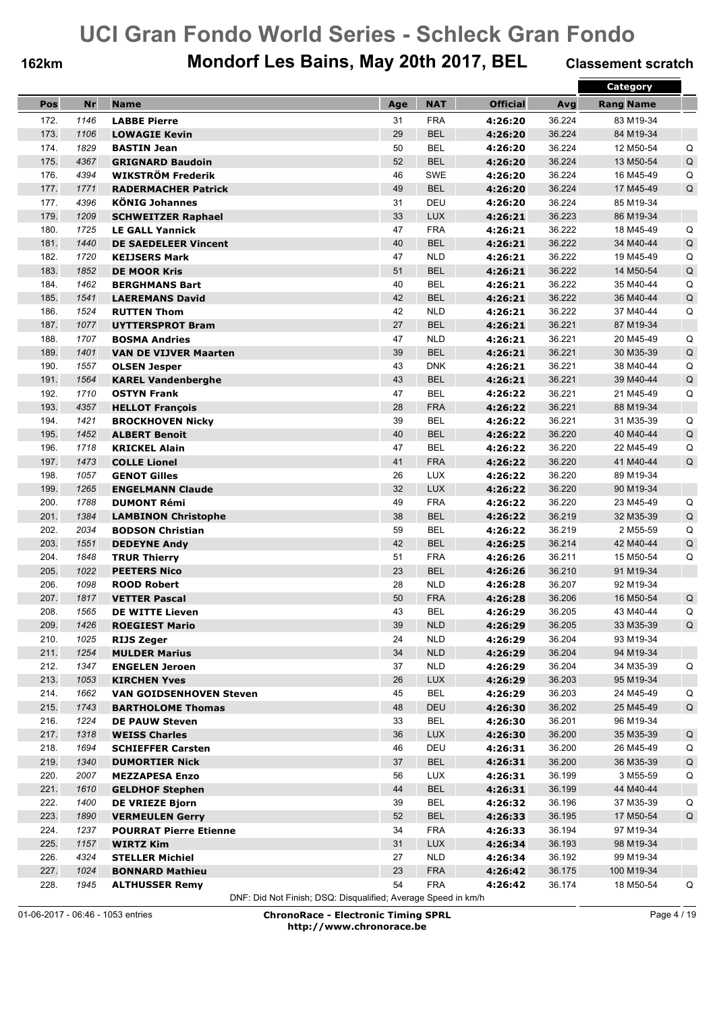## **162km Mondorf Les Bains, May 20th 2017, BEL Classement scratch**

|              |      |                                |     |                          |                 |        | Category               |             |
|--------------|------|--------------------------------|-----|--------------------------|-----------------|--------|------------------------|-------------|
| Pos          | Nr   | <b>Name</b>                    | Age | <b>NAT</b>               | <b>Official</b> | Avg    | <b>Rang Name</b>       |             |
| 172.         | 1146 | <b>LABBE Pierre</b>            | 31  | <b>FRA</b>               | 4:26:20         | 36.224 | 83 M19-34              |             |
| 173.         | 1106 | <b>LOWAGIE Kevin</b>           | 29  | <b>BEL</b>               | 4:26:20         | 36.224 | 84 M19-34              |             |
| 174.         | 1829 | <b>BASTIN Jean</b>             | 50  | <b>BEL</b>               | 4:26:20         | 36.224 | 12 M50-54              | Q           |
| 175.         | 4367 | <b>GRIGNARD Baudoin</b>        | 52  | <b>BEL</b>               | 4:26:20         | 36.224 | 13 M50-54              | $\sf Q$     |
| 176.         | 4394 | WIKSTRÖM Frederik              | 46  | <b>SWE</b>               | 4:26:20         | 36.224 | 16 M45-49              | Q           |
| 177.         | 1771 | <b>RADERMACHER Patrick</b>     | 49  | <b>BEL</b>               | 4:26:20         | 36.224 | 17 M45-49              | Q           |
| 177.         | 4396 | <b>KÖNIG Johannes</b>          | 31  | DEU                      | 4:26:20         | 36.224 | 85 M19-34              |             |
| 179.         | 1209 | <b>SCHWEITZER Raphael</b>      | 33  | <b>LUX</b>               | 4:26:21         | 36.223 | 86 M19-34              |             |
| 180.         | 1725 | <b>LE GALL Yannick</b>         | 47  | <b>FRA</b>               | 4:26:21         | 36.222 | 18 M45-49              | Q           |
| 181.         | 1440 | <b>DE SAEDELEER Vincent</b>    | 40  | <b>BEL</b>               | 4:26:21         | 36.222 | 34 M40-44              | Q           |
| 182.         | 1720 | <b>KEIJSERS Mark</b>           | 47  | <b>NLD</b>               | 4:26:21         | 36.222 | 19 M45-49              | Q           |
| 183.         | 1852 | <b>DE MOOR Kris</b>            | 51  | <b>BEL</b>               | 4:26:21         | 36.222 | 14 M50-54              | Q           |
| 184.         | 1462 | <b>BERGHMANS Bart</b>          | 40  | <b>BEL</b>               | 4:26:21         | 36.222 | 35 M40-44              | Q           |
| 185.         | 1541 | <b>LAEREMANS David</b>         | 42  | <b>BEL</b>               | 4:26:21         | 36.222 | 36 M40-44              | Q           |
| 186.         | 1524 | <b>RUTTEN Thom</b>             | 42  | <b>NLD</b>               | 4:26:21         | 36.222 | 37 M40-44              | Q           |
| 187.         | 1077 | <b>UYTTERSPROT Bram</b>        | 27  | <b>BEL</b>               | 4:26:21         | 36.221 | 87 M19-34              |             |
| 188.         | 1707 | <b>BOSMA Andries</b>           | 47  | <b>NLD</b>               | 4:26:21         | 36.221 | 20 M45-49              | Q           |
| 189.         | 1401 | <b>VAN DE VIJVER Maarten</b>   | 39  | <b>BEL</b>               | 4:26:21         | 36.221 | 30 M35-39              | $\sf Q$     |
| 190.         | 1557 | <b>OLSEN Jesper</b>            | 43  | <b>DNK</b>               | 4:26:21         | 36.221 | 38 M40-44              | Q           |
| 191.         | 1564 | <b>KAREL Vandenberghe</b>      | 43  | <b>BEL</b>               | 4:26:21         | 36.221 | 39 M40-44              | Q           |
| 192.         | 1710 |                                | 47  | <b>BEL</b>               |                 | 36.221 | 21 M45-49              |             |
|              |      | <b>OSTYN Frank</b>             |     |                          | 4:26:22         |        |                        | Q           |
| 193.         | 4357 | <b>HELLOT François</b>         | 28  | <b>FRA</b><br><b>BEL</b> | 4:26:22         | 36.221 | 88 M19-34<br>31 M35-39 |             |
| 194.<br>195. | 1421 | <b>BROCKHOVEN Nicky</b>        | 39  |                          | 4:26:22         | 36.221 |                        | Q           |
|              | 1452 | <b>ALBERT Benoit</b>           | 40  | <b>BEL</b>               | 4:26:22         | 36.220 | 40 M40-44              | Q           |
| 196.         | 1718 | <b>KRICKEL Alain</b>           | 47  | <b>BEL</b>               | 4:26:22         | 36.220 | 22 M45-49              | Q           |
| 197.         | 1473 | <b>COLLE Lionel</b>            | 41  | <b>FRA</b>               | 4:26:22         | 36.220 | 41 M40-44              | Q           |
| 198.         | 1057 | <b>GENOT Gilles</b>            | 26  | <b>LUX</b>               | 4:26:22         | 36.220 | 89 M19-34              |             |
| 199.         | 1265 | <b>ENGELMANN Claude</b>        | 32  | <b>LUX</b>               | 4:26:22         | 36.220 | 90 M19-34              |             |
| 200.         | 1788 | <b>DUMONT Rémi</b>             | 49  | <b>FRA</b>               | 4:26:22         | 36.220 | 23 M45-49              | Q           |
| 201.         | 1384 | <b>LAMBINON Christophe</b>     | 38  | <b>BEL</b>               | 4:26:22         | 36.219 | 32 M35-39              | Q           |
| 202.         | 2034 | <b>BODSON Christian</b>        | 59  | <b>BEL</b>               | 4:26:22         | 36.219 | 2 M55-59               | Q           |
| 203.         | 1551 | <b>DEDEYNE Andy</b>            | 42  | <b>BEL</b>               | 4:26:25         | 36.214 | 42 M40-44              | Q           |
| 204.         | 1848 | <b>TRUR Thierry</b>            | 51  | <b>FRA</b>               | 4:26:26         | 36.211 | 15 M50-54              | Q           |
| 205.         | 1022 | <b>PEETERS Nico</b>            | 23  | <b>BEL</b>               | 4:26:26         | 36.210 | 91 M19-34              |             |
| 206.         | 1098 | <b>ROOD Robert</b>             | 28  | <b>NLD</b>               | 4:26:28         | 36.207 | 92 M19-34              |             |
| 207.         | 1817 | <b>VETTER Pascal</b>           | 50  | <b>FRA</b>               | 4:26:28         | 36.206 | 16 M50-54              | Q           |
| 208.         | 1565 | <b>DE WITTE Lieven</b>         | 43  | <b>BEL</b>               | 4:26:29         | 36.205 | 43 M40-44              | Q           |
| 209.         | 1426 | <b>ROEGIEST Mario</b>          | 39  | <b>NLD</b>               | 4:26:29         | 36.205 | 33 M35-39              | Q           |
| 210.         | 1025 | <b>RIJS Zeger</b>              | 24  | <b>NLD</b>               | 4:26:29         | 36.204 | 93 M19-34              |             |
| 211.         | 1254 | <b>MULDER Marius</b>           | 34  | NLD                      | 4:26:29         | 36.204 | 94 M19-34              |             |
| 212.         | 1347 | <b>ENGELEN Jeroen</b>          | 37  | <b>NLD</b>               | 4:26:29         | 36.204 | 34 M35-39              | Q           |
| 213.         | 1053 | <b>KIRCHEN Yves</b>            | 26  | <b>LUX</b>               | 4:26:29         | 36.203 | 95 M19-34              |             |
| 214.         | 1662 | <b>VAN GOIDSENHOVEN Steven</b> | 45  | <b>BEL</b>               | 4:26:29         | 36.203 | 24 M45-49              | Q           |
| 215.         | 1743 | <b>BARTHOLOME Thomas</b>       | 48  | <b>DEU</b>               | 4:26:30         | 36.202 | 25 M45-49              | $\mathsf Q$ |
| 216.         | 1224 | <b>DE PAUW Steven</b>          | 33  | BEL                      | 4:26:30         | 36.201 | 96 M19-34              |             |
| 217.         | 1318 | <b>WEISS Charles</b>           | 36  | <b>LUX</b>               | 4:26:30         | 36.200 | 35 M35-39              | Q           |
| 218.         | 1694 | <b>SCHIEFFER Carsten</b>       | 46  | DEU                      | 4:26:31         | 36.200 | 26 M45-49              | Q           |
| 219.         | 1340 | <b>DUMORTIER Nick</b>          | 37  | <b>BEL</b>               | 4:26:31         | 36.200 | 36 M35-39              | Q           |
| 220.         | 2007 | <b>MEZZAPESA Enzo</b>          | 56  | LUX                      | 4:26:31         | 36.199 | 3 M55-59               | Q           |
| 221.         | 1610 | <b>GELDHOF Stephen</b>         | 44  | <b>BEL</b>               | 4:26:31         | 36.199 | 44 M40-44              |             |
| 222.         | 1400 | <b>DE VRIEZE Bjorn</b>         | 39  | <b>BEL</b>               | 4:26:32         | 36.196 | 37 M35-39              | Q           |
| 223.         | 1890 | <b>VERMEULEN Gerry</b>         | 52  | <b>BEL</b>               | 4:26:33         | 36.195 | 17 M50-54              | Q           |
| 224.         | 1237 | <b>POURRAT Pierre Etienne</b>  | 34  | <b>FRA</b>               | 4:26:33         | 36.194 | 97 M19-34              |             |
| 225.         | 1157 | <b>WIRTZ Kim</b>               | 31  | <b>LUX</b>               | 4:26:34         | 36.193 | 98 M19-34              |             |
| 226.         | 4324 | <b>STELLER Michiel</b>         | 27  | <b>NLD</b>               | 4:26:34         | 36.192 | 99 M19-34              |             |
| 227.         | 1024 | <b>BONNARD Mathieu</b>         | 23  | <b>FRA</b>               | 4:26:42         | 36.175 | 100 M19-34             |             |
| 228.         | 1945 | <b>ALTHUSSER Remy</b>          | 54  | <b>FRA</b>               | 4:26:42         | 36.174 | 18 M50-54              | Q           |

DNF: Did Not Finish; DSQ: Disqualified; Average Speed in km/h

01-06-2017 - 06:46 - 1053 entries **ChronoRace - Electronic Timing SPRL http://www.chronorace.be**

Page 4 / 19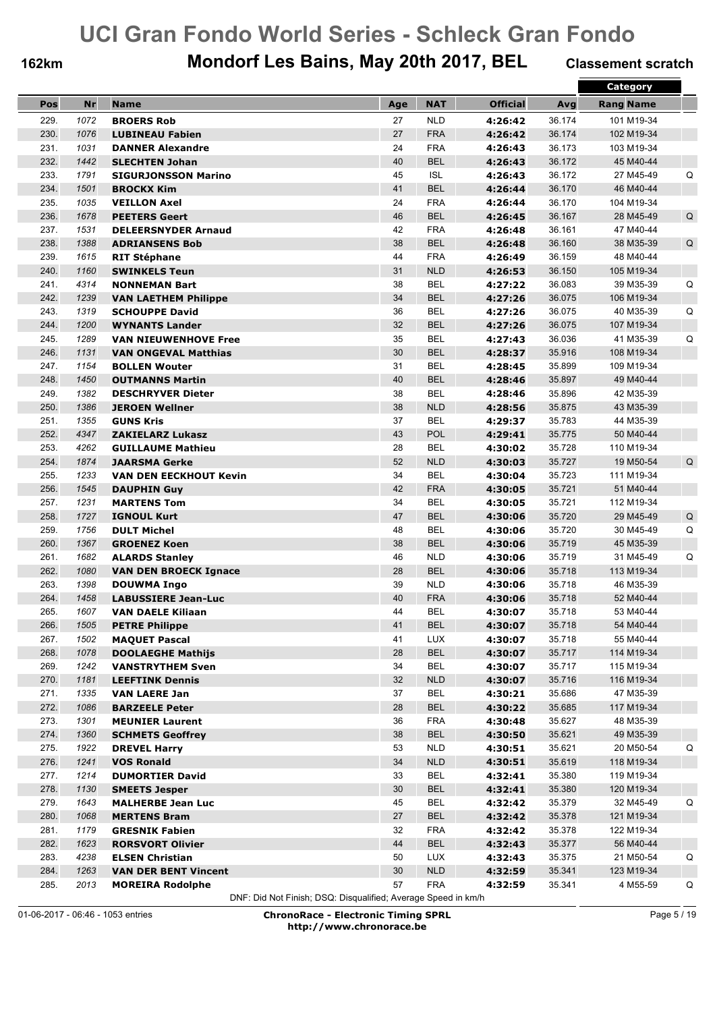## **162km Mondorf Les Bains, May 20th 2017, BEL Classement scratch**

|      |      |                               |     |            |                 |        | Category         |             |
|------|------|-------------------------------|-----|------------|-----------------|--------|------------------|-------------|
| Pos  | Nr   | <b>Name</b>                   | Age | <b>NAT</b> | <b>Official</b> | Avg    | <b>Rang Name</b> |             |
| 229. | 1072 | <b>BROERS Rob</b>             | 27  | <b>NLD</b> | 4:26:42         | 36.174 | 101 M19-34       |             |
| 230. | 1076 | <b>LUBINEAU Fabien</b>        | 27  | <b>FRA</b> | 4:26:42         | 36.174 | 102 M19-34       |             |
| 231. | 1031 | <b>DANNER Alexandre</b>       | 24  | <b>FRA</b> | 4:26:43         | 36.173 | 103 M19-34       |             |
| 232. | 1442 | <b>SLECHTEN Johan</b>         | 40  | <b>BEL</b> | 4:26:43         | 36.172 | 45 M40-44        |             |
| 233. | 1791 | <b>SIGURJONSSON Marino</b>    | 45  | <b>ISL</b> | 4:26:43         | 36.172 | 27 M45-49        | Q           |
| 234. | 1501 | <b>BROCKX Kim</b>             | 41  | <b>BEL</b> | 4:26:44         | 36.170 | 46 M40-44        |             |
| 235. | 1035 |                               | 24  | <b>FRA</b> | 4:26:44         | 36.170 | 104 M19-34       |             |
| 236. | 1678 | <b>VEILLON Axel</b>           | 46  | <b>BEL</b> |                 | 36.167 | 28 M45-49        | Q           |
| 237. | 1531 | <b>PEETERS Geert</b>          | 42  | <b>FRA</b> | 4:26:45         | 36.161 | 47 M40-44        |             |
| 238. |      | <b>DELEERSNYDER Arnaud</b>    | 38  | <b>BEL</b> | 4:26:48         | 36.160 |                  | $\mathsf Q$ |
|      | 1388 | <b>ADRIANSENS Bob</b>         |     |            | 4:26:48         |        | 38 M35-39        |             |
| 239. | 1615 | <b>RIT Stéphane</b>           | 44  | <b>FRA</b> | 4:26:49         | 36.159 | 48 M40-44        |             |
| 240. | 1160 | <b>SWINKELS Teun</b>          | 31  | <b>NLD</b> | 4:26:53         | 36.150 | 105 M19-34       |             |
| 241. | 4314 | <b>NONNEMAN Bart</b>          | 38  | <b>BEL</b> | 4:27:22         | 36.083 | 39 M35-39        | Q           |
| 242. | 1239 | <b>VAN LAETHEM Philippe</b>   | 34  | <b>BEL</b> | 4:27:26         | 36.075 | 106 M19-34       |             |
| 243. | 1319 | <b>SCHOUPPE David</b>         | 36  | <b>BEL</b> | 4:27:26         | 36.075 | 40 M35-39        | Q           |
| 244. | 1200 | <b>WYNANTS Lander</b>         | 32  | <b>BEL</b> | 4:27:26         | 36.075 | 107 M19-34       |             |
| 245. | 1289 | <b>VAN NIEUWENHOVE Free</b>   | 35  | <b>BEL</b> | 4:27:43         | 36.036 | 41 M35-39        | Q           |
| 246. | 1131 | <b>VAN ONGEVAL Matthias</b>   | 30  | <b>BEL</b> | 4:28:37         | 35.916 | 108 M19-34       |             |
| 247. | 1154 | <b>BOLLEN Wouter</b>          | 31  | <b>BEL</b> | 4:28:45         | 35.899 | 109 M19-34       |             |
| 248. | 1450 | <b>OUTMANNS Martin</b>        | 40  | <b>BEL</b> | 4:28:46         | 35.897 | 49 M40-44        |             |
| 249. | 1382 | <b>DESCHRYVER Dieter</b>      | 38  | <b>BEL</b> | 4:28:46         | 35.896 | 42 M35-39        |             |
| 250. | 1386 | <b>JEROEN Wellner</b>         | 38  | <b>NLD</b> | 4:28:56         | 35.875 | 43 M35-39        |             |
| 251. | 1355 | <b>GUNS Kris</b>              | 37  | <b>BEL</b> | 4:29:37         | 35.783 | 44 M35-39        |             |
| 252. | 4347 | <b>ZAKIELARZ Lukasz</b>       | 43  | POL        | 4:29:41         | 35.775 | 50 M40-44        |             |
| 253. | 4262 | <b>GUILLAUME Mathieu</b>      | 28  | <b>BEL</b> | 4:30:02         | 35.728 | 110 M19-34       |             |
| 254. | 1874 | <b>JAARSMA Gerke</b>          | 52  | <b>NLD</b> | 4:30:03         | 35.727 | 19 M50-54        | Q           |
| 255. | 1233 | <b>VAN DEN EECKHOUT Kevin</b> | 34  | <b>BEL</b> | 4:30:04         | 35.723 | 111 M19-34       |             |
| 256. | 1545 | <b>DAUPHIN Guy</b>            | 42  | <b>FRA</b> | 4:30:05         | 35.721 | 51 M40-44        |             |
| 257. | 1231 | <b>MARTENS Tom</b>            | 34  | <b>BEL</b> | 4:30:05         | 35.721 | 112 M19-34       |             |
| 258. | 1727 | <b>IGNOUL Kurt</b>            | 47  | <b>BEL</b> | 4:30:06         | 35.720 | 29 M45-49        | $\sf Q$     |
| 259. | 1756 | <b>DULT Michel</b>            | 48  | <b>BEL</b> | 4:30:06         | 35.720 | 30 M45-49        | Q           |
| 260. | 1367 | <b>GROENEZ Koen</b>           | 38  | <b>BEL</b> | 4:30:06         | 35.719 | 45 M35-39        |             |
| 261. | 1682 | <b>ALARDS Stanley</b>         | 46  | <b>NLD</b> | 4:30:06         | 35.719 | 31 M45-49        | Q           |
| 262. | 1080 | <b>VAN DEN BROECK Ignace</b>  | 28  | <b>BEL</b> | 4:30:06         | 35.718 | 113 M19-34       |             |
| 263. | 1398 | <b>DOUWMA Ingo</b>            | 39  | <b>NLD</b> | 4:30:06         | 35.718 | 46 M35-39        |             |
| 264. | 1458 | <b>LABUSSIERE Jean-Luc</b>    | 40  | <b>FRA</b> | 4:30:06         | 35.718 | 52 M40-44        |             |
| 265. | 1607 | <b>VAN DAELE Kiliaan</b>      | 44  | <b>BEL</b> | 4:30:07         | 35.718 | 53 M40-44        |             |
| 266. | 1505 | <b>PETRE Philippe</b>         | 41  | <b>BEL</b> | 4:30:07         | 35.718 | 54 M40-44        |             |
| 267. | 1502 | <b>MAQUET Pascal</b>          | 41  | LUX        | 4:30:07         | 35.718 | 55 M40-44        |             |
| 268. | 1078 | <b>DOOLAEGHE Mathijs</b>      | 28  | <b>BEL</b> | 4:30:07         | 35.717 | 114 M19-34       |             |
| 269. | 1242 | <b>VANSTRYTHEM Sven</b>       | 34  | <b>BEL</b> | 4:30:07         | 35.717 | 115 M19-34       |             |
| 270. | 1181 | <b>LEEFTINK Dennis</b>        | 32  | <b>NLD</b> | 4:30:07         | 35.716 | 116 M19-34       |             |
| 271. | 1335 | <b>VAN LAERE Jan</b>          | 37  | <b>BEL</b> | 4:30:21         | 35.686 | 47 M35-39        |             |
| 272. | 1086 | <b>BARZEELE Peter</b>         | 28  | <b>BEL</b> | 4:30:22         | 35.685 | 117 M19-34       |             |
| 273. | 1301 | <b>MEUNIER Laurent</b>        | 36  | <b>FRA</b> | 4:30:48         | 35.627 | 48 M35-39        |             |
| 274. | 1360 | <b>SCHMETS Geoffrey</b>       | 38  | <b>BEL</b> | 4:30:50         | 35.621 | 49 M35-39        |             |
| 275. | 1922 | <b>DREVEL Harry</b>           | 53  | <b>NLD</b> | 4:30:51         | 35.621 | 20 M50-54        | Q           |
| 276. | 1241 | <b>VOS Ronald</b>             | 34  | NLD        | 4:30:51         | 35.619 | 118 M19-34       |             |
| 277. | 1214 | <b>DUMORTIER David</b>        | 33  | <b>BEL</b> | 4:32:41         | 35.380 | 119 M19-34       |             |
| 278. | 1130 | <b>SMEETS Jesper</b>          | 30  | <b>BEL</b> | 4:32:41         | 35.380 | 120 M19-34       |             |
| 279. | 1643 | <b>MALHERBE Jean Luc</b>      | 45  | <b>BEL</b> | 4:32:42         | 35.379 | 32 M45-49        | Q           |
| 280. | 1068 | <b>MERTENS Bram</b>           | 27  | <b>BEL</b> | 4:32:42         | 35.378 | 121 M19-34       |             |
| 281. | 1179 | <b>GRESNIK Fabien</b>         | 32  | <b>FRA</b> | 4:32:42         | 35.378 | 122 M19-34       |             |
| 282. | 1623 | <b>RORSVORT Olivier</b>       | 44  | <b>BEL</b> | 4:32:43         | 35.377 | 56 M40-44        |             |
| 283. | 4238 | <b>ELSEN Christian</b>        | 50  | LUX        | 4:32:43         | 35.375 | 21 M50-54        | Q           |
| 284. | 1263 | <b>VAN DER BENT Vincent</b>   | 30  | NLD        | 4:32:59         | 35.341 | 123 M19-34       |             |
| 285. | 2013 | <b>MOREIRA Rodolphe</b>       | 57  | <b>FRA</b> | 4:32:59         | 35.341 | 4 M55-59         | Q           |

DNF: Did Not Finish; DSQ: Disqualified; Average Speed in km/h

01-06-2017 - 06:46 - 1053 entries **ChronoRace - Electronic Timing SPRL http://www.chronorace.be**

Page 5 / 19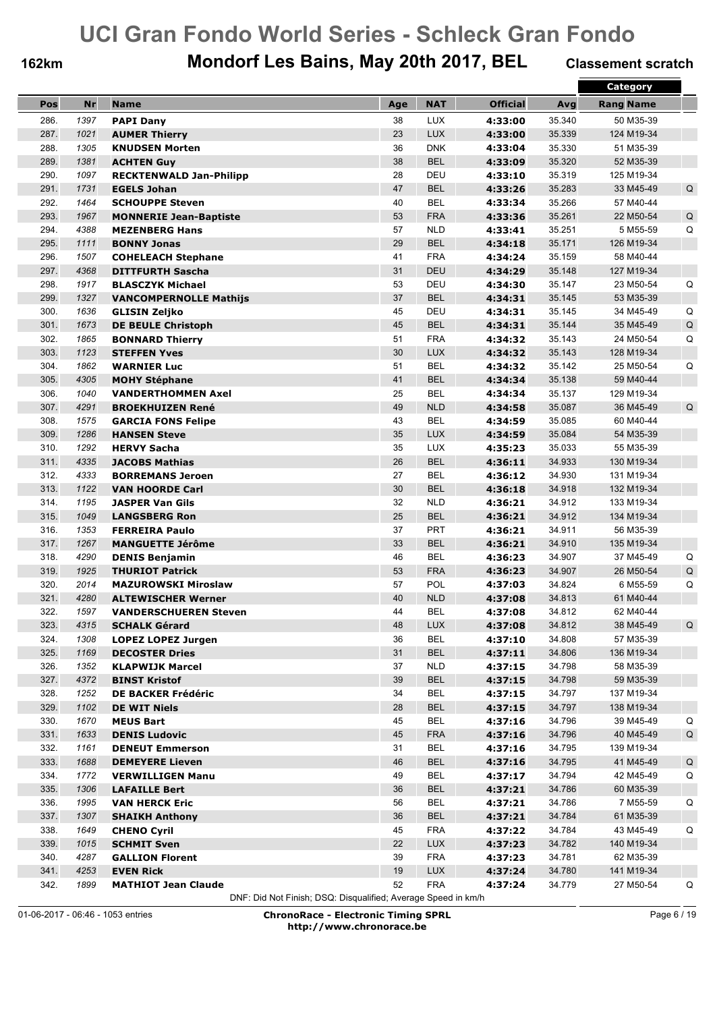## **162km Mondorf Les Bains, May 20th 2017, BEL Classement scratch**

|              |      |                                                      |     |            |                 |        | Category         |             |
|--------------|------|------------------------------------------------------|-----|------------|-----------------|--------|------------------|-------------|
| Pos          | Nr   | <b>Name</b>                                          | Age | <b>NAT</b> | <b>Official</b> | Avg    | <b>Rang Name</b> |             |
| 286.         | 1397 | <b>PAPI Dany</b>                                     | 38  | <b>LUX</b> | 4:33:00         | 35.340 | 50 M35-39        |             |
| 287.         | 1021 | <b>AUMER Thierry</b>                                 | 23  | <b>LUX</b> | 4:33:00         | 35.339 | 124 M19-34       |             |
| 288.         | 1305 | <b>KNUDSEN Morten</b>                                | 36  | <b>DNK</b> | 4:33:04         | 35.330 | 51 M35-39        |             |
| 289.         | 1381 | <b>ACHTEN Guy</b>                                    | 38  | <b>BEL</b> | 4:33:09         | 35.320 | 52 M35-39        |             |
| 290.         | 1097 | <b>RECKTENWALD Jan-Philipp</b>                       | 28  | <b>DEU</b> | 4:33:10         | 35.319 | 125 M19-34       |             |
| 291.         | 1731 | <b>EGELS Johan</b>                                   | 47  | <b>BEL</b> | 4:33:26         | 35.283 | 33 M45-49        | Q           |
| 292.         | 1464 | <b>SCHOUPPE Steven</b>                               | 40  | <b>BEL</b> | 4:33:34         | 35.266 | 57 M40-44        |             |
| 293.         | 1967 | <b>MONNERIE Jean-Baptiste</b>                        | 53  | <b>FRA</b> | 4:33:36         | 35.261 | 22 M50-54        | Q           |
| 294.         | 4388 | <b>MEZENBERG Hans</b>                                | 57  | <b>NLD</b> | 4:33:41         | 35.251 | 5 M55-59         | Q           |
| 295.         | 1111 | <b>BONNY Jonas</b>                                   | 29  | <b>BEL</b> | 4:34:18         | 35.171 | 126 M19-34       |             |
| 296.         | 1507 |                                                      | 41  | <b>FRA</b> | 4:34:24         | 35.159 | 58 M40-44        |             |
| 297.         | 4368 | <b>COHELEACH Stephane</b><br><b>DITTFURTH Sascha</b> | 31  | <b>DEU</b> | 4:34:29         | 35.148 | 127 M19-34       |             |
| 298.         | 1917 |                                                      | 53  | DEU        |                 | 35.147 | 23 M50-54        |             |
| 299.         |      | <b>BLASCZYK Michael</b>                              |     | <b>BEL</b> | 4:34:30         |        |                  | Q           |
|              | 1327 | <b>VANCOMPERNOLLE Mathijs</b>                        | 37  |            | 4:34:31         | 35.145 | 53 M35-39        |             |
| 300.<br>301. | 1636 | <b>GLISIN Zeljko</b>                                 | 45  | DEU        | 4:34:31         | 35.145 | 34 M45-49        | Q           |
|              | 1673 | <b>DE BEULE Christoph</b>                            | 45  | <b>BEL</b> | 4:34:31         | 35.144 | 35 M45-49        | $\mathsf Q$ |
| 302.         | 1865 | <b>BONNARD Thierry</b>                               | 51  | <b>FRA</b> | 4:34:32         | 35.143 | 24 M50-54        | Q           |
| 303.         | 1123 | <b>STEFFEN Yves</b>                                  | 30  | <b>LUX</b> | 4:34:32         | 35.143 | 128 M19-34       |             |
| 304.         | 1862 | <b>WARNIER Luc</b>                                   | 51  | <b>BEL</b> | 4:34:32         | 35.142 | 25 M50-54        | Q           |
| 305.         | 4305 | <b>MOHY Stéphane</b>                                 | 41  | <b>BEL</b> | 4:34:34         | 35.138 | 59 M40-44        |             |
| 306.         | 1040 | <b>VANDERTHOMMEN Axel</b>                            | 25  | <b>BEL</b> | 4:34:34         | 35.137 | 129 M19-34       |             |
| 307.         | 4291 | <b>BROEKHUIZEN René</b>                              | 49  | <b>NLD</b> | 4:34:58         | 35.087 | 36 M45-49        | Q           |
| 308.         | 1575 | <b>GARCIA FONS Felipe</b>                            | 43  | <b>BEL</b> | 4:34:59         | 35.085 | 60 M40-44        |             |
| 309.         | 1286 | <b>HANSEN Steve</b>                                  | 35  | <b>LUX</b> | 4:34:59         | 35.084 | 54 M35-39        |             |
| 310.         | 1292 | <b>HERVY Sacha</b>                                   | 35  | <b>LUX</b> | 4:35:23         | 35.033 | 55 M35-39        |             |
| 311.         | 4335 | <b>JACOBS Mathias</b>                                | 26  | <b>BEL</b> | 4:36:11         | 34.933 | 130 M19-34       |             |
| 312.         | 4333 | <b>BORREMANS Jeroen</b>                              | 27  | <b>BEL</b> | 4:36:12         | 34.930 | 131 M19-34       |             |
| 313.         | 1122 | <b>VAN HOORDE Carl</b>                               | 30  | <b>BEL</b> | 4:36:18         | 34.918 | 132 M19-34       |             |
| 314.         | 1195 | <b>JASPER Van Gils</b>                               | 32  | <b>NLD</b> | 4:36:21         | 34.912 | 133 M19-34       |             |
| 315.         | 1049 | <b>LANGSBERG Ron</b>                                 | 25  | <b>BEL</b> | 4:36:21         | 34.912 | 134 M19-34       |             |
| 316.         | 1353 | <b>FERREIRA Paulo</b>                                | 37  | <b>PRT</b> | 4:36:21         | 34.911 | 56 M35-39        |             |
| 317.         | 1267 | <b>MANGUETTE Jérôme</b>                              | 33  | <b>BEL</b> | 4:36:21         | 34.910 | 135 M19-34       |             |
| 318.         | 4290 | <b>DENIS Benjamin</b>                                | 46  | <b>BEL</b> | 4:36:23         | 34.907 | 37 M45-49        | Q           |
| 319.         | 1925 | <b>THURIOT Patrick</b>                               | 53  | <b>FRA</b> | 4:36:23         | 34.907 | 26 M50-54        | Q           |
| 320.         | 2014 | <b>MAZUROWSKI Miroslaw</b>                           | 57  | POL        | 4:37:03         | 34.824 | 6 M55-59         | Q           |
| 321.         | 4280 | <b>ALTEWISCHER Werner</b>                            | 40  | <b>NLD</b> | 4:37:08         | 34.813 | 61 M40-44        |             |
| 322.         | 1597 | <b>VANDERSCHUEREN Steven</b>                         | 44  | <b>BEL</b> | 4:37:08         | 34.812 | 62 M40-44        |             |
| 323.         | 4315 | <b>SCHALK Gérard</b>                                 | 48  | <b>LUX</b> | 4:37:08         | 34.812 | 38 M45-49        | Q           |
| 324.         | 1308 | <b>LOPEZ LOPEZ Jurgen</b>                            | 36  | <b>BEL</b> | 4:37:10         | 34.808 | 57 M35-39        |             |
| 325.         | 1169 | <b>DECOSTER Dries</b>                                | 31  | <b>BEL</b> | 4:37:11         | 34.806 | 136 M19-34       |             |
| 326.         | 1352 | <b>KLAPWIJK Marcel</b>                               | 37  | <b>NLD</b> | 4:37:15         | 34.798 | 58 M35-39        |             |
| 327.         | 4372 | <b>BINST Kristof</b>                                 | 39  | <b>BEL</b> | 4:37:15         | 34.798 | 59 M35-39        |             |
| 328.         | 1252 | <b>DE BACKER Frédéric</b>                            | 34  | <b>BEL</b> | 4:37:15         | 34.797 | 137 M19-34       |             |
| 329.         | 1102 | <b>DE WIT Niels</b>                                  | 28  | <b>BEL</b> | 4:37:15         | 34.797 | 138 M19-34       |             |
| 330.         | 1670 | <b>MEUS Bart</b>                                     | 45  | <b>BEL</b> | 4:37:16         | 34.796 | 39 M45-49        | Q           |
| 331.         | 1633 | <b>DENIS Ludovic</b>                                 | 45  | <b>FRA</b> | 4:37:16         | 34.796 | 40 M45-49        | $\sf Q$     |
| 332.         | 1161 | <b>DENEUT Emmerson</b>                               | 31  | <b>BEL</b> | 4:37:16         | 34.795 | 139 M19-34       |             |
| 333.         | 1688 | <b>DEMEYERE Lieven</b>                               | 46  | <b>BEL</b> | 4:37:16         | 34.795 | 41 M45-49        | $\sf Q$     |
| 334.         | 1772 | <b>VERWILLIGEN Manu</b>                              | 49  | <b>BEL</b> | 4:37:17         | 34.794 | 42 M45-49        | Q           |
| 335.         | 1306 | <b>LAFAILLE Bert</b>                                 | 36  | <b>BEL</b> | 4:37:21         | 34.786 | 60 M35-39        |             |
| 336.         | 1995 | <b>VAN HERCK Eric</b>                                | 56  | <b>BEL</b> | 4:37:21         | 34.786 | 7 M55-59         | Q           |
| 337.         | 1307 | <b>SHAIKH Anthony</b>                                | 36  | <b>BEL</b> | 4:37:21         | 34.784 | 61 M35-39        |             |
| 338.         | 1649 | <b>CHENO Cyril</b>                                   | 45  | <b>FRA</b> | 4:37:22         | 34.784 | 43 M45-49        | Q           |
| 339.         | 1015 | <b>SCHMIT Sven</b>                                   | 22  | <b>LUX</b> | 4:37:23         | 34.782 | 140 M19-34       |             |
| 340.         | 4287 | <b>GALLION Florent</b>                               | 39  | <b>FRA</b> | 4:37:23         | 34.781 | 62 M35-39        |             |
| 341.         | 4253 | <b>EVEN Rick</b>                                     | 19  | <b>LUX</b> | 4:37:24         | 34.780 | 141 M19-34       |             |
| 342.         | 1899 | <b>MATHIOT Jean Claude</b>                           | 52  | <b>FRA</b> | 4:37:24         | 34.779 | 27 M50-54        | Q           |

DNF: Did Not Finish; DSQ: Disqualified; Average Speed in km/h

01-06-2017 - 06:46 - 1053 entries **ChronoRace - Electronic Timing SPRL http://www.chronorace.be**

Page 6 / 19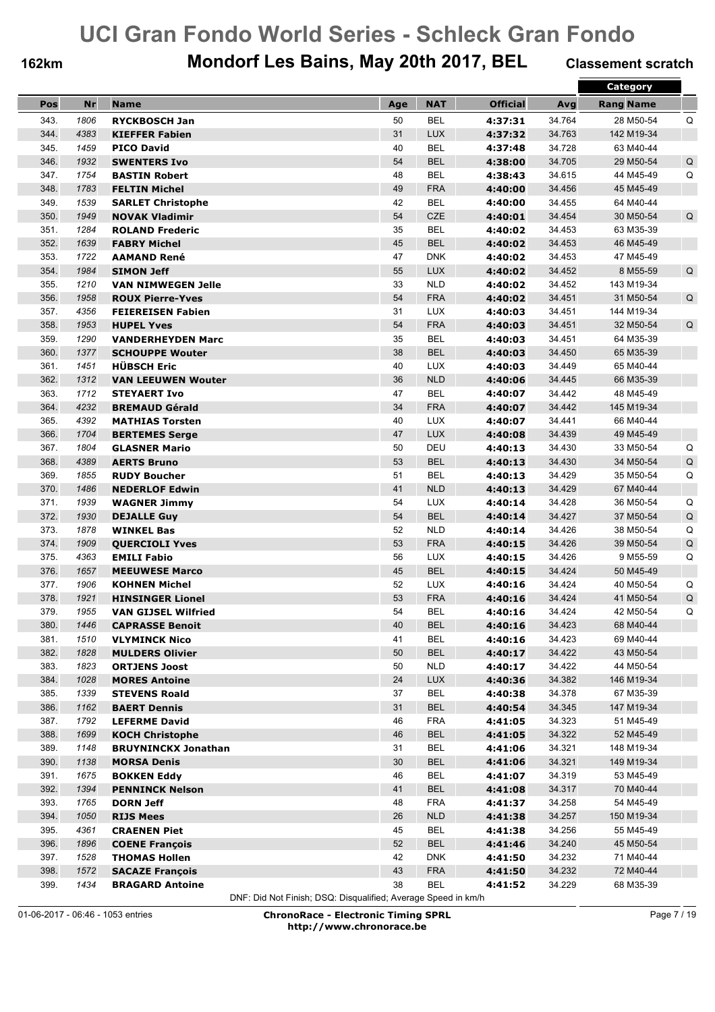## **162km Mondorf Les Bains, May 20th 2017, BEL Classement scratch**

|      |      |                            |     |            |                 |        | Category         |             |
|------|------|----------------------------|-----|------------|-----------------|--------|------------------|-------------|
| Pos  | Nr   | <b>Name</b>                | Age | <b>NAT</b> | <b>Official</b> | Avg    | <b>Rang Name</b> |             |
| 343. | 1806 | <b>RYCKBOSCH Jan</b>       | 50  | <b>BEL</b> | 4:37:31         | 34.764 | 28 M50-54        | Q           |
| 344. | 4383 | <b>KIEFFER Fabien</b>      | 31  | <b>LUX</b> | 4:37:32         | 34.763 | 142 M19-34       |             |
| 345. | 1459 | <b>PICO David</b>          | 40  | <b>BEL</b> | 4:37:48         | 34.728 | 63 M40-44        |             |
| 346. | 1932 | <b>SWENTERS Ivo</b>        | 54  | <b>BEL</b> | 4:38:00         | 34.705 | 29 M50-54        | $\mathsf Q$ |
| 347. | 1754 | <b>BASTIN Robert</b>       | 48  | <b>BEL</b> | 4:38:43         | 34.615 | 44 M45-49        | Q           |
| 348. | 1783 | <b>FELTIN Michel</b>       | 49  | <b>FRA</b> | 4:40:00         | 34.456 | 45 M45-49        |             |
| 349. | 1539 | <b>SARLET Christophe</b>   | 42  | <b>BEL</b> | 4:40:00         | 34.455 | 64 M40-44        |             |
| 350. | 1949 | <b>NOVAK Vladimir</b>      | 54  | <b>CZE</b> | 4:40:01         | 34.454 | 30 M50-54        | Q           |
| 351. | 1284 | <b>ROLAND Frederic</b>     | 35  | <b>BEL</b> | 4:40:02         | 34.453 | 63 M35-39        |             |
| 352. | 1639 | <b>FABRY Michel</b>        | 45  | <b>BEL</b> | 4:40:02         | 34.453 | 46 M45-49        |             |
| 353. | 1722 | AAMAND René                | 47  | <b>DNK</b> | 4:40:02         | 34.453 | 47 M45-49        |             |
| 354. | 1984 | <b>SIMON Jeff</b>          | 55  | <b>LUX</b> | 4:40:02         | 34.452 | 8 M55-59         | Q           |
| 355. | 1210 |                            | 33  | <b>NLD</b> |                 |        |                  |             |
|      |      | <b>VAN NIMWEGEN Jelle</b>  | 54  |            | 4:40:02         | 34.452 | 143 M19-34       |             |
| 356. | 1958 | <b>ROUX Pierre-Yves</b>    |     | <b>FRA</b> | 4:40:02         | 34.451 | 31 M50-54        | Q           |
| 357. | 4356 | <b>FEIEREISEN Fabien</b>   | 31  | <b>LUX</b> | 4:40:03         | 34.451 | 144 M19-34       |             |
| 358. | 1953 | <b>HUPEL Yves</b>          | 54  | <b>FRA</b> | 4:40:03         | 34.451 | 32 M50-54        | Q           |
| 359. | 1290 | <b>VANDERHEYDEN Marc</b>   | 35  | <b>BEL</b> | 4:40:03         | 34.451 | 64 M35-39        |             |
| 360. | 1377 | <b>SCHOUPPE Wouter</b>     | 38  | <b>BEL</b> | 4:40:03         | 34.450 | 65 M35-39        |             |
| 361. | 1451 | <b>HÜBSCH Eric</b>         | 40  | <b>LUX</b> | 4:40:03         | 34.449 | 65 M40-44        |             |
| 362. | 1312 | <b>VAN LEEUWEN Wouter</b>  | 36  | <b>NLD</b> | 4:40:06         | 34.445 | 66 M35-39        |             |
| 363. | 1712 | <b>STEYAERT Ivo</b>        | 47  | <b>BEL</b> | 4:40:07         | 34.442 | 48 M45-49        |             |
| 364. | 4232 | <b>BREMAUD Gérald</b>      | 34  | <b>FRA</b> | 4:40:07         | 34.442 | 145 M19-34       |             |
| 365. | 4392 | <b>MATHIAS Torsten</b>     | 40  | <b>LUX</b> | 4:40:07         | 34.441 | 66 M40-44        |             |
| 366. | 1704 | <b>BERTEMES Serge</b>      | 47  | <b>LUX</b> | 4:40:08         | 34.439 | 49 M45-49        |             |
| 367. | 1804 | <b>GLASNER Mario</b>       | 50  | DEU        | 4:40:13         | 34.430 | 33 M50-54        | Q           |
| 368. | 4389 | <b>AERTS Bruno</b>         | 53  | <b>BEL</b> | 4:40:13         | 34.430 | 34 M50-54        | $\sf Q$     |
| 369. | 1855 | <b>RUDY Boucher</b>        | 51  | <b>BEL</b> | 4:40:13         | 34.429 | 35 M50-54        | Q           |
| 370. | 1486 | <b>NEDERLOF Edwin</b>      | 41  | <b>NLD</b> | 4:40:13         | 34.429 | 67 M40-44        |             |
| 371. | 1939 | <b>WAGNER Jimmy</b>        | 54  | <b>LUX</b> | 4:40:14         | 34.428 | 36 M50-54        | Q           |
| 372. | 1930 | <b>DEJALLE Guy</b>         | 54  | <b>BEL</b> | 4:40:14         | 34.427 | 37 M50-54        | $\mathsf Q$ |
| 373. | 1878 | <b>WINKEL Bas</b>          | 52  | <b>NLD</b> | 4:40:14         | 34.426 | 38 M50-54        | Q           |
| 374. | 1909 | <b>QUERCIOLI Yves</b>      | 53  | <b>FRA</b> | 4:40:15         | 34.426 | 39 M50-54        | $\sf Q$     |
| 375. | 4363 | <b>EMILI Fabio</b>         | 56  | <b>LUX</b> | 4:40:15         | 34.426 | 9 M55-59         | Q           |
| 376. | 1657 | <b>MEEUWESE Marco</b>      | 45  | <b>BEL</b> | 4:40:15         | 34.424 | 50 M45-49        |             |
| 377. | 1906 | <b>KOHNEN Michel</b>       | 52  | <b>LUX</b> | 4:40:16         | 34.424 | 40 M50-54        | Q           |
| 378. | 1921 | <b>HINSINGER Lionel</b>    | 53  | <b>FRA</b> | 4:40:16         | 34.424 | 41 M50-54        | $\mathsf Q$ |
| 379. | 1955 | <b>VAN GIJSEL Wilfried</b> | 54  | <b>BEL</b> | 4:40:16         | 34.424 | 42 M50-54        | Q           |
| 380. | 1446 | <b>CAPRASSE Benoit</b>     | 40  | <b>BEL</b> | 4:40:16         | 34.423 | 68 M40-44        |             |
| 381. | 1510 | <b>VLYMINCK Nico</b>       | 41  | <b>BEL</b> | 4:40:16         | 34.423 | 69 M40-44        |             |
| 382. | 1828 | <b>MULDERS Olivier</b>     | 50  | <b>BEL</b> | 4:40:17         | 34.422 | 43 M50-54        |             |
| 383. | 1823 | <b>ORTJENS Joost</b>       | 50  | <b>NLD</b> | 4:40:17         | 34.422 | 44 M50-54        |             |
| 384. | 1028 | <b>MORES Antoine</b>       | 24  | <b>LUX</b> | 4:40:36         | 34.382 | 146 M19-34       |             |
| 385. | 1339 | <b>STEVENS Roald</b>       | 37  | <b>BEL</b> | 4:40:38         | 34.378 | 67 M35-39        |             |
| 386. | 1162 | <b>BAERT Dennis</b>        | 31  | <b>BEL</b> | 4:40:54         | 34.345 | 147 M19-34       |             |
| 387. | 1792 | <b>LEFERME David</b>       | 46  | <b>FRA</b> | 4:41:05         | 34.323 | 51 M45-49        |             |
| 388. | 1699 | <b>KOCH Christophe</b>     | 46  | <b>BEL</b> | 4:41:05         | 34.322 | 52 M45-49        |             |
| 389. | 1148 | <b>BRUYNINCKX Jonathan</b> | 31  | <b>BEL</b> | 4:41:06         | 34.321 | 148 M19-34       |             |
| 390. | 1138 | <b>MORSA Denis</b>         | 30  | <b>BEL</b> | 4:41:06         | 34.321 | 149 M19-34       |             |
| 391. | 1675 | <b>BOKKEN Eddy</b>         | 46  | <b>BEL</b> | 4:41:07         | 34.319 | 53 M45-49        |             |
| 392. | 1394 | <b>PENNINCK Nelson</b>     | 41  | <b>BEL</b> | 4:41:08         | 34.317 | 70 M40-44        |             |
| 393. | 1765 | <b>DORN Jeff</b>           | 48  | <b>FRA</b> | 4:41:37         | 34.258 | 54 M45-49        |             |
| 394. | 1050 | <b>RIJS Mees</b>           | 26  | <b>NLD</b> | 4:41:38         | 34.257 | 150 M19-34       |             |
| 395. | 4361 | <b>CRAENEN Piet</b>        | 45  | <b>BEL</b> | 4:41:38         | 34.256 | 55 M45-49        |             |
| 396. | 1896 | <b>COENE François</b>      | 52  | <b>BEL</b> | 4:41:46         | 34.240 | 45 M50-54        |             |
| 397. | 1528 | <b>THOMAS Hollen</b>       | 42  | <b>DNK</b> | 4:41:50         | 34.232 | 71 M40-44        |             |
| 398. | 1572 | <b>SACAZE François</b>     | 43  | <b>FRA</b> | 4:41:50         | 34.232 | 72 M40-44        |             |
| 399. | 1434 | <b>BRAGARD Antoine</b>     | 38  | <b>BEL</b> | 4:41:52         | 34.229 | 68 M35-39        |             |

DNF: Did Not Finish; DSQ: Disqualified; Average Speed in km/h

01-06-2017 - 06:46 - 1053 entries **ChronoRace - Electronic Timing SPRL http://www.chronorace.be**

Page 7 / 19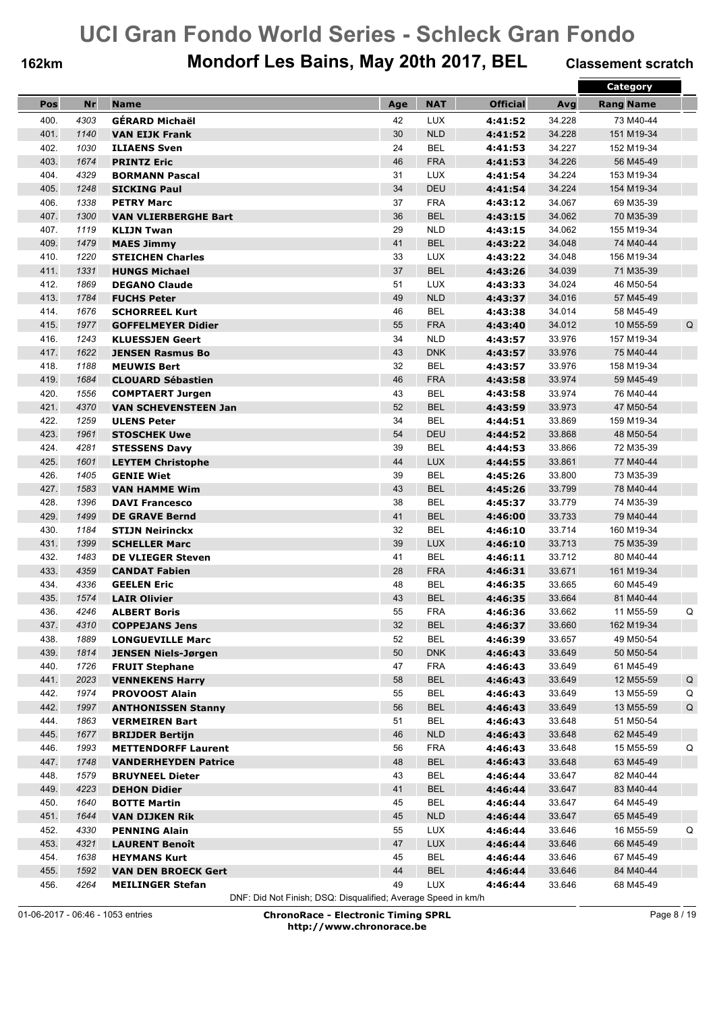## **162km Mondorf Les Bains, May 20th 2017, BEL Classement scratch**

|      |      |                                                    |     |            |                 |        | Category             |
|------|------|----------------------------------------------------|-----|------------|-----------------|--------|----------------------|
| Pos  | Nr   | <b>Name</b>                                        | Age | <b>NAT</b> | <b>Official</b> | Avg    | <b>Rang Name</b>     |
| 400. | 4303 | GÉRARD Michaël                                     | 42  | <b>LUX</b> | 4:41:52         | 34.228 | 73 M40-44            |
| 401. | 1140 | <b>VAN EIJK Frank</b>                              | 30  | <b>NLD</b> | 4:41:52         | 34.228 | 151 M19-34           |
| 402. | 1030 | <b>ILIAENS Sven</b>                                | 24  | <b>BEL</b> | 4:41:53         | 34.227 | 152 M19-34           |
| 403. | 1674 | <b>PRINTZ Eric</b>                                 | 46  | <b>FRA</b> | 4:41:53         | 34.226 | 56 M45-49            |
| 404. | 4329 | <b>BORMANN Pascal</b>                              | 31  | <b>LUX</b> | 4:41:54         | 34.224 | 153 M19-34           |
| 405. | 1248 | <b>SICKING Paul</b>                                | 34  | DEU        | 4:41:54         | 34.224 | 154 M19-34           |
| 406. | 1338 | <b>PETRY Marc</b>                                  | 37  | <b>FRA</b> | 4:43:12         | 34.067 | 69 M35-39            |
| 407. | 1300 | <b>VAN VLIERBERGHE Bart</b>                        | 36  | <b>BEL</b> | 4:43:15         | 34.062 | 70 M35-39            |
| 407. | 1119 | <b>KLIJN Twan</b>                                  | 29  | <b>NLD</b> | 4:43:15         | 34.062 | 155 M19-34           |
| 409. | 1479 | <b>MAES Jimmy</b>                                  | 41  | <b>BEL</b> | 4:43:22         | 34.048 | 74 M40-44            |
| 410. | 1220 | <b>STEICHEN Charles</b>                            | 33  | <b>LUX</b> | 4:43:22         | 34.048 | 156 M19-34           |
| 411. | 1331 | <b>HUNGS Michael</b>                               | 37  | <b>BEL</b> | 4:43:26         | 34.039 | 71 M35-39            |
| 412. | 1869 | <b>DEGANO Claude</b>                               | 51  | <b>LUX</b> | 4:43:33         | 34.024 | 46 M50-54            |
| 413. | 1784 | <b>FUCHS Peter</b>                                 | 49  | <b>NLD</b> | 4:43:37         | 34.016 | 57 M45-49            |
| 414. | 1676 |                                                    | 46  | <b>BEL</b> |                 | 34.014 | 58 M45-49            |
| 415. | 1977 | <b>SCHORREEL Kurt</b><br><b>GOFFELMEYER Didier</b> | 55  | <b>FRA</b> | 4:43:38         | 34.012 | Q<br>10 M55-59       |
|      |      | <b>KLUESSJEN Geert</b>                             |     |            | 4:43:40         |        |                      |
| 416. | 1243 |                                                    | 34  | <b>NLD</b> | 4:43:57         | 33.976 | 157 M19-34           |
| 417. | 1622 | <b>JENSEN Rasmus Bo</b>                            | 43  | <b>DNK</b> | 4:43:57         | 33.976 | 75 M40-44            |
| 418. | 1188 | <b>MEUWIS Bert</b>                                 | 32  | <b>BEL</b> | 4:43:57         | 33.976 | 158 M19-34           |
| 419. | 1684 | <b>CLOUARD Sébastien</b>                           | 46  | <b>FRA</b> | 4:43:58         | 33.974 | 59 M45-49            |
| 420. | 1556 | <b>COMPTAERT Jurgen</b>                            | 43  | <b>BEL</b> | 4:43:58         | 33.974 | 76 M40-44            |
| 421. | 4370 | <b>VAN SCHEVENSTEEN Jan</b>                        | 52  | <b>BEL</b> | 4:43:59         | 33.973 | 47 M50-54            |
| 422. | 1259 | <b>ULENS Peter</b>                                 | 34  | <b>BEL</b> | 4:44:51         | 33.869 | 159 M19-34           |
| 423. | 1961 | <b>STOSCHEK Uwe</b>                                | 54  | <b>DEU</b> | 4:44:52         | 33.868 | 48 M50-54            |
| 424. | 4281 | <b>STESSENS Davy</b>                               | 39  | <b>BEL</b> | 4:44:53         | 33.866 | 72 M35-39            |
| 425. | 1601 | <b>LEYTEM Christophe</b>                           | 44  | <b>LUX</b> | 4:44:55         | 33.861 | 77 M40-44            |
| 426. | 1405 | <b>GENIE Wiet</b>                                  | 39  | <b>BEL</b> | 4:45:26         | 33.800 | 73 M35-39            |
| 427. | 1583 | <b>VAN HAMME Wim</b>                               | 43  | <b>BEL</b> | 4:45:26         | 33.799 | 78 M40-44            |
| 428. | 1396 | <b>DAVI Francesco</b>                              | 38  | <b>BEL</b> | 4:45:37         | 33.779 | 74 M35-39            |
| 429. | 1499 | <b>DE GRAVE Bernd</b>                              | 41  | <b>BEL</b> | 4:46:00         | 33.733 | 79 M40-44            |
| 430. | 1184 | <b>STIJN Neirinckx</b>                             | 32  | <b>BEL</b> | 4:46:10         | 33.714 | 160 M19-34           |
| 431. | 1399 | <b>SCHELLER Marc</b>                               | 39  | <b>LUX</b> | 4:46:10         | 33.713 | 75 M35-39            |
| 432. | 1483 | <b>DE VLIEGER Steven</b>                           | 41  | <b>BEL</b> | 4:46:11         | 33.712 | 80 M40-44            |
| 433. | 4359 | <b>CANDAT Fabien</b>                               | 28  | <b>FRA</b> | 4:46:31         | 33.671 | 161 M19-34           |
| 434. | 4336 | <b>GEELEN Eric</b>                                 | 48  | <b>BEL</b> | 4:46:35         | 33.665 | 60 M45-49            |
| 435. | 1574 | <b>LAIR Olivier</b>                                | 43  | <b>BEL</b> | 4:46:35         | 33.664 | 81 M40-44            |
| 436. | 4246 | <b>ALBERT Boris</b>                                | 55  | <b>FRA</b> | 4:46:36         | 33.662 | 11 M55-59<br>Q       |
| 437. | 4310 | <b>COPPEJANS Jens</b>                              | 32  | <b>BEL</b> | 4:46:37         | 33.660 | 162 M19-34           |
| 438. | 1889 | <b>LONGUEVILLE Marc</b>                            | 52  | <b>BEL</b> | 4:46:39         | 33.657 | 49 M50-54            |
| 439. | 1814 | <b>JENSEN Niels-Jørgen</b>                         | 50  | <b>DNK</b> | 4:46:43         | 33.649 | 50 M50-54            |
| 440. | 1726 | <b>FRUIT Stephane</b>                              | 47  | <b>FRA</b> | 4:46:43         | 33.649 | 61 M45-49            |
| 441. | 2023 | <b>VENNEKENS Harry</b>                             | 58  | <b>BEL</b> | 4:46:43         | 33.649 | 12 M55-59<br>$\sf Q$ |
| 442. | 1974 | <b>PROVOOST Alain</b>                              | 55  | <b>BEL</b> | 4:46:43         | 33.649 | 13 M55-59<br>Q       |
| 442. | 1997 | <b>ANTHONISSEN Stanny</b>                          | 56  | <b>BEL</b> | 4:46:43         | 33.649 | 13 M55-59<br>Q       |
| 444. | 1863 | <b>VERMEIREN Bart</b>                              | 51  | BEL        | 4:46:43         | 33.648 | 51 M50-54            |
| 445. | 1677 | <b>BRIJDER Bertijn</b>                             | 46  | <b>NLD</b> | 4:46:43         | 33.648 | 62 M45-49            |
| 446. | 1993 | <b>METTENDORFF Laurent</b>                         | 56  | <b>FRA</b> | 4:46:43         | 33.648 | 15 M55-59<br>Q       |
| 447. | 1748 | <b>VANDERHEYDEN Patrice</b>                        | 48  | <b>BEL</b> | 4:46:43         | 33.648 | 63 M45-49            |
| 448. | 1579 | <b>BRUYNEEL Dieter</b>                             | 43  | <b>BEL</b> | 4:46:44         | 33.647 | 82 M40-44            |
| 449. | 4223 | <b>DEHON Didier</b>                                | 41  | <b>BEL</b> | 4:46:44         | 33.647 | 83 M40-44            |
| 450. | 1640 | <b>BOTTE Martin</b>                                | 45  | <b>BEL</b> | 4:46:44         | 33.647 | 64 M45-49            |
| 451. | 1644 | <b>VAN DIJKEN Rik</b>                              | 45  | <b>NLD</b> | 4:46:44         | 33.647 | 65 M45-49            |
| 452. | 4330 | <b>PENNING Alain</b>                               | 55  | <b>LUX</b> | 4:46:44         | 33.646 | 16 M55-59<br>Q       |
| 453. | 4321 | <b>LAURENT Benoît</b>                              | 47  | <b>LUX</b> | 4:46:44         | 33.646 | 66 M45-49            |
| 454. | 1638 | <b>HEYMANS Kurt</b>                                | 45  | <b>BEL</b> | 4:46:44         | 33.646 | 67 M45-49            |
| 455. | 1592 | <b>VAN DEN BROECK Gert</b>                         | 44  | <b>BEL</b> | 4:46:44         | 33.646 | 84 M40-44            |
| 456. | 4264 | <b>MEILINGER Stefan</b>                            | 49  | LUX        | 4:46:44         | 33.646 | 68 M45-49            |
|      |      |                                                    |     |            |                 |        |                      |

DNF: Did Not Finish; DSQ: Disqualified; Average Speed in km/h

01-06-2017 - 06:46 - 1053 entries **ChronoRace - Electronic Timing SPRL http://www.chronorace.be**

Page 8 / 19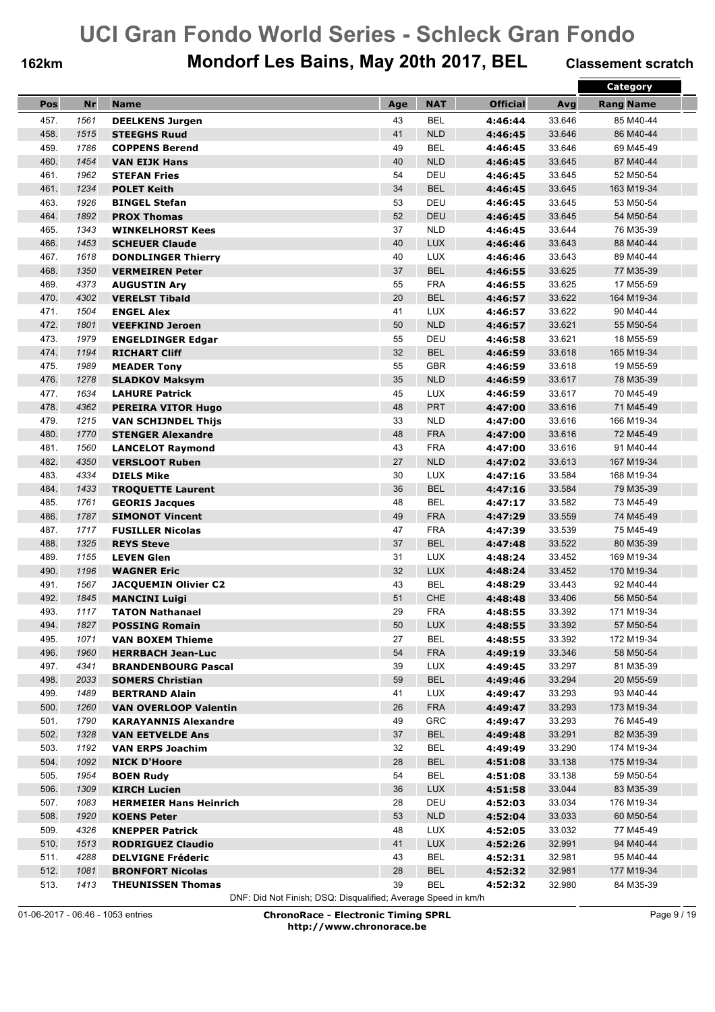## **162km Mondorf Les Bains, May 20th 2017, BEL Classement scratch**

|      |      |                               |     |            |                 |        | <b>Category</b>  |
|------|------|-------------------------------|-----|------------|-----------------|--------|------------------|
| Pos  | Nr   | <b>Name</b>                   | Age | <b>NAT</b> | <b>Official</b> | Avg    | <b>Rang Name</b> |
| 457. | 1561 | <b>DEELKENS Jurgen</b>        | 43  | <b>BEL</b> | 4:46:44         | 33.646 | 85 M40-44        |
| 458. | 1515 | <b>STEEGHS Ruud</b>           | 41  | <b>NLD</b> | 4:46:45         | 33.646 | 86 M40-44        |
| 459. | 1786 | <b>COPPENS Berend</b>         | 49  | <b>BEL</b> | 4:46:45         | 33.646 | 69 M45-49        |
| 460. | 1454 | <b>VAN EIJK Hans</b>          | 40  | <b>NLD</b> | 4:46:45         | 33.645 | 87 M40-44        |
| 461. | 1962 | <b>STEFAN Fries</b>           | 54  | DEU        | 4:46:45         | 33.645 | 52 M50-54        |
| 461. | 1234 | <b>POLET Keith</b>            | 34  | <b>BEL</b> | 4:46:45         | 33.645 | 163 M19-34       |
| 463. | 1926 | <b>BINGEL Stefan</b>          | 53  | DEU        | 4:46:45         | 33.645 | 53 M50-54        |
| 464. | 1892 | <b>PROX Thomas</b>            | 52  | DEU        | 4:46:45         | 33.645 | 54 M50-54        |
| 465. | 1343 | <b>WINKELHORST Kees</b>       | 37  | <b>NLD</b> | 4:46:45         | 33.644 | 76 M35-39        |
| 466. | 1453 | <b>SCHEUER Claude</b>         | 40  | LUX        | 4:46:46         | 33.643 | 88 M40-44        |
| 467. | 1618 | <b>DONDLINGER Thierry</b>     | 40  | <b>LUX</b> | 4:46:46         | 33.643 | 89 M40-44        |
| 468. | 1350 | <b>VERMEIREN Peter</b>        | 37  | <b>BEL</b> | 4:46:55         | 33.625 | 77 M35-39        |
| 469. | 4373 |                               | 55  | <b>FRA</b> |                 | 33.625 | 17 M55-59        |
|      | 4302 | <b>AUGUSTIN Ary</b>           | 20  |            | 4:46:55         |        |                  |
| 470. |      | <b>VERELST Tibald</b>         |     | <b>BEL</b> | 4:46:57         | 33.622 | 164 M19-34       |
| 471. | 1504 | <b>ENGEL Alex</b>             | 41  | <b>LUX</b> | 4:46:57         | 33.622 | 90 M40-44        |
| 472. | 1801 | <b>VEEFKIND Jeroen</b>        | 50  | <b>NLD</b> | 4:46:57         | 33.621 | 55 M50-54        |
| 473. | 1979 | <b>ENGELDINGER Edgar</b>      | 55  | DEU        | 4:46:58         | 33.621 | 18 M55-59        |
| 474. | 1194 | <b>RICHART Cliff</b>          | 32  | <b>BEL</b> | 4:46:59         | 33.618 | 165 M19-34       |
| 475. | 1989 | <b>MEADER Tony</b>            | 55  | <b>GBR</b> | 4:46:59         | 33.618 | 19 M55-59        |
| 476. | 1278 | <b>SLADKOV Maksym</b>         | 35  | <b>NLD</b> | 4:46:59         | 33.617 | 78 M35-39        |
| 477. | 1634 | <b>LAHURE Patrick</b>         | 45  | <b>LUX</b> | 4:46:59         | 33.617 | 70 M45-49        |
| 478. | 4362 | <b>PEREIRA VITOR Hugo</b>     | 48  | <b>PRT</b> | 4:47:00         | 33.616 | 71 M45-49        |
| 479. | 1215 | <b>VAN SCHIJNDEL Thijs</b>    | 33  | <b>NLD</b> | 4:47:00         | 33.616 | 166 M19-34       |
| 480. | 1770 | <b>STENGER Alexandre</b>      | 48  | <b>FRA</b> | 4:47:00         | 33.616 | 72 M45-49        |
| 481. | 1560 | <b>LANCELOT Raymond</b>       | 43  | <b>FRA</b> | 4:47:00         | 33.616 | 91 M40-44        |
| 482. | 4350 | <b>VERSLOOT Ruben</b>         | 27  | <b>NLD</b> | 4:47:02         | 33.613 | 167 M19-34       |
| 483. | 4334 | <b>DIELS Mike</b>             | 30  | LUX        | 4:47:16         | 33.584 | 168 M19-34       |
| 484. | 1433 | <b>TROQUETTE Laurent</b>      | 36  | <b>BEL</b> | 4:47:16         | 33.584 | 79 M35-39        |
| 485. | 1761 | <b>GEORIS Jacques</b>         | 48  | <b>BEL</b> | 4:47:17         | 33.582 | 73 M45-49        |
| 486. | 1787 | <b>SIMONOT Vincent</b>        | 49  | <b>FRA</b> | 4:47:29         | 33.559 | 74 M45-49        |
| 487. | 1717 | <b>FUSILLER Nicolas</b>       | 47  | <b>FRA</b> | 4:47:39         | 33.539 | 75 M45-49        |
| 488. | 1325 | <b>REYS Steve</b>             | 37  | <b>BEL</b> | 4:47:48         | 33.522 | 80 M35-39        |
| 489. | 1155 | <b>LEVEN Glen</b>             | 31  | <b>LUX</b> | 4:48:24         | 33.452 | 169 M19-34       |
| 490. | 1196 | <b>WAGNER Eric</b>            | 32  | <b>LUX</b> | 4:48:24         | 33.452 | 170 M19-34       |
| 491. | 1567 | <b>JACQUEMIN Olivier C2</b>   | 43  | <b>BEL</b> | 4:48:29         | 33.443 | 92 M40-44        |
| 492. | 1845 | <b>MANCINI Luigi</b>          | 51  | CHE        | 4:48:48         | 33.406 | 56 M50-54        |
| 493. | 1117 | <b>TATON Nathanael</b>        | 29  | <b>FRA</b> | 4:48:55         | 33.392 | 171 M19-34       |
| 494. | 1827 | <b>POSSING Romain</b>         | 50  | LUX        | 4:48:55         | 33.392 | 57 M50-54        |
| 495. | 1071 | <b>VAN BOXEM Thieme</b>       | 27  | <b>BEL</b> | 4:48:55         | 33.392 | 172 M19-34       |
| 496. | 1960 | <b>HERRBACH Jean-Luc</b>      | 54  | <b>FRA</b> | 4:49:19         | 33.346 | 58 M50-54        |
| 497. | 4341 | <b>BRANDENBOURG Pascal</b>    | 39  | <b>LUX</b> | 4:49:45         | 33.297 | 81 M35-39        |
| 498. | 2033 | <b>SOMERS Christian</b>       | 59  | <b>BEL</b> | 4:49:46         | 33.294 | 20 M55-59        |
| 499. | 1489 | <b>BERTRAND Alain</b>         | 41  | LUX        | 4:49:47         | 33.293 | 93 M40-44        |
| 500. | 1260 | <b>VAN OVERLOOP Valentin</b>  | 26  | <b>FRA</b> | 4:49:47         | 33.293 | 173 M19-34       |
| 501. | 1790 | <b>KARAYANNIS Alexandre</b>   | 49  | <b>GRC</b> | 4:49:47         | 33.293 | 76 M45-49        |
| 502. | 1328 | <b>VAN EETVELDE Ans</b>       | 37  | <b>BEL</b> | 4:49:48         | 33.291 | 82 M35-39        |
| 503. | 1192 | <b>VAN ERPS Joachim</b>       | 32  | BEL        | 4:49:49         | 33.290 | 174 M19-34       |
| 504. | 1092 | <b>NICK D'Hoore</b>           | 28  | <b>BEL</b> | 4:51:08         | 33.138 | 175 M19-34       |
| 505. | 1954 | <b>BOEN Rudy</b>              | 54  | BEL        | 4:51:08         | 33.138 | 59 M50-54        |
| 506. | 1309 | <b>KIRCH Lucien</b>           | 36  | <b>LUX</b> | 4:51:58         | 33.044 | 83 M35-39        |
| 507. | 1083 | <b>HERMEIER Hans Heinrich</b> | 28  | DEU        | 4:52:03         | 33.034 | 176 M19-34       |
| 508. | 1920 | <b>KOENS Peter</b>            | 53  | <b>NLD</b> | 4:52:04         | 33.033 | 60 M50-54        |
| 509. | 4326 | <b>KNEPPER Patrick</b>        | 48  | LUX        | 4:52:05         | 33.032 | 77 M45-49        |
| 510. | 1513 | <b>RODRIGUEZ Claudio</b>      | 41  | <b>LUX</b> | 4:52:26         | 32.991 | 94 M40-44        |
| 511. | 4288 | <b>DELVIGNE Fréderic</b>      | 43  | <b>BEL</b> | 4:52:31         | 32.981 | 95 M40-44        |
| 512. | 1081 | <b>BRONFORT Nicolas</b>       | 28  | <b>BEL</b> | 4:52:32         | 32.981 | 177 M19-34       |
| 513. | 1413 | <b>THEUNISSEN Thomas</b>      | 39  | <b>BEL</b> | 4:52:32         | 32.980 | 84 M35-39        |

DNF: Did Not Finish; DSQ: Disqualified; Average Speed in km/h

01-06-2017 - 06:46 - 1053 entries **ChronoRace - Electronic Timing SPRL http://www.chronorace.be**

Page 9 / 19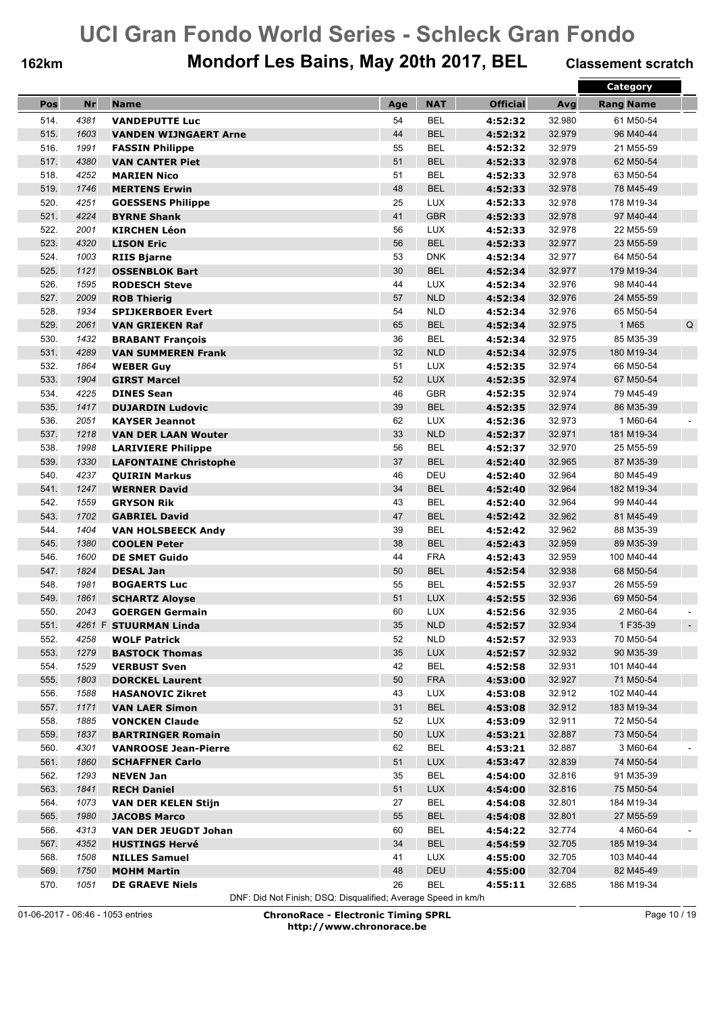## **162km Mondorf Les Bains, May 20th 2017, BEL Classement scratch**

|      |              |                              |     |            |                 |        | Category         |
|------|--------------|------------------------------|-----|------------|-----------------|--------|------------------|
| Pos  | <b>Nr</b>    | <b>Name</b>                  | Age | <b>NAT</b> | <b>Official</b> | Avg    | <b>Rang Name</b> |
| 514. | 4381         | <b>VANDEPUTTE Luc</b>        | 54  | <b>BEL</b> | 4:52:32         | 32.980 | 61 M50-54        |
| 515. | 1603         | <b>VANDEN WIJNGAERT Arne</b> | 44  | <b>BEL</b> | 4:52:32         | 32.979 | 96 M40-44        |
| 516. | 1991         | <b>FASSIN Philippe</b>       | 55  | <b>BEL</b> | 4:52:32         | 32.979 | 21 M55-59        |
| 517. | 4380         | <b>VAN CANTER Piet</b>       | 51  | <b>BEL</b> | 4:52:33         | 32.978 | 62 M50-54        |
| 518. | 4252         | <b>MARIEN Nico</b>           | 51  | <b>BEL</b> | 4:52:33         | 32.978 | 63 M50-54        |
| 519. | 1746         | <b>MERTENS Erwin</b>         | 48  | <b>BEL</b> | 4:52:33         | 32.978 | 78 M45-49        |
| 520. | 4251         | <b>GOESSENS Philippe</b>     | 25  | <b>LUX</b> | 4:52:33         | 32.978 | 178 M19-34       |
| 521. | 4224         | <b>BYRNE Shank</b>           | 41  | <b>GBR</b> | 4:52:33         | 32.978 | 97 M40-44        |
| 522. | 2001         | <b>KIRCHEN Léon</b>          | 56  | <b>LUX</b> | 4:52:33         | 32.978 | 22 M55-59        |
| 523. | 4320         | <b>LISON Eric</b>            | 56  | <b>BEL</b> | 4:52:33         | 32.977 | 23 M55-59        |
| 524. | 1003         | <b>RIIS Bjarne</b>           | 53  | <b>DNK</b> | 4:52:34         | 32.977 | 64 M50-54        |
| 525. | 1121         |                              | 30  | <b>BEL</b> |                 | 32.977 | 179 M19-34       |
| 526. | 1595         | <b>OSSENBLOK Bart</b>        | 44  | <b>LUX</b> | 4:52:34         | 32.976 |                  |
|      |              | <b>RODESCH Steve</b>         |     |            | 4:52:34         |        | 98 M40-44        |
| 527. | 2009         | <b>ROB Thierig</b>           | 57  | <b>NLD</b> | 4:52:34         | 32.976 | 24 M55-59        |
| 528. | 1934         | <b>SPIJKERBOER Evert</b>     | 54  | <b>NLD</b> | 4:52:34         | 32.976 | 65 M50-54        |
| 529. | 2061         | <b>VAN GRIEKEN Raf</b>       | 65  | <b>BEL</b> | 4:52:34         | 32.975 | 1 M65<br>Q       |
| 530. | 1432         | <b>BRABANT François</b>      | 36  | <b>BEL</b> | 4:52:34         | 32.975 | 85 M35-39        |
| 531. | 4289         | <b>VAN SUMMEREN Frank</b>    | 32  | <b>NLD</b> | 4:52:34         | 32.975 | 180 M19-34       |
| 532. | 1864         | <b>WEBER Guy</b>             | 51  | <b>LUX</b> | 4:52:35         | 32.974 | 66 M50-54        |
| 533. | 1904         | <b>GIRST Marcel</b>          | 52  | <b>LUX</b> | 4:52:35         | 32.974 | 67 M50-54        |
| 534. | 4225         | <b>DINES Sean</b>            | 46  | <b>GBR</b> | 4:52:35         | 32.974 | 79 M45-49        |
| 535. | 1417         | <b>DUJARDIN Ludovic</b>      | 39  | <b>BEL</b> | 4:52:35         | 32.974 | 86 M35-39        |
| 536. | 2051         | <b>KAYSER Jeannot</b>        | 62  | <b>LUX</b> | 4:52:36         | 32.973 | 1 M60-64         |
| 537. | 1218         | <b>VAN DER LAAN Wouter</b>   | 33  | <b>NLD</b> | 4:52:37         | 32.971 | 181 M19-34       |
| 538. | 1998         | <b>LARIVIERE Philippe</b>    | 56  | <b>BEL</b> | 4:52:37         | 32.970 | 25 M55-59        |
| 539. | 1330         | <b>LAFONTAINE Christophe</b> | 37  | <b>BEL</b> | 4:52:40         | 32.965 | 87 M35-39        |
| 540. | 4237         | <b>QUIRIN Markus</b>         | 46  | DEU        | 4:52:40         | 32.964 | 80 M45-49        |
| 541. | 1247         | <b>WERNER David</b>          | 34  | <b>BEL</b> | 4:52:40         | 32.964 | 182 M19-34       |
| 542. | 1559         | <b>GRYSON Rik</b>            | 43  | <b>BEL</b> | 4:52:40         | 32.964 | 99 M40-44        |
| 543. | 1702         | <b>GABRIEL David</b>         | 47  | <b>BEL</b> | 4:52:42         | 32.962 | 81 M45-49        |
| 544. | 1404         | <b>VAN HOLSBEECK Andy</b>    | 39  | <b>BEL</b> | 4:52:42         | 32.962 | 88 M35-39        |
| 545. | 1380         | <b>COOLEN Peter</b>          | 38  | <b>BEL</b> | 4:52:43         | 32.959 | 89 M35-39        |
| 546. | 1600         | <b>DE SMET Guido</b>         | 44  | <b>FRA</b> | 4:52:43         | 32.959 | 100 M40-44       |
| 547. | 1824         | <b>DESAL Jan</b>             | 50  | <b>BEL</b> | 4:52:54         | 32.938 | 68 M50-54        |
| 548. | 1981         | <b>BOGAERTS Luc</b>          | 55  | <b>BEL</b> | 4:52:55         | 32.937 | 26 M55-59        |
| 549. | 1861         | <b>SCHARTZ Aloyse</b>        | 51  | <b>LUX</b> | 4:52:55         | 32.936 | 69 M50-54        |
| 550. | 2043         | <b>GOERGEN Germain</b>       | 60  | <b>LUX</b> | 4:52:56         | 32.935 | 2 M60-64         |
| 551. |              | 4261 F STUURMAN Linda        | 35  | <b>NLD</b> | 4:52:57         | 32.934 | 1F35-39          |
| 552. | 4258         | <b>WOLF Patrick</b>          | 52  | <b>NLD</b> | 4:52:57         | 32.933 | 70 M50-54        |
| 553. | 1279         | <b>BASTOCK Thomas</b>        | 35  | LUX        | 4:52:57         | 32.932 | 90 M35-39        |
| 554. | 1529         | <b>VERBUST Sven</b>          | 42  | <b>BEL</b> | 4:52:58         | 32.931 | 101 M40-44       |
| 555. | 1803         | <b>DORCKEL Laurent</b>       | 50  | <b>FRA</b> | 4:53:00         | 32.927 | 71 M50-54        |
| 556. | 1588         | <b>HASANOVIC Zikret</b>      | 43  | LUX        | 4:53:08         | 32.912 | 102 M40-44       |
| 557. | 1171         | <b>VAN LAER Simon</b>        | 31  | <b>BEL</b> | 4:53:08         | 32.912 | 183 M19-34       |
| 558. | 1885         | <b>VONCKEN Claude</b>        | 52  | LUX        | 4:53:09         | 32.911 | 72 M50-54        |
| 559. | 1837         | <b>BARTRINGER Romain</b>     | 50  | <b>LUX</b> | 4:53:21         | 32.887 | 73 M50-54        |
| 560. | 4301         | <b>VANROOSE Jean-Pierre</b>  | 62  | <b>BEL</b> | 4:53:21         | 32.887 | 3 M60-64         |
| 561. |              |                              | 51  | <b>LUX</b> |                 | 32.839 | 74 M50-54        |
|      | 1860<br>1293 | <b>SCHAFFNER Carlo</b>       |     | <b>BEL</b> | 4:53:47         |        |                  |
| 562. |              | <b>NEVEN Jan</b>             | 35  |            | 4:54:00         | 32.816 | 91 M35-39        |
| 563. | 1841         | <b>RECH Daniel</b>           | 51  | <b>LUX</b> | 4:54:00         | 32.816 | 75 M50-54        |
| 564. | 1073         | <b>VAN DER KELEN Stijn</b>   | 27  | <b>BEL</b> | 4:54:08         | 32.801 | 184 M19-34       |
| 565. | 1980         | <b>JACOBS Marco</b>          | 55  | <b>BEL</b> | 4:54:08         | 32.801 | 27 M55-59        |
| 566. | 4313         | <b>VAN DER JEUGDT Johan</b>  | 60  | <b>BEL</b> | 4:54:22         | 32.774 | 4 M60-64         |
| 567. | 4352         | <b>HUSTINGS Hervé</b>        | 34  | <b>BEL</b> | 4:54:59         | 32.705 | 185 M19-34       |
| 568. | 1508         | <b>NILLES Samuel</b>         | 41  | LUX        | 4:55:00         | 32.705 | 103 M40-44       |
| 569. | 1750         | <b>MOHM Martin</b>           | 48  | DEU        | 4:55:00         | 32.704 | 82 M45-49        |
| 570. | 1051         | <b>DE GRAEVE Niels</b>       | 26  | <b>BEL</b> | 4:55:11         | 32.685 | 186 M19-34       |

DNF: Did Not Finish; DSQ: Disqualified; Average Speed in km/h

01-06-2017 - 06:46 - 1053 entries **ChronoRace - Electronic Timing SPRL http://www.chronorace.be**

Page 10 / 19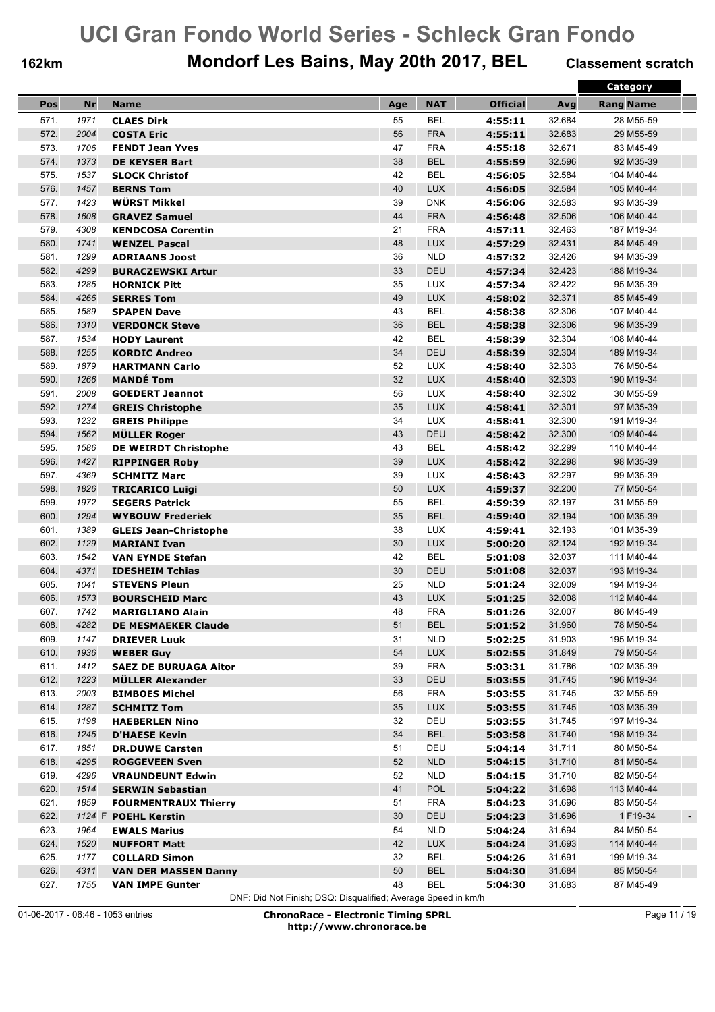## **162km Mondorf Les Bains, May 20th 2017, BEL Classement scratch**

|      |           |                              |     |                          |                 |        | <b>Category</b>    |
|------|-----------|------------------------------|-----|--------------------------|-----------------|--------|--------------------|
| Pos  | <b>Nr</b> | <b>Name</b>                  | Age | <b>NAT</b>               | <b>Official</b> | Avg    | <b>Rang Name</b>   |
| 571. | 1971      | <b>CLAES Dirk</b>            | 55  | <b>BEL</b>               | 4:55:11         | 32.684 | 28 M55-59          |
| 572. | 2004      | <b>COSTA Eric</b>            | 56  | <b>FRA</b>               | 4:55:11         | 32.683 | 29 M55-59          |
| 573. | 1706      | <b>FENDT Jean Yves</b>       | 47  | <b>FRA</b>               | 4:55:18         | 32.671 | 83 M45-49          |
| 574. | 1373      | <b>DE KEYSER Bart</b>        | 38  | <b>BEL</b>               | 4:55:59         | 32.596 | 92 M35-39          |
| 575. | 1537      | <b>SLOCK Christof</b>        | 42  | <b>BEL</b>               | 4:56:05         | 32.584 | 104 M40-44         |
| 576. | 1457      | <b>BERNS Tom</b>             | 40  | <b>LUX</b>               | 4:56:05         | 32.584 | 105 M40-44         |
| 577. | 1423      | WÜRST Mikkel                 | 39  | <b>DNK</b>               | 4:56:06         | 32.583 | 93 M35-39          |
| 578. | 1608      | <b>GRAVEZ Samuel</b>         | 44  | <b>FRA</b>               | 4:56:48         | 32.506 | 106 M40-44         |
| 579. | 4308      | <b>KENDCOSA Corentin</b>     | 21  | <b>FRA</b>               | 4:57:11         | 32.463 | 187 M19-34         |
| 580. | 1741      | <b>WENZEL Pascal</b>         | 48  | <b>LUX</b>               | 4:57:29         | 32.431 | 84 M45-49          |
| 581. | 1299      | <b>ADRIAANS Joost</b>        | 36  | <b>NLD</b>               | 4:57:32         | 32.426 | 94 M35-39          |
| 582. | 4299      | <b>BURACZEWSKI Artur</b>     | 33  | <b>DEU</b>               | 4:57:34         | 32.423 | 188 M19-34         |
| 583. | 1285      | <b>HORNICK Pitt</b>          | 35  | <b>LUX</b>               | 4:57:34         | 32.422 | 95 M35-39          |
| 584. | 4266      | <b>SERRES Tom</b>            | 49  | <b>LUX</b>               | 4:58:02         | 32.371 | 85 M45-49          |
| 585. | 1589      | <b>SPAPEN Dave</b>           | 43  | <b>BEL</b>               | 4:58:38         | 32.306 | 107 M40-44         |
| 586. | 1310      | <b>VERDONCK Steve</b>        | 36  | <b>BEL</b>               | 4:58:38         | 32.306 | 96 M35-39          |
| 587. | 1534      | <b>HODY Laurent</b>          | 42  | <b>BEL</b>               | 4:58:39         | 32.304 | 108 M40-44         |
| 588. | 1255      | <b>KORDIC Andreo</b>         | 34  | DEU                      | 4:58:39         | 32.304 | 189 M19-34         |
| 589. | 1879      | <b>HARTMANN Carlo</b>        | 52  | <b>LUX</b>               | 4:58:40         | 32.303 | 76 M50-54          |
| 590. | 1266      | <b>MANDÉ Tom</b>             | 32  | <b>LUX</b>               | 4:58:40         | 32.303 | 190 M19-34         |
| 591. | 2008      | <b>GOEDERT Jeannot</b>       | 56  | <b>LUX</b>               | 4:58:40         | 32.302 | 30 M55-59          |
| 592. | 1274      | <b>GREIS Christophe</b>      | 35  | <b>LUX</b>               | 4:58:41         | 32.301 | 97 M35-39          |
| 593. | 1232      |                              | 34  | <b>LUX</b>               |                 | 32.300 | 191 M19-34         |
| 594. | 1562      | <b>GREIS Philippe</b>        | 43  | DEU                      | 4:58:41         | 32.300 | 109 M40-44         |
|      |           | <b>MÜLLER Roger</b>          |     | <b>BEL</b>               | 4:58:42         |        |                    |
| 595. | 1586      | <b>DE WEIRDT Christophe</b>  | 43  |                          | 4:58:42         | 32.299 | 110 M40-44         |
| 596. | 1427      | <b>RIPPINGER Roby</b>        | 39  | <b>LUX</b><br><b>LUX</b> | 4:58:42         | 32.298 | 98 M35-39          |
| 597. | 4369      | <b>SCHMITZ Marc</b>          | 39  |                          | 4:58:43         | 32.297 | 99 M35-39          |
| 598. | 1826      | <b>TRICARICO Luigi</b>       | 50  | <b>LUX</b>               | 4:59:37         | 32.200 | 77 M50-54          |
| 599. | 1972      | <b>SEGERS Patrick</b>        | 55  | <b>BEL</b>               | 4:59:39         | 32.197 | 31 M55-59          |
| 600. | 1294      | <b>WYBOUW Frederiek</b>      | 35  | <b>BEL</b>               | 4:59:40         | 32.194 | 100 M35-39         |
| 601. | 1389      | <b>GLEIS Jean-Christophe</b> | 38  | <b>LUX</b>               | 4:59:41         | 32.193 | 101 M35-39         |
| 602. | 1129      | <b>MARIANI Ivan</b>          | 30  | <b>LUX</b>               | 5:00:20         | 32.124 | 192 M19-34         |
| 603. | 1542      | <b>VAN EYNDE Stefan</b>      | 42  | <b>BEL</b>               | 5:01:08         | 32.037 | 111 M40-44         |
| 604. | 4371      | <b>IDESHEIM Tchias</b>       | 30  | <b>DEU</b>               | 5:01:08         | 32.037 | 193 M19-34         |
| 605. | 1041      | <b>STEVENS Pleun</b>         | 25  | <b>NLD</b>               | 5:01:24         | 32.009 | 194 M19-34         |
| 606. | 1573      | <b>BOURSCHEID Marc</b>       | 43  | <b>LUX</b>               | 5:01:25         | 32.008 | 112 M40-44         |
| 607. | 1742      | <b>MARIGLIANO Alain</b>      | 48  | <b>FRA</b>               | 5:01:26         | 32.007 | 86 M45-49          |
| 608. | 4282      | DE MESMAEKER Claude          | 51  | <b>BEL</b>               | 5:01:52         | 31.960 | 78 M50-54          |
| 609. | 1147      | <b>DRIEVER Luuk</b>          | 31  | <b>NLD</b>               | 5:02:25         | 31.903 | 195 M19-34         |
| 610. | 1936      | <b>WEBER Guy</b>             | 54  | <b>LUX</b>               | 5:02:55         | 31.849 | 79 M50-54          |
| 611. | 1412      | <b>SAEZ DE BURUAGA Aitor</b> | 39  | <b>FRA</b>               | 5:03:31         | 31.786 | 102 M35-39         |
| 612. | 1223      | <b>MÜLLER Alexander</b>      | 33  | <b>DEU</b>               | 5:03:55         | 31.745 | 196 M19-34         |
| 613. | 2003      | <b>BIMBOES Michel</b>        | 56  | <b>FRA</b>               | 5:03:55         | 31.745 | 32 M55-59          |
| 614. | 1287      | <b>SCHMITZ Tom</b>           | 35  | <b>LUX</b>               | 5:03:55         | 31.745 | 103 M35-39         |
| 615. | 1198      | <b>HAEBERLEN Nino</b>        | 32  | DEU                      | 5:03:55         | 31.745 | 197 M19-34         |
| 616. | 1245      | <b>D'HAESE Kevin</b>         | 34  | <b>BEL</b>               | 5:03:58         | 31.740 | 198 M19-34         |
| 617. | 1851      | <b>DR.DUWE Carsten</b>       | 51  | DEU                      | 5:04:14         | 31.711 | 80 M50-54          |
| 618. | 4295      | <b>ROGGEVEEN Sven</b>        | 52  | <b>NLD</b>               | 5:04:15         | 31.710 | 81 M50-54          |
| 619. | 4296      | <b>VRAUNDEUNT Edwin</b>      | 52  | <b>NLD</b>               | 5:04:15         | 31.710 | 82 M50-54          |
| 620. | 1514      | <b>SERWIN Sebastian</b>      | 41  | POL                      | 5:04:22         | 31.698 | 113 M40-44         |
| 621. | 1859      | <b>FOURMENTRAUX Thierry</b>  | 51  | <b>FRA</b>               | 5:04:23         | 31.696 | 83 M50-54          |
| 622. |           | 1124 F POEHL Kerstin         | 30  | DEU                      | 5:04:23         | 31.696 | 1 F19-34<br>$\sim$ |
| 623. | 1964      | <b>EWALS Marius</b>          | 54  | <b>NLD</b>               | 5:04:24         | 31.694 | 84 M50-54          |
| 624. | 1520      | <b>NUFFORT Matt</b>          | 42  | LUX                      | 5:04:24         | 31.693 | 114 M40-44         |
| 625. | 1177      | <b>COLLARD Simon</b>         | 32  | <b>BEL</b>               | 5:04:26         | 31.691 | 199 M19-34         |
| 626. | 4311      | <b>VAN DER MASSEN Danny</b>  | 50  | <b>BEL</b>               | 5:04:30         | 31.684 | 85 M50-54          |
| 627. | 1755      | <b>VAN IMPE Gunter</b>       | 48  | <b>BEL</b>               | 5:04:30         | 31.683 | 87 M45-49          |

DNF: Did Not Finish; DSQ: Disqualified; Average Speed in km/h

01-06-2017 - 06:46 - 1053 entries **ChronoRace - Electronic Timing SPRL http://www.chronorace.be**

Page 11 / 19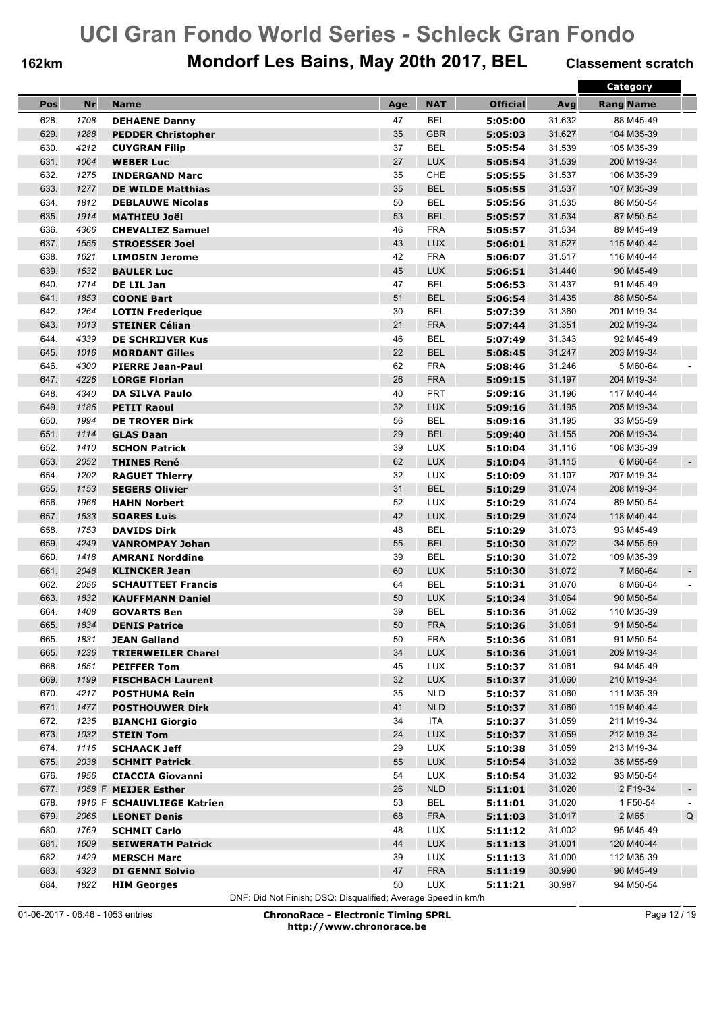## **162km Mondorf Les Bains, May 20th 2017, BEL Classement scratch**

|      |           |                                            |     |            |                 |        | <b>Category</b>                      |
|------|-----------|--------------------------------------------|-----|------------|-----------------|--------|--------------------------------------|
| Pos  | <b>Nr</b> | <b>Name</b>                                | Age | <b>NAT</b> | <b>Official</b> | Avg    | <b>Rang Name</b>                     |
| 628. | 1708      | <b>DEHAENE Danny</b>                       | 47  | <b>BEL</b> | 5:05:00         | 31.632 | 88 M45-49                            |
| 629. | 1288      | <b>PEDDER Christopher</b>                  | 35  | <b>GBR</b> | 5:05:03         | 31.627 | 104 M35-39                           |
| 630. | 4212      | <b>CUYGRAN Filip</b>                       | 37  | <b>BEL</b> | 5:05:54         | 31.539 | 105 M35-39                           |
| 631. | 1064      | <b>WEBER Luc</b>                           | 27  | <b>LUX</b> | 5:05:54         | 31.539 | 200 M19-34                           |
| 632. | 1275      | <b>INDERGAND Marc</b>                      | 35  | <b>CHE</b> | 5:05:55         | 31.537 | 106 M35-39                           |
| 633. | 1277      | <b>DE WILDE Matthias</b>                   | 35  | <b>BEL</b> | 5:05:55         | 31.537 | 107 M35-39                           |
| 634. | 1812      | <b>DEBLAUWE Nicolas</b>                    | 50  | <b>BEL</b> | 5:05:56         | 31.535 | 86 M50-54                            |
| 635. | 1914      | <b>MATHIEU Joël</b>                        | 53  | <b>BEL</b> | 5:05:57         | 31.534 | 87 M50-54                            |
| 636. | 4366      | <b>CHEVALIEZ Samuel</b>                    | 46  | <b>FRA</b> | 5:05:57         | 31.534 | 89 M45-49                            |
| 637. | 1555      | <b>STROESSER Joel</b>                      | 43  | LUX        | 5:06:01         | 31.527 | 115 M40-44                           |
| 638. | 1621      |                                            | 42  | <b>FRA</b> | 5:06:07         | 31.517 | 116 M40-44                           |
| 639. | 1632      | <b>LIMOSIN Jerome</b><br><b>BAULER Luc</b> | 45  | <b>LUX</b> | 5:06:51         | 31.440 | 90 M45-49                            |
| 640. | 1714      |                                            | 47  | <b>BEL</b> |                 | 31.437 | 91 M45-49                            |
|      |           | DE LIL Jan                                 |     |            | 5:06:53         |        |                                      |
| 641. | 1853      | <b>COONE Bart</b>                          | 51  | <b>BEL</b> | 5:06:54         | 31.435 | 88 M50-54                            |
| 642. | 1264      | <b>LOTIN Frederique</b>                    | 30  | <b>BEL</b> | 5:07:39         | 31.360 | 201 M19-34                           |
| 643. | 1013      | <b>STEINER Célian</b>                      | 21  | <b>FRA</b> | 5:07:44         | 31.351 | 202 M19-34                           |
| 644. | 4339      | <b>DE SCHRIJVER Kus</b>                    | 46  | <b>BEL</b> | 5:07:49         | 31.343 | 92 M45-49                            |
| 645. | 1016      | <b>MORDANT Gilles</b>                      | 22  | <b>BEL</b> | 5:08:45         | 31.247 | 203 M19-34                           |
| 646. | 4300      | <b>PIERRE Jean-Paul</b>                    | 62  | <b>FRA</b> | 5:08:46         | 31.246 | 5 M60-64                             |
| 647. | 4226      | <b>LORGE Florian</b>                       | 26  | <b>FRA</b> | 5:09:15         | 31.197 | 204 M19-34                           |
| 648. | 4340      | <b>DA SILVA Paulo</b>                      | 40  | <b>PRT</b> | 5:09:16         | 31.196 | 117 M40-44                           |
| 649. | 1186      | <b>PETIT Raoul</b>                         | 32  | <b>LUX</b> | 5:09:16         | 31.195 | 205 M19-34                           |
| 650. | 1994      | <b>DE TROYER Dirk</b>                      | 56  | <b>BEL</b> | 5:09:16         | 31.195 | 33 M55-59                            |
| 651. | 1114      | <b>GLAS Daan</b>                           | 29  | <b>BEL</b> | 5:09:40         | 31.155 | 206 M19-34                           |
| 652. | 1410      | <b>SCHON Patrick</b>                       | 39  | <b>LUX</b> | 5:10:04         | 31.116 | 108 M35-39                           |
| 653. | 2052      | <b>THINES René</b>                         | 62  | <b>LUX</b> | 5:10:04         | 31.115 | 6 M60-64                             |
| 654. | 1202      | <b>RAGUET Thierry</b>                      | 32  | <b>LUX</b> | 5:10:09         | 31.107 | 207 M19-34                           |
| 655. | 1153      | <b>SEGERS Olivier</b>                      | 31  | <b>BEL</b> | 5:10:29         | 31.074 | 208 M19-34                           |
| 656. | 1966      | <b>HAHN Norbert</b>                        | 52  | <b>LUX</b> | 5:10:29         | 31.074 | 89 M50-54                            |
| 657. | 1533      | <b>SOARES Luis</b>                         | 42  | LUX        | 5:10:29         | 31.074 | 118 M40-44                           |
| 658. | 1753      | <b>DAVIDS Dirk</b>                         | 48  | <b>BEL</b> | 5:10:29         | 31.073 | 93 M45-49                            |
| 659. | 4249      | <b>VANROMPAY Johan</b>                     | 55  | <b>BEL</b> | 5:10:30         | 31.072 | 34 M55-59                            |
| 660. | 1418      | <b>AMRANI Norddine</b>                     | 39  | <b>BEL</b> | 5:10:30         | 31.072 | 109 M35-39                           |
| 661. | 2048      | <b>KLINCKER Jean</b>                       | 60  | <b>LUX</b> | 5:10:30         | 31.072 | 7 M60-64                             |
| 662. | 2056      | <b>SCHAUTTEET Francis</b>                  | 64  | <b>BEL</b> | 5:10:31         | 31.070 | 8 M60-64                             |
| 663. | 1832      | <b>KAUFFMANN Daniel</b>                    | 50  | <b>LUX</b> | 5:10:34         | 31.064 | 90 M50-54                            |
| 664. | 1408      | <b>GOVARTS Ben</b>                         | 39  | <b>BEL</b> | 5:10:36         | 31.062 | 110 M35-39                           |
| 665. | 1834      | <b>DENIS Patrice</b>                       | 50  | FRA        | 5:10:36         | 31.061 | 91 M50-54                            |
| 665. | 1831      | <b>JEAN Galland</b>                        | 50  | <b>FRA</b> | 5:10:36         | 31.061 | 91 M50-54                            |
| 665. | 1236      | <b>TRIERWEILER Charel</b>                  | 34  | LUX        | 5:10:36         | 31.061 | 209 M19-34                           |
| 668. | 1651      | <b>PEIFFER Tom</b>                         | 45  | LUX        | 5:10:37         | 31.061 | 94 M45-49                            |
| 669. | 1199      | <b>FISCHBACH Laurent</b>                   | 32  | <b>LUX</b> | 5:10:37         | 31.060 | 210 M19-34                           |
| 670. | 4217      | <b>POSTHUMA Rein</b>                       | 35  | <b>NLD</b> | 5:10:37         | 31.060 | 111 M35-39                           |
| 671. | 1477      | <b>POSTHOUWER Dirk</b>                     | 41  | <b>NLD</b> | 5:10:37         | 31.060 | 119 M40-44                           |
| 672. | 1235      | <b>BIANCHI Giorgio</b>                     | 34  | ITA        | 5:10:37         | 31.059 | 211 M19-34                           |
| 673. | 1032      |                                            | 24  | <b>LUX</b> | 5:10:37         | 31.059 | 212 M19-34                           |
| 674. | 1116      | <b>STEIN Tom</b><br><b>SCHAACK Jeff</b>    | 29  | <b>LUX</b> | 5:10:38         | 31.059 | 213 M19-34                           |
| 675. | 2038      |                                            | 55  | LUX        |                 | 31.032 | 35 M55-59                            |
|      |           | <b>SCHMIT Patrick</b>                      |     |            | 5:10:54         |        |                                      |
| 676. | 1956      | <b>CIACCIA Giovanni</b>                    | 54  | LUX        | 5:10:54         | 31.032 | 93 M50-54                            |
| 677. |           | 1058 F MEIJER Esther                       | 26  | NLD        | 5:11:01         | 31.020 | 2 F19-34<br>$\overline{\phantom{a}}$ |
| 678. |           | 1916 F SCHAUVLIEGE Katrien                 | 53  | <b>BEL</b> | 5:11:01         | 31.020 | 1 F50-54                             |
| 679. | 2066      | <b>LEONET Denis</b>                        | 68  | <b>FRA</b> | 5:11:03         | 31.017 | $\sf Q$<br>2 M65                     |
| 680. | 1769      | <b>SCHMIT Carlo</b>                        | 48  | <b>LUX</b> | 5:11:12         | 31.002 | 95 M45-49                            |
| 681. | 1609      | <b>SEIWERATH Patrick</b>                   | 44  | <b>LUX</b> | 5:11:13         | 31.001 | 120 M40-44                           |
| 682. | 1429      | <b>MERSCH Marc</b>                         | 39  | LUX        | 5:11:13         | 31.000 | 112 M35-39                           |
| 683. | 4323      | <b>DI GENNI Solvio</b>                     | 47  | <b>FRA</b> | 5:11:19         | 30.990 | 96 M45-49                            |
| 684. | 1822      | <b>HIM Georges</b>                         | 50  | LUX        | 5:11:21         | 30.987 | 94 M50-54                            |

DNF: Did Not Finish; DSQ: Disqualified; Average Speed in km/h

01-06-2017 - 06:46 - 1053 entries **ChronoRace - Electronic Timing SPRL http://www.chronorace.be**

Page 12 / 19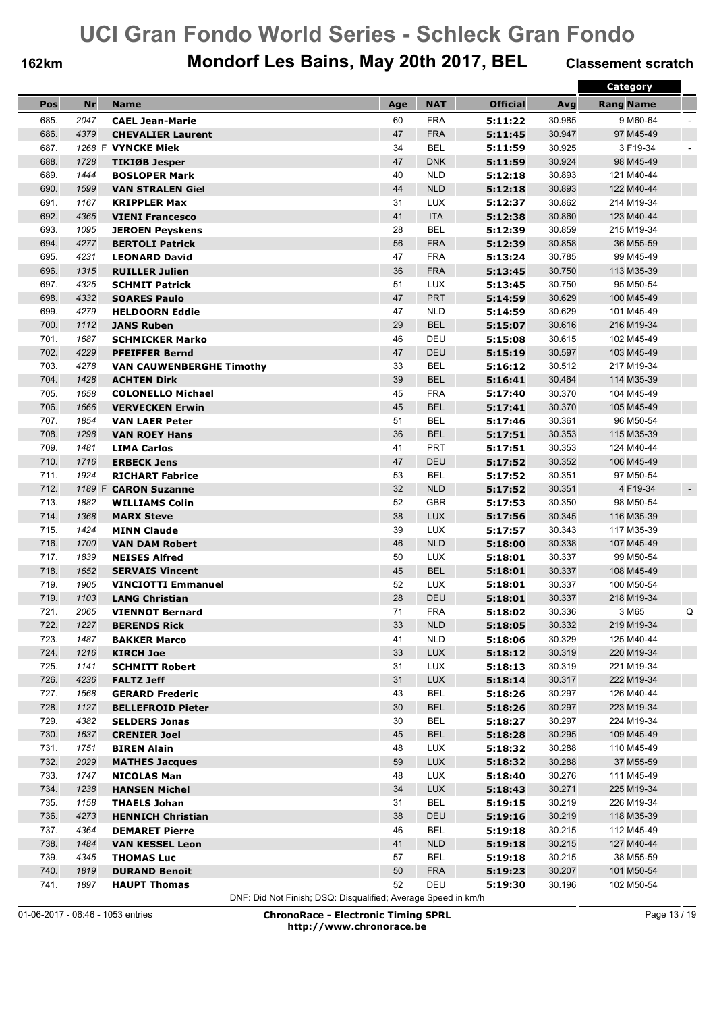## **162km Mondorf Les Bains, May 20th 2017, BEL Classement scratch**

|      |           |                                 |     |            |                 |        | Category                             |
|------|-----------|---------------------------------|-----|------------|-----------------|--------|--------------------------------------|
| Pos  | <b>Nr</b> | <b>Name</b>                     | Age | <b>NAT</b> | <b>Official</b> | Avg    | <b>Rang Name</b>                     |
| 685. | 2047      | <b>CAEL Jean-Marie</b>          | 60  | <b>FRA</b> | 5:11:22         | 30.985 | 9 M60-64                             |
| 686. | 4379      | <b>CHEVALIER Laurent</b>        | 47  | <b>FRA</b> | 5:11:45         | 30.947 | 97 M45-49                            |
| 687. |           | 1268 F VYNCKE Miek              | 34  | <b>BEL</b> | 5:11:59         | 30.925 | 3 F19-34                             |
| 688. | 1728      | TIKIØB Jesper                   | 47  | <b>DNK</b> | 5:11:59         | 30.924 | 98 M45-49                            |
| 689. | 1444      | <b>BOSLOPER Mark</b>            | 40  | <b>NLD</b> | 5:12:18         | 30.893 | 121 M40-44                           |
| 690. | 1599      | <b>VAN STRALEN Giel</b>         | 44  | <b>NLD</b> | 5:12:18         | 30.893 | 122 M40-44                           |
| 691. | 1167      | <b>KRIPPLER Max</b>             | 31  | LUX        | 5:12:37         | 30.862 | 214 M19-34                           |
| 692. | 4365      | <b>VIENI Francesco</b>          | 41  | <b>ITA</b> | 5:12:38         | 30.860 | 123 M40-44                           |
| 693. | 1095      | <b>JEROEN Peyskens</b>          | 28  | <b>BEL</b> | 5:12:39         | 30.859 | 215 M19-34                           |
| 694. | 4277      | <b>BERTOLI Patrick</b>          | 56  | <b>FRA</b> | 5:12:39         | 30.858 | 36 M55-59                            |
| 695. | 4231      | <b>LEONARD David</b>            | 47  | <b>FRA</b> | 5:13:24         | 30.785 | 99 M45-49                            |
| 696. | 1315      | <b>RUILLER Julien</b>           | 36  | <b>FRA</b> | 5:13:45         | 30.750 | 113 M35-39                           |
| 697. | 4325      | <b>SCHMIT Patrick</b>           | 51  | <b>LUX</b> | 5:13:45         | 30.750 | 95 M50-54                            |
| 698. | 4332      | <b>SOARES Paulo</b>             | 47  | <b>PRT</b> | 5:14:59         | 30.629 | 100 M45-49                           |
| 699. | 4279      |                                 | 47  | <b>NLD</b> |                 | 30.629 | 101 M45-49                           |
| 700. |           | <b>HELDOORN Eddie</b>           |     | <b>BEL</b> | 5:14:59         |        | 216 M19-34                           |
|      | 1112      | <b>JANS Ruben</b>               | 29  |            | 5:15:07         | 30.616 |                                      |
| 701. | 1687      | <b>SCHMICKER Marko</b>          | 46  | DEU        | 5:15:08         | 30.615 | 102 M45-49                           |
| 702. | 4229      | <b>PFEIFFER Bernd</b>           | 47  | <b>DEU</b> | 5:15:19         | 30.597 | 103 M45-49                           |
| 703. | 4278      | <b>VAN CAUWENBERGHE Timothy</b> | 33  | <b>BEL</b> | 5:16:12         | 30.512 | 217 M19-34                           |
| 704. | 1428      | <b>ACHTEN Dirk</b>              | 39  | <b>BEL</b> | 5:16:41         | 30.464 | 114 M35-39                           |
| 705. | 1658      | <b>COLONELLO Michael</b>        | 45  | <b>FRA</b> | 5:17:40         | 30.370 | 104 M45-49                           |
| 706. | 1666      | <b>VERVECKEN Erwin</b>          | 45  | <b>BEL</b> | 5:17:41         | 30.370 | 105 M45-49                           |
| 707. | 1854      | <b>VAN LAER Peter</b>           | 51  | <b>BEL</b> | 5:17:46         | 30.361 | 96 M50-54                            |
| 708. | 1298      | <b>VAN ROEY Hans</b>            | 36  | <b>BEL</b> | 5:17:51         | 30.353 | 115 M35-39                           |
| 709. | 1481      | <b>LIMA Carlos</b>              | 41  | <b>PRT</b> | 5:17:51         | 30.353 | 124 M40-44                           |
| 710. | 1716      | <b>ERBECK Jens</b>              | 47  | <b>DEU</b> | 5:17:52         | 30.352 | 106 M45-49                           |
| 711. | 1924      | <b>RICHART Fabrice</b>          | 53  | <b>BEL</b> | 5:17:52         | 30.351 | 97 M50-54                            |
| 712. | 1189 F    | <b>CARON Suzanne</b>            | 32  | <b>NLD</b> | 5:17:52         | 30.351 | 4 F19-34<br>$\overline{\phantom{a}}$ |
| 713. | 1882      | <b>WILLIAMS Colin</b>           | 52  | <b>GBR</b> | 5:17:53         | 30.350 | 98 M50-54                            |
| 714. | 1368      | <b>MARX Steve</b>               | 38  | <b>LUX</b> | 5:17:56         | 30.345 | 116 M35-39                           |
| 715. | 1424      | <b>MINN Claude</b>              | 39  | LUX        | 5:17:57         | 30.343 | 117 M35-39                           |
| 716. | 1700      | <b>VAN DAM Robert</b>           | 46  | <b>NLD</b> | 5:18:00         | 30.338 | 107 M45-49                           |
| 717. | 1839      | <b>NEISES Alfred</b>            | 50  | LUX        | 5:18:01         | 30.337 | 99 M50-54                            |
| 718. | 1652      | <b>SERVAIS Vincent</b>          | 45  | <b>BEL</b> | 5:18:01         | 30.337 | 108 M45-49                           |
| 719. | 1905      | <b>VINCIOTTI Emmanuel</b>       | 52  | <b>LUX</b> | 5:18:01         | 30.337 | 100 M50-54                           |
| 719. | 1103      | <b>LANG Christian</b>           | 28  | <b>DEU</b> | 5:18:01         | 30.337 | 218 M19-34                           |
| 721. | 2065      | <b>VIENNOT Bernard</b>          | 71  | <b>FRA</b> | 5:18:02         | 30.336 | 3 M65<br>Q                           |
| 722. | 1227      | <b>BERENDS Rick</b>             | 33  | <b>NLD</b> | 5:18:05         | 30.332 | 219 M19-34                           |
| 723. | 1487      | <b>BAKKER Marco</b>             | 41  | <b>NLD</b> | 5:18:06         | 30.329 | 125 M40-44                           |
| 724. | 1216      | <b>KIRCH Joe</b>                | 33  | <b>LUX</b> | 5:18:12         | 30.319 | 220 M19-34                           |
| 725. | 1141      | <b>SCHMITT Robert</b>           | 31  | LUX        | 5:18:13         | 30.319 | 221 M19-34                           |
| 726. | 4236      | <b>FALTZ Jeff</b>               | 31  | <b>LUX</b> | 5:18:14         | 30.317 | 222 M19-34                           |
| 727. | 1568      | <b>GERARD Frederic</b>          | 43  | <b>BEL</b> | 5:18:26         | 30.297 | 126 M40-44                           |
| 728. | 1127      | <b>BELLEFROID Pieter</b>        | 30  | <b>BEL</b> | 5:18:26         | 30.297 | 223 M19-34                           |
| 729. | 4382      | <b>SELDERS Jonas</b>            | 30  | <b>BEL</b> | 5:18:27         | 30.297 | 224 M19-34                           |
| 730. | 1637      | <b>CRENIER Joel</b>             | 45  | <b>BEL</b> | 5:18:28         | 30.295 | 109 M45-49                           |
| 731. | 1751      | <b>BIREN Alain</b>              | 48  | <b>LUX</b> | 5:18:32         | 30.288 | 110 M45-49                           |
| 732. | 2029      | <b>MATHES Jacques</b>           | 59  | <b>LUX</b> | 5:18:32         | 30.288 | 37 M55-59                            |
| 733. | 1747      | <b>NICOLAS Man</b>              | 48  | LUX        | 5:18:40         | 30.276 | 111 M45-49                           |
| 734. | 1238      | <b>HANSEN Michel</b>            | 34  | LUX        | 5:18:43         | 30.271 | 225 M19-34                           |
| 735. | 1158      | <b>THAELS Johan</b>             | 31  | <b>BEL</b> | 5:19:15         | 30.219 | 226 M19-34                           |
| 736. | 4273      | <b>HENNICH Christian</b>        | 38  | DEU        | 5:19:16         | 30.219 | 118 M35-39                           |
| 737. | 4364      | <b>DEMARET Pierre</b>           | 46  | <b>BEL</b> | 5:19:18         | 30.215 | 112 M45-49                           |
| 738. | 1484      | <b>VAN KESSEL Leon</b>          | 41  | <b>NLD</b> | 5:19:18         | 30.215 | 127 M40-44                           |
| 739. | 4345      | <b>THOMAS Luc</b>               | 57  | <b>BEL</b> | 5:19:18         | 30.215 | 38 M55-59                            |
| 740. | 1819      | <b>DURAND Benoit</b>            | 50  | <b>FRA</b> | 5:19:23         | 30.207 | 101 M50-54                           |
| 741. | 1897      | <b>HAUPT Thomas</b>             | 52  | DEU        | 5:19:30         | 30.196 | 102 M50-54                           |
|      |           |                                 |     |            |                 |        |                                      |

DNF: Did Not Finish; DSQ: Disqualified; Average Speed in km/h

01-06-2017 - 06:46 - 1053 entries **ChronoRace - Electronic Timing SPRL http://www.chronorace.be**

Page 13 / 19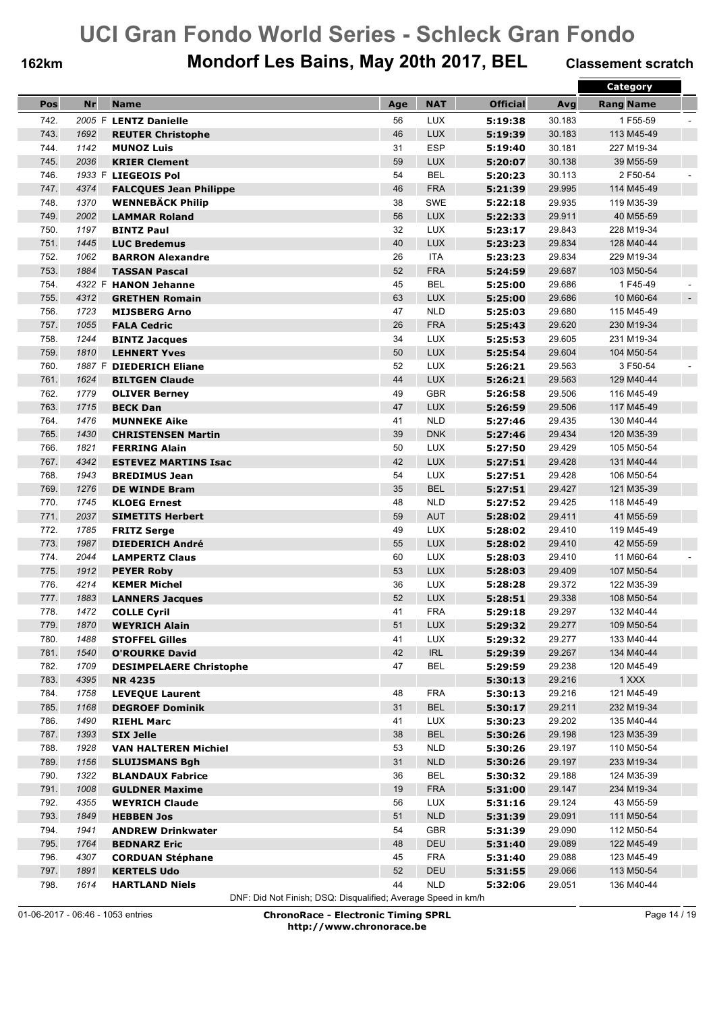## **162km Mondorf Les Bains, May 20th 2017, BEL Classement scratch**

|      |           |                                |     |                                    |                 |        | <b>Category</b>             |
|------|-----------|--------------------------------|-----|------------------------------------|-----------------|--------|-----------------------------|
| Pos  | <b>Nr</b> | <b>Name</b>                    | Age | <b>NAT</b>                         | <b>Official</b> | Avg    | <b>Rang Name</b>            |
| 742. |           | 2005 F LENTZ Danielle          | 56  | <b>LUX</b>                         | 5:19:38         | 30.183 | 1F55-59                     |
| 743. | 1692      |                                | 46  | <b>LUX</b>                         |                 | 30.183 |                             |
|      |           | <b>REUTER Christophe</b>       | 31  | <b>ESP</b>                         | 5:19:39         |        | 113 M45-49                  |
| 744. | 1142      | <b>MUNOZ Luis</b>              |     |                                    | 5:19:40         | 30.181 | 227 M19-34                  |
| 745. | 2036      | <b>KRIER Clement</b>           | 59  | <b>LUX</b>                         | 5:20:07         | 30.138 | 39 M55-59                   |
| 746. |           | 1933 F LIEGEOIS Pol            | 54  | <b>BEL</b>                         | 5:20:23         | 30.113 | 2 F50-54                    |
| 747. | 4374      | <b>FALCQUES Jean Philippe</b>  | 46  | <b>FRA</b>                         | 5:21:39         | 29.995 | 114 M45-49                  |
| 748. | 1370      | <b>WENNEBÄCK Philip</b>        | 38  | <b>SWE</b>                         | 5:22:18         | 29.935 | 119 M35-39                  |
| 749. | 2002      | <b>LAMMAR Roland</b>           | 56  | <b>LUX</b>                         | 5:22:33         | 29.911 | 40 M55-59                   |
| 750. | 1197      | <b>BINTZ Paul</b>              | 32  | <b>LUX</b>                         | 5:23:17         | 29.843 | 228 M19-34                  |
| 751. | 1445      | <b>LUC Bredemus</b>            | 40  | LUX                                | 5:23:23         | 29.834 | 128 M40-44                  |
| 752. | 1062      | <b>BARRON Alexandre</b>        | 26  | <b>ITA</b>                         | 5:23:23         | 29.834 | 229 M19-34                  |
| 753. | 1884      | <b>TASSAN Pascal</b>           | 52  | <b>FRA</b>                         | 5:24:59         | 29.687 | 103 M50-54                  |
| 754. |           | 4322 F HANON Jehanne           | 45  | <b>BEL</b>                         | 5:25:00         | 29.686 | 1 F45-49                    |
| 755. | 4312      | <b>GRETHEN Romain</b>          | 63  | <b>LUX</b>                         | 5:25:00         | 29.686 | 10 M60-64<br>$\blacksquare$ |
| 756. | 1723      | <b>MIJSBERG Arno</b>           | 47  | <b>NLD</b>                         | 5:25:03         | 29.680 | 115 M45-49                  |
| 757. | 1055      | <b>FALA Cedric</b>             | 26  | <b>FRA</b>                         | 5:25:43         | 29.620 | 230 M19-34                  |
| 758. | 1244      | <b>BINTZ Jacques</b>           | 34  | <b>LUX</b>                         | 5:25:53         | 29.605 | 231 M19-34                  |
| 759. | 1810      | <b>LEHNERT Yves</b>            | 50  | <b>LUX</b>                         | 5:25:54         | 29.604 | 104 M50-54                  |
| 760. |           | 1887 F DIEDERICH Eliane        | 52  | LUX                                | 5:26:21         | 29.563 | 3 F50-54                    |
| 761. | 1624      | <b>BILTGEN Claude</b>          | 44  | <b>LUX</b>                         | 5:26:21         | 29.563 | 129 M40-44                  |
| 762. | 1779      | <b>OLIVER Berney</b>           | 49  | <b>GBR</b>                         | 5:26:58         | 29.506 | 116 M45-49                  |
| 763. | 1715      | <b>BECK Dan</b>                | 47  | <b>LUX</b>                         | 5:26:59         | 29.506 | 117 M45-49                  |
| 764. | 1476      |                                | 41  | <b>NLD</b>                         |                 |        | 130 M40-44                  |
|      |           | <b>MUNNEKE Aike</b>            | 39  |                                    | 5:27:46         | 29.435 |                             |
| 765. | 1430      | <b>CHRISTENSEN Martin</b>      |     | <b>DNK</b>                         | 5:27:46         | 29.434 | 120 M35-39                  |
| 766. | 1821      | <b>FERRING Alain</b>           | 50  | <b>LUX</b>                         | 5:27:50         | 29.429 | 105 M50-54                  |
| 767. | 4342      | <b>ESTEVEZ MARTINS Isac</b>    | 42  | <b>LUX</b>                         | 5:27:51         | 29.428 | 131 M40-44                  |
| 768. | 1943      | <b>BREDIMUS Jean</b>           | 54  | <b>LUX</b>                         | 5:27:51         | 29.428 | 106 M50-54                  |
| 769. | 1276      | <b>DE WINDE Bram</b>           | 35  | <b>BEL</b>                         | 5:27:51         | 29.427 | 121 M35-39                  |
| 770. | 1745      | <b>KLOEG Ernest</b>            | 48  | <b>NLD</b>                         | 5:27:52         | 29.425 | 118 M45-49                  |
| 771. | 2037      | <b>SIMETITS Herbert</b>        | 59  | <b>AUT</b>                         | 5:28:02         | 29.411 | 41 M55-59                   |
| 772. | 1785      | <b>FRITZ Serge</b>             | 49  | <b>LUX</b>                         | 5:28:02         | 29.410 | 119 M45-49                  |
| 773. | 1987      | <b>DIEDERICH André</b>         | 55  | <b>LUX</b>                         | 5:28:02         | 29.410 | 42 M55-59                   |
| 774. | 2044      | <b>LAMPERTZ Claus</b>          | 60  | LUX                                | 5:28:03         | 29.410 | 11 M60-64                   |
| 775. | 1912      | <b>PEYER Roby</b>              | 53  | <b>LUX</b>                         | 5:28:03         | 29.409 | 107 M50-54                  |
| 776. | 4214      | <b>KEMER Michel</b>            | 36  | <b>LUX</b>                         | 5:28:28         | 29.372 | 122 M35-39                  |
| 777. | 1883      | <b>LANNERS Jacques</b>         | 52  | <b>LUX</b>                         | 5:28:51         | 29.338 | 108 M50-54                  |
| 778. | 1472      | <b>COLLE Cyril</b>             | 41  | <b>FRA</b>                         | 5:29:18         | 29.297 | 132 M40-44                  |
| 779. | 1870      | <b>WEYRICH Alain</b>           | 51  | <b>LUX</b>                         | 5:29:32         | 29.277 | 109 M50-54                  |
| 780. | 1488      | <b>STOFFEL Gilles</b>          | 41  | LUX                                | 5:29:32         | 29.277 | 133 M40-44                  |
| 781. | 1540      | <b>O'ROURKE David</b>          | 42  | $\ensuremath{\mathsf{IRL}}\xspace$ | 5:29:39         | 29.267 | 134 M40-44                  |
| 782. | 1709      | <b>DESIMPELAERE Christophe</b> | 47  | <b>BEL</b>                         | 5:29:59         | 29.238 | 120 M45-49                  |
| 783. | 4395      | <b>NR 4235</b>                 |     |                                    | 5:30:13         | 29.216 | 1 XXX                       |
| 784. | 1758      | <b>LEVEQUE Laurent</b>         | 48  | <b>FRA</b>                         | 5:30:13         | 29.216 | 121 M45-49                  |
| 785. | 1168      | <b>DEGROEF Dominik</b>         | 31  | <b>BEL</b>                         | 5:30:17         | 29.211 | 232 M19-34                  |
| 786. | 1490      | <b>RIEHL Marc</b>              | 41  | LUX                                | 5:30:23         | 29.202 | 135 M40-44                  |
| 787. | 1393      |                                | 38  | <b>BEL</b>                         | 5:30:26         | 29.198 | 123 M35-39                  |
|      |           | <b>SIX Jelle</b>               |     | <b>NLD</b>                         | 5:30:26         |        |                             |
| 788. | 1928      | <b>VAN HALTEREN Michiel</b>    | 53  |                                    |                 | 29.197 | 110 M50-54                  |
| 789. | 1156      | <b>SLUIJSMANS Bgh</b>          | 31  | NLD                                | 5:30:26         | 29.197 | 233 M19-34                  |
| 790. | 1322      | <b>BLANDAUX Fabrice</b>        | 36  | <b>BEL</b>                         | 5:30:32         | 29.188 | 124 M35-39                  |
| 791. | 1008      | <b>GULDNER Maxime</b>          | 19  | <b>FRA</b>                         | 5:31:00         | 29.147 | 234 M19-34                  |
| 792. | 4355      | <b>WEYRICH Claude</b>          | 56  | <b>LUX</b>                         | 5:31:16         | 29.124 | 43 M55-59                   |
| 793. | 1849      | <b>HEBBEN Jos</b>              | 51  | NLD                                | 5:31:39         | 29.091 | 111 M50-54                  |
| 794. | 1941      | <b>ANDREW Drinkwater</b>       | 54  | <b>GBR</b>                         | 5:31:39         | 29.090 | 112 M50-54                  |
| 795. | 1764      | <b>BEDNARZ Eric</b>            | 48  | DEU                                | 5:31:40         | 29.089 | 122 M45-49                  |
| 796. | 4307      | <b>CORDUAN Stéphane</b>        | 45  | <b>FRA</b>                         | 5:31:40         | 29.088 | 123 M45-49                  |
| 797. | 1891      | <b>KERTELS Udo</b>             | 52  | DEU                                | 5:31:55         | 29.066 | 113 M50-54                  |
| 798. | 1614      | <b>HARTLAND Niels</b>          | 44  | <b>NLD</b>                         | 5:32:06         | 29.051 | 136 M40-44                  |

DNF: Did Not Finish; DSQ: Disqualified; Average Speed in km/h

01-06-2017 - 06:46 - 1053 entries **ChronoRace - Electronic Timing SPRL http://www.chronorace.be**

Page 14 / 19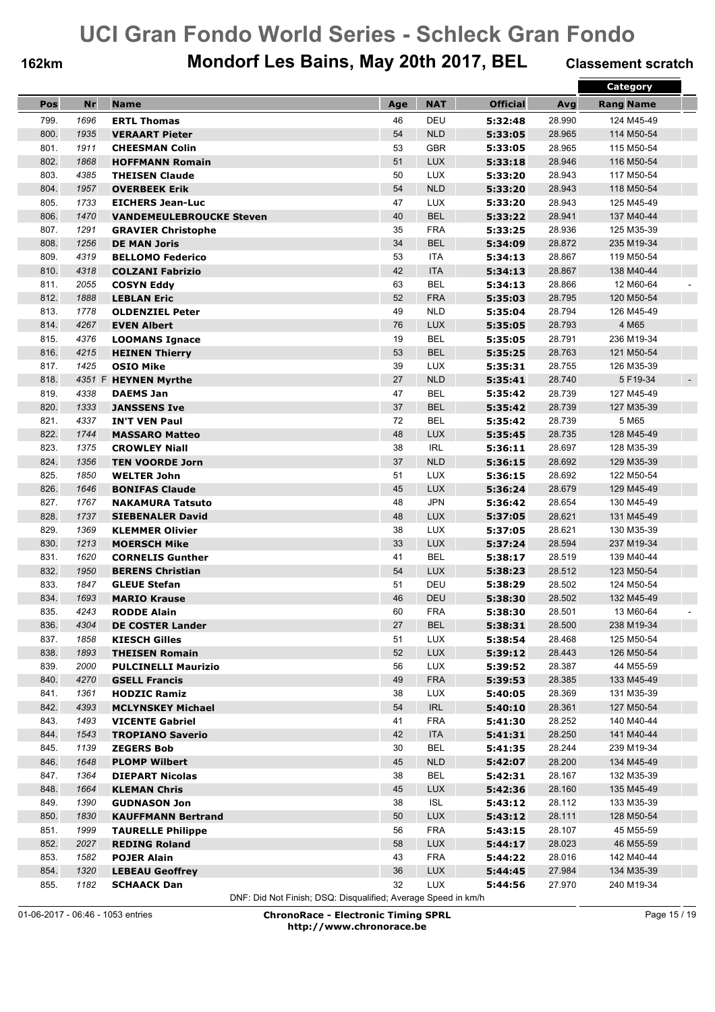## **162km Mondorf Les Bains, May 20th 2017, BEL Classement scratch**

|      |      |                                 |     |            |                 |        | <b>Category</b>            |
|------|------|---------------------------------|-----|------------|-----------------|--------|----------------------------|
| Pos  | Nr   | <b>Name</b>                     | Age | <b>NAT</b> | <b>Official</b> | Avg    | <b>Rang Name</b>           |
| 799. | 1696 | <b>ERTL Thomas</b>              | 46  | DEU        | 5:32:48         | 28.990 | 124 M45-49                 |
| 800. | 1935 |                                 | 54  | <b>NLD</b> |                 |        |                            |
|      |      | <b>VERAART Pieter</b>           |     | <b>GBR</b> | 5:33:05         | 28.965 | 114 M50-54                 |
| 801. | 1911 | <b>CHEESMAN Colin</b>           | 53  |            | 5:33:05         | 28.965 | 115 M50-54                 |
| 802. | 1868 | <b>HOFFMANN Romain</b>          | 51  | <b>LUX</b> | 5:33:18         | 28.946 | 116 M50-54                 |
| 803. | 4385 | <b>THEISEN Claude</b>           | 50  | <b>LUX</b> | 5:33:20         | 28.943 | 117 M50-54                 |
| 804. | 1957 | <b>OVERBEEK Erik</b>            | 54  | <b>NLD</b> | 5:33:20         | 28.943 | 118 M50-54                 |
| 805. | 1733 | <b>EICHERS Jean-Luc</b>         | 47  | <b>LUX</b> | 5:33:20         | 28.943 | 125 M45-49                 |
| 806. | 1470 | <b>VANDEMEULEBROUCKE Steven</b> | 40  | <b>BEL</b> | 5:33:22         | 28.941 | 137 M40-44                 |
| 807. | 1291 | <b>GRAVIER Christophe</b>       | 35  | <b>FRA</b> | 5:33:25         | 28.936 | 125 M35-39                 |
| 808. | 1256 | <b>DE MAN Joris</b>             | 34  | <b>BEL</b> | 5:34:09         | 28.872 | 235 M19-34                 |
| 809. | 4319 | <b>BELLOMO Federico</b>         | 53  | <b>ITA</b> | 5:34:13         | 28.867 | 119 M50-54                 |
| 810. | 4318 | <b>COLZANI Fabrizio</b>         | 42  | <b>ITA</b> | 5:34:13         | 28.867 | 138 M40-44                 |
| 811. | 2055 | <b>COSYN Eddy</b>               | 63  | <b>BEL</b> | 5:34:13         | 28.866 | 12 M60-64                  |
| 812. | 1888 | <b>LEBLAN Eric</b>              | 52  | <b>FRA</b> | 5:35:03         | 28.795 | 120 M50-54                 |
| 813. | 1778 | <b>OLDENZIEL Peter</b>          | 49  | <b>NLD</b> | 5:35:04         | 28.794 | 126 M45-49                 |
| 814. | 4267 | <b>EVEN Albert</b>              | 76  | <b>LUX</b> | 5:35:05         | 28.793 | 4 M65                      |
| 815. | 4376 | <b>LOOMANS Ignace</b>           | 19  | <b>BEL</b> | 5:35:05         | 28.791 | 236 M19-34                 |
| 816. | 4215 | <b>HEINEN Thierry</b>           | 53  | <b>BEL</b> | 5:35:25         | 28.763 | 121 M50-54                 |
| 817. | 1425 | <b>OSIO Mike</b>                | 39  | <b>LUX</b> | 5:35:31         | 28.755 | 126 M35-39                 |
| 818. |      | 4351 F HEYNEN Myrthe            | 27  | <b>NLD</b> | 5:35:41         | 28.740 | 5 F19-34<br>$\blacksquare$ |
| 819. | 4338 | <b>DAEMS Jan</b>                | 47  | <b>BEL</b> | 5:35:42         | 28.739 | 127 M45-49                 |
| 820. | 1333 | <b>JANSSENS Ive</b>             | 37  | <b>BEL</b> | 5:35:42         | 28.739 | 127 M35-39                 |
| 821. | 4337 | <b>IN'T VEN Paul</b>            | 72  | <b>BEL</b> | 5:35:42         | 28.739 | 5 M65                      |
| 822. | 1744 | <b>MASSARO Matteo</b>           | 48  | <b>LUX</b> | 5:35:45         | 28.735 | 128 M45-49                 |
| 823. | 1375 | <b>CROWLEY Niall</b>            | 38  | <b>IRL</b> | 5:36:11         | 28.697 | 128 M35-39                 |
| 824. | 1356 | <b>TEN VOORDE Jorn</b>          | 37  | <b>NLD</b> | 5:36:15         | 28.692 | 129 M35-39                 |
| 825. | 1850 | <b>WELTER John</b>              | 51  | <b>LUX</b> | 5:36:15         | 28.692 | 122 M50-54                 |
| 826. | 1646 | <b>BONIFAS Claude</b>           | 45  | <b>LUX</b> | 5:36:24         | 28.679 | 129 M45-49                 |
| 827. | 1767 |                                 | 48  | <b>JPN</b> | 5:36:42         | 28.654 | 130 M45-49                 |
| 828. | 1737 | NAKAMURA Tatsuto                | 48  | <b>LUX</b> |                 | 28.621 |                            |
|      |      | <b>SIEBENALER David</b>         |     |            | 5:37:05         |        | 131 M45-49                 |
| 829. | 1369 | <b>KLEMMER Olivier</b>          | 38  | <b>LUX</b> | 5:37:05         | 28.621 | 130 M35-39                 |
| 830. | 1213 | <b>MOERSCH Mike</b>             | 33  | <b>LUX</b> | 5:37:24         | 28.594 | 237 M19-34                 |
| 831. | 1620 | <b>CORNELIS Gunther</b>         | 41  | <b>BEL</b> | 5:38:17         | 28.519 | 139 M40-44                 |
| 832. | 1950 | <b>BERENS Christian</b>         | 54  | <b>LUX</b> | 5:38:23         | 28.512 | 123 M50-54                 |
| 833. | 1847 | <b>GLEUE Stefan</b>             | 51  | DEU        | 5:38:29         | 28.502 | 124 M50-54                 |
| 834. | 1693 | <b>MARIO Krause</b>             | 46  | <b>DEU</b> | 5:38:30         | 28.502 | 132 M45-49                 |
| 835. | 4243 | <b>RODDE Alain</b>              | 60  | <b>FRA</b> | 5:38:30         | 28.501 | 13 M60-64                  |
| 836. | 4304 | <b>DE COSTER Lander</b>         | 27  | BEL        | 5:38:31         | 28.500 | 238 M19-34                 |
| 837. | 1858 | <b>KIESCH Gilles</b>            | 51  | <b>LUX</b> | 5:38:54         | 28.468 | 125 M50-54                 |
| 838. | 1893 | <b>THEISEN Romain</b>           | 52  | LUX        | 5:39:12         | 28.443 | 126 M50-54                 |
| 839. | 2000 | <b>PULCINELLI Maurizio</b>      | 56  | LUX        | 5:39:52         | 28.387 | 44 M55-59                  |
| 840. | 4270 | <b>GSELL Francis</b>            | 49  | <b>FRA</b> | 5:39:53         | 28.385 | 133 M45-49                 |
| 841. | 1361 | <b>HODZIC Ramiz</b>             | 38  | LUX        | 5:40:05         | 28.369 | 131 M35-39                 |
| 842. | 4393 | <b>MCLYNSKEY Michael</b>        | 54  | <b>IRL</b> | 5:40:10         | 28.361 | 127 M50-54                 |
| 843. | 1493 | <b>VICENTE Gabriel</b>          | 41  | <b>FRA</b> | 5:41:30         | 28.252 | 140 M40-44                 |
| 844. | 1543 | <b>TROPIANO Saverio</b>         | 42  | <b>ITA</b> | 5:41:31         | 28.250 | 141 M40-44                 |
| 845. | 1139 | <b>ZEGERS Bob</b>               | 30  | BEL        | 5:41:35         | 28.244 | 239 M19-34                 |
| 846. | 1648 | <b>PLOMP Wilbert</b>            | 45  | NLD        | 5:42:07         | 28.200 | 134 M45-49                 |
| 847. | 1364 | <b>DIEPART Nicolas</b>          | 38  | <b>BEL</b> | 5:42:31         | 28.167 | 132 M35-39                 |
| 848. | 1664 | <b>KLEMAN Chris</b>             | 45  | <b>LUX</b> | 5:42:36         | 28.160 | 135 M45-49                 |
| 849. | 1390 | <b>GUDNASON Jon</b>             | 38  | <b>ISL</b> | 5:43:12         | 28.112 | 133 M35-39                 |
| 850. | 1830 | <b>KAUFFMANN Bertrand</b>       | 50  | LUX        | 5:43:12         | 28.111 | 128 M50-54                 |
| 851. | 1999 | <b>TAURELLE Philippe</b>        | 56  | <b>FRA</b> | 5:43:15         | 28.107 | 45 M55-59                  |
| 852. | 2027 | <b>REDING Roland</b>            | 58  | <b>LUX</b> | 5:44:17         | 28.023 | 46 M55-59                  |
| 853. | 1582 | <b>POJER Alain</b>              | 43  | <b>FRA</b> | 5:44:22         | 28.016 | 142 M40-44                 |
| 854. | 1320 | <b>LEBEAU Geoffrey</b>          | 36  | <b>LUX</b> | 5:44:45         | 27.984 | 134 M35-39                 |
| 855. | 1182 | <b>SCHAACK Dan</b>              | 32  | LUX        | 5:44:56         | 27.970 | 240 M19-34                 |
|      |      |                                 |     |            |                 |        |                            |

DNF: Did Not Finish; DSQ: Disqualified; Average Speed in km/h

01-06-2017 - 06:46 - 1053 entries **ChronoRace - Electronic Timing SPRL http://www.chronorace.be**

Page 15 / 19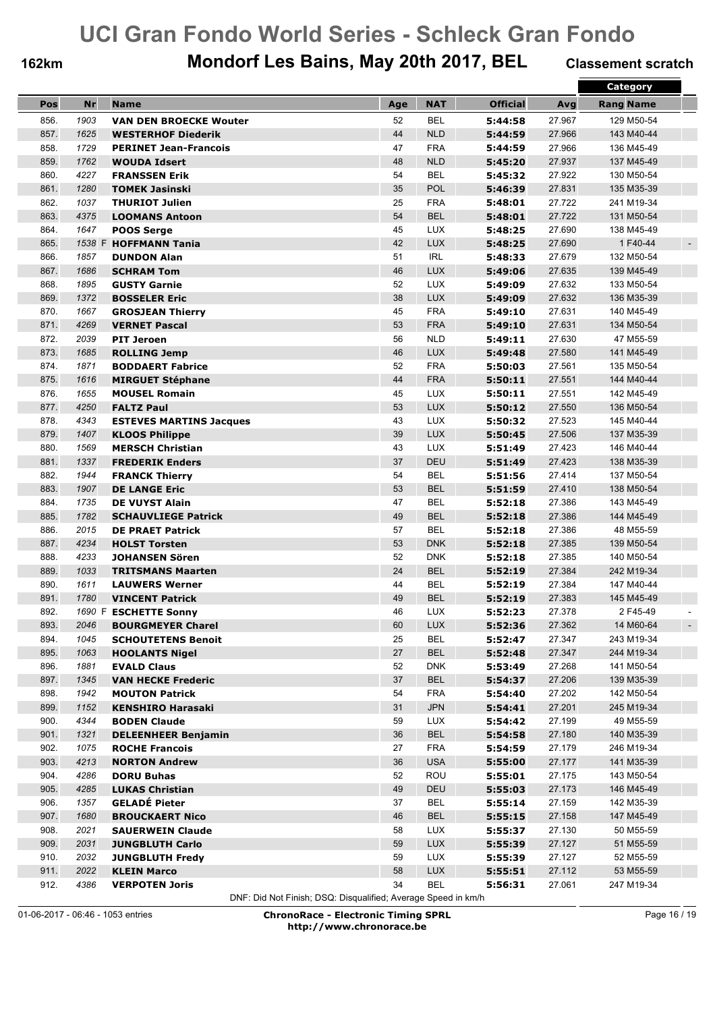## **162km Mondorf Les Bains, May 20th 2017, BEL Classement scratch**

|      |        |                                            |     |            |                 |        | Category                   |
|------|--------|--------------------------------------------|-----|------------|-----------------|--------|----------------------------|
| Pos  | Nr     | <b>Name</b>                                | Age | <b>NAT</b> | <b>Official</b> | Avg    | <b>Rang Name</b>           |
| 856. | 1903   | <b>VAN DEN BROECKE Wouter</b>              | 52  | <b>BEL</b> | 5:44:58         | 27.967 | 129 M50-54                 |
| 857. | 1625   | <b>WESTERHOF Diederik</b>                  | 44  | <b>NLD</b> | 5:44:59         | 27.966 | 143 M40-44                 |
| 858. | 1729   | <b>PERINET Jean-Francois</b>               | 47  | <b>FRA</b> | 5:44:59         | 27.966 | 136 M45-49                 |
| 859. | 1762   | <b>WOUDA Idsert</b>                        | 48  | <b>NLD</b> | 5:45:20         | 27.937 | 137 M45-49                 |
| 860. | 4227   | <b>FRANSSEN Erik</b>                       | 54  | <b>BEL</b> | 5:45:32         | 27.922 | 130 M50-54                 |
| 861. | 1280   | <b>TOMEK Jasinski</b>                      | 35  | POL        | 5:46:39         | 27.831 | 135 M35-39                 |
| 862. | 1037   | <b>THURIOT Julien</b>                      | 25  | <b>FRA</b> | 5:48:01         | 27.722 | 241 M19-34                 |
| 863. | 4375   | <b>LOOMANS Antoon</b>                      | 54  | <b>BEL</b> | 5:48:01         | 27.722 | 131 M50-54                 |
| 864. | 1647   |                                            | 45  | <b>LUX</b> | 5:48:25         | 27.690 | 138 M45-49                 |
| 865. | 1538 F | <b>POOS Serge</b><br><b>HOFFMANN Tania</b> | 42  | LUX        | 5:48:25         | 27.690 | 1 F40-44<br>$\blacksquare$ |
| 866. | 1857   | <b>DUNDON Alan</b>                         | 51  | <b>IRL</b> | 5:48:33         | 27.679 | 132 M50-54                 |
| 867. | 1686   |                                            | 46  | <b>LUX</b> |                 | 27.635 | 139 M45-49                 |
| 868. | 1895   | <b>SCHRAM Tom</b>                          | 52  | <b>LUX</b> | 5:49:06         | 27.632 |                            |
|      |        | <b>GUSTY Garnie</b>                        |     |            | 5:49:09         |        | 133 M50-54                 |
| 869. | 1372   | <b>BOSSELER Eric</b>                       | 38  | <b>LUX</b> | 5:49:09         | 27.632 | 136 M35-39                 |
| 870. | 1667   | <b>GROSJEAN Thierry</b>                    | 45  | <b>FRA</b> | 5:49:10         | 27.631 | 140 M45-49                 |
| 871. | 4269   | <b>VERNET Pascal</b>                       | 53  | <b>FRA</b> | 5:49:10         | 27.631 | 134 M50-54                 |
| 872. | 2039   | <b>PIT Jeroen</b>                          | 56  | <b>NLD</b> | 5:49:11         | 27.630 | 47 M55-59                  |
| 873. | 1685   | <b>ROLLING Jemp</b>                        | 46  | <b>LUX</b> | 5:49:48         | 27.580 | 141 M45-49                 |
| 874. | 1871   | <b>BODDAERT Fabrice</b>                    | 52  | <b>FRA</b> | 5:50:03         | 27.561 | 135 M50-54                 |
| 875. | 1616   | <b>MIRGUET Stéphane</b>                    | 44  | <b>FRA</b> | 5:50:11         | 27.551 | 144 M40-44                 |
| 876. | 1655   | <b>MOUSEL Romain</b>                       | 45  | <b>LUX</b> | 5:50:11         | 27.551 | 142 M45-49                 |
| 877. | 4250   | <b>FALTZ Paul</b>                          | 53  | <b>LUX</b> | 5:50:12         | 27.550 | 136 M50-54                 |
| 878. | 4343   | <b>ESTEVES MARTINS Jacques</b>             | 43  | <b>LUX</b> | 5:50:32         | 27.523 | 145 M40-44                 |
| 879. | 1407   | <b>KLOOS Philippe</b>                      | 39  | <b>LUX</b> | 5:50:45         | 27.506 | 137 M35-39                 |
| 880. | 1569   | <b>MERSCH Christian</b>                    | 43  | <b>LUX</b> | 5:51:49         | 27.423 | 146 M40-44                 |
| 881. | 1337   | <b>FREDERIK Enders</b>                     | 37  | DEU        | 5:51:49         | 27.423 | 138 M35-39                 |
| 882. | 1944   | <b>FRANCK Thierry</b>                      | 54  | <b>BEL</b> | 5:51:56         | 27.414 | 137 M50-54                 |
| 883. | 1907   | <b>DE LANGE Eric</b>                       | 53  | <b>BEL</b> | 5:51:59         | 27.410 | 138 M50-54                 |
| 884. | 1735   | <b>DE VUYST Alain</b>                      | 47  | BEL        | 5:52:18         | 27.386 | 143 M45-49                 |
| 885. | 1782   | <b>SCHAUVLIEGE Patrick</b>                 | 49  | <b>BEL</b> | 5:52:18         | 27.386 | 144 M45-49                 |
| 886. | 2015   | <b>DE PRAET Patrick</b>                    | 57  | <b>BEL</b> | 5:52:18         | 27.386 | 48 M55-59                  |
| 887. | 4234   | <b>HOLST Torsten</b>                       | 53  | <b>DNK</b> | 5:52:18         | 27.385 | 139 M50-54                 |
| 888. | 4233   | <b>JOHANSEN Sören</b>                      | 52  | <b>DNK</b> | 5:52:18         | 27.385 | 140 M50-54                 |
| 889. | 1033   | <b>TRITSMANS Maarten</b>                   | 24  | <b>BEL</b> | 5:52:19         | 27.384 | 242 M19-34                 |
| 890. | 1611   | <b>LAUWERS Werner</b>                      | 44  | <b>BEL</b> | 5:52:19         | 27.384 | 147 M40-44                 |
| 891. | 1780   | <b>VINCENT Patrick</b>                     | 49  | <b>BEL</b> | 5:52:19         | 27.383 | 145 M45-49                 |
| 892. |        | 1690 F ESCHETTE Sonny                      | 46  | <b>LUX</b> | 5:52:23         | 27.378 | 2 F45-49                   |
| 893. | 2046   | <b>BOURGMEYER Charel</b>                   | 60  | <b>LUX</b> | 5:52:36         | 27.362 | 14 M60-64                  |
| 894. | 1045   | <b>SCHOUTETENS Benoit</b>                  | 25  | <b>BEL</b> | 5:52:47         | 27.347 | 243 M19-34                 |
| 895. | 1063   | <b>HOOLANTS Nigel</b>                      | 27  | <b>BEL</b> | 5:52:48         | 27.347 | 244 M19-34                 |
| 896. | 1881   | <b>EVALD Claus</b>                         | 52  | <b>DNK</b> | 5:53:49         | 27.268 | 141 M50-54                 |
| 897. | 1345   | <b>VAN HECKE Frederic</b>                  | 37  | <b>BEL</b> | 5:54:37         | 27.206 | 139 M35-39                 |
| 898. | 1942   | <b>MOUTON Patrick</b>                      | 54  | <b>FRA</b> | 5:54:40         | 27.202 | 142 M50-54                 |
| 899. | 1152   | <b>KENSHIRO Harasaki</b>                   | 31  | <b>JPN</b> | 5:54:41         | 27.201 | 245 M19-34                 |
| 900. | 4344   | <b>BODEN Claude</b>                        | 59  | <b>LUX</b> | 5:54:42         | 27.199 | 49 M55-59                  |
| 901. | 1321   | <b>DELEENHEER Benjamin</b>                 | 36  | <b>BEL</b> | 5:54:58         | 27.180 | 140 M35-39                 |
| 902. | 1075   | <b>ROCHE Francois</b>                      | 27  | <b>FRA</b> | 5:54:59         | 27.179 | 246 M19-34                 |
| 903. | 4213   | <b>NORTON Andrew</b>                       | 36  | <b>USA</b> | 5:55:00         | 27.177 | 141 M35-39                 |
| 904. | 4286   | <b>DORU Buhas</b>                          | 52  | ROU        | 5:55:01         | 27.175 | 143 M50-54                 |
| 905. | 4285   | <b>LUKAS Christian</b>                     | 49  | DEU        | 5:55:03         | 27.173 | 146 M45-49                 |
| 906. | 1357   | <b>GELADÉ Pieter</b>                       | 37  | <b>BEL</b> | 5:55:14         | 27.159 | 142 M35-39                 |
| 907. | 1680   | <b>BROUCKAERT Nico</b>                     | 46  | <b>BEL</b> | 5:55:15         | 27.158 | 147 M45-49                 |
| 908. | 2021   | <b>SAUERWEIN Claude</b>                    | 58  | <b>LUX</b> | 5:55:37         | 27.130 | 50 M55-59                  |
| 909. | 2031   | <b>JUNGBLUTH Carlo</b>                     | 59  | <b>LUX</b> | 5:55:39         | 27.127 | 51 M55-59                  |
| 910. | 2032   | <b>JUNGBLUTH Fredy</b>                     | 59  | <b>LUX</b> | 5:55:39         | 27.127 | 52 M55-59                  |
| 911. | 2022   | <b>KLEIN Marco</b>                         | 58  | <b>LUX</b> | 5:55:51         | 27.112 | 53 M55-59                  |
| 912. | 4386   | <b>VERPOTEN Joris</b>                      | 34  | <b>BEL</b> | 5:56:31         | 27.061 | 247 M19-34                 |
|      |        |                                            |     |            |                 |        |                            |

DNF: Did Not Finish; DSQ: Disqualified; Average Speed in km/h

01-06-2017 - 06:46 - 1053 entries **ChronoRace - Electronic Timing SPRL http://www.chronorace.be**

Page 16 / 19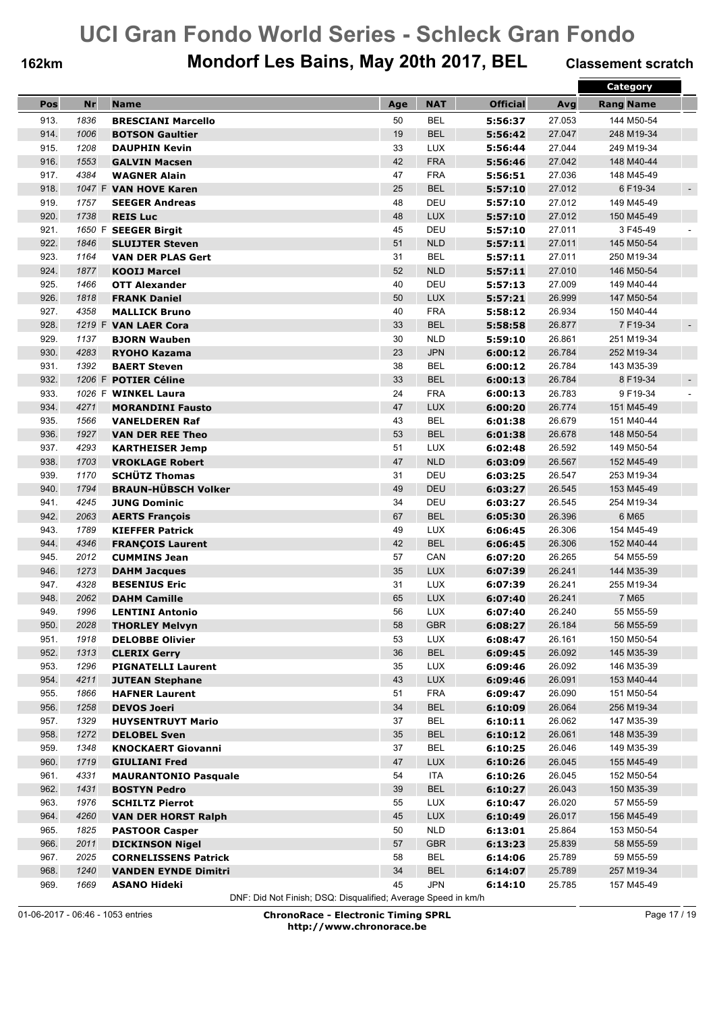## **162km Mondorf Les Bains, May 20th 2017, BEL Classement scratch**

|      |      |                             |     |                   |                    |        | <b>Category</b>                      |
|------|------|-----------------------------|-----|-------------------|--------------------|--------|--------------------------------------|
| Pos  | Nr   | <b>Name</b>                 | Age | <b>NAT</b>        | <b>Official</b>    | Avg    | <b>Rang Name</b>                     |
| 913. | 1836 | <b>BRESCIANI Marcello</b>   | 50  | <b>BEL</b>        | 5:56:37            | 27.053 | 144 M50-54                           |
| 914. | 1006 | <b>BOTSON Gaultier</b>      | 19  | <b>BEL</b>        | 5:56:42            | 27.047 | 248 M19-34                           |
| 915. | 1208 | <b>DAUPHIN Kevin</b>        | 33  | LUX               | 5:56:44            | 27.044 | 249 M19-34                           |
| 916. | 1553 | <b>GALVIN Macsen</b>        | 42  | <b>FRA</b>        | 5:56:46            | 27.042 | 148 M40-44                           |
| 917. | 4384 | <b>WAGNER Alain</b>         | 47  | <b>FRA</b>        | 5:56:51            | 27.036 | 148 M45-49                           |
| 918. |      | 1047 F VAN HOVE Karen       | 25  | <b>BEL</b>        | 5:57:10            | 27.012 | 6 F19-34<br>$\blacksquare$           |
| 919. | 1757 | <b>SEEGER Andreas</b>       | 48  | DEU               | 5:57:10            | 27.012 | 149 M45-49                           |
| 920. | 1738 | <b>REIS Luc</b>             | 48  | <b>LUX</b>        | 5:57:10            | 27.012 | 150 M45-49                           |
| 921. |      | 1650 F SEEGER Birgit        | 45  | DEU               |                    | 27.011 | 3 F45-49                             |
| 922. | 1846 | <b>SLUIJTER Steven</b>      | 51  | <b>NLD</b>        | 5:57:10<br>5:57:11 | 27.011 | 145 M50-54                           |
| 923. | 1164 |                             | 31  | <b>BEL</b>        |                    | 27.011 |                                      |
|      |      | <b>VAN DER PLAS Gert</b>    |     |                   | 5:57:11            |        | 250 M19-34                           |
| 924. | 1877 | <b>KOOIJ Marcel</b>         | 52  | <b>NLD</b><br>DEU | 5:57:11            | 27.010 | 146 M50-54<br>149 M40-44             |
| 925. | 1466 | <b>OTT Alexander</b>        | 40  |                   | 5:57:13            | 27.009 |                                      |
| 926. | 1818 | <b>FRANK Daniel</b>         | 50  | <b>LUX</b>        | 5:57:21            | 26.999 | 147 M50-54                           |
| 927. | 4358 | <b>MALLICK Bruno</b>        | 40  | <b>FRA</b>        | 5:58:12            | 26.934 | 150 M40-44                           |
| 928. |      | 1219 F VAN LAER Cora        | 33  | <b>BEL</b>        | 5:58:58            | 26.877 | 7 F19-34<br>$\overline{\phantom{a}}$ |
| 929. | 1137 | <b>BJORN Wauben</b>         | 30  | <b>NLD</b>        | 5:59:10            | 26.861 | 251 M19-34                           |
| 930. | 4283 | <b>RYOHO Kazama</b>         | 23  | <b>JPN</b>        | 6:00:12            | 26.784 | 252 M19-34                           |
| 931. | 1392 | <b>BAERT Steven</b>         | 38  | <b>BEL</b>        | 6:00:12            | 26.784 | 143 M35-39                           |
| 932. |      | 1206 F POTIER Céline        | 33  | <b>BEL</b>        | 6:00:13            | 26.784 | 8 F19-34<br>$\overline{\phantom{a}}$ |
| 933. |      | 1026 F WINKEL Laura         | 24  | <b>FRA</b>        | 6:00:13            | 26.783 | 9 F19-34                             |
| 934. | 4271 | <b>MORANDINI Fausto</b>     | 47  | <b>LUX</b>        | 6:00:20            | 26.774 | 151 M45-49                           |
| 935. | 1566 | <b>VANELDEREN Raf</b>       | 43  | <b>BEL</b>        | 6:01:38            | 26.679 | 151 M40-44                           |
| 936. | 1927 | <b>VAN DER REE Theo</b>     | 53  | <b>BEL</b>        | 6:01:38            | 26.678 | 148 M50-54                           |
| 937. | 4293 | <b>KARTHEISER Jemp</b>      | 51  | <b>LUX</b>        | 6:02:48            | 26.592 | 149 M50-54                           |
| 938. | 1703 | <b>VROKLAGE Robert</b>      | 47  | <b>NLD</b>        | 6:03:09            | 26.567 | 152 M45-49                           |
| 939. | 1170 | <b>SCHÜTZ Thomas</b>        | 31  | DEU               | 6:03:25            | 26.547 | 253 M19-34                           |
| 940. | 1794 | <b>BRAUN-HÜBSCH Volker</b>  | 49  | DEU               | 6:03:27            | 26.545 | 153 M45-49                           |
| 941. | 4245 | <b>JUNG Dominic</b>         | 34  | DEU               | 6:03:27            | 26.545 | 254 M19-34                           |
| 942. | 2063 | <b>AERTS François</b>       | 67  | <b>BEL</b>        | 6:05:30            | 26.396 | 6 M65                                |
| 943. | 1789 | <b>KIEFFER Patrick</b>      | 49  | <b>LUX</b>        | 6:06:45            | 26.306 | 154 M45-49                           |
| 944. | 4346 | <b>FRANÇOIS Laurent</b>     | 42  | <b>BEL</b>        | 6:06:45            | 26.306 | 152 M40-44                           |
| 945. | 2012 | <b>CUMMINS Jean</b>         | 57  | CAN               | 6:07:20            | 26.265 | 54 M55-59                            |
| 946. | 1273 | <b>DAHM Jacques</b>         | 35  | <b>LUX</b>        | 6:07:39            | 26.241 | 144 M35-39                           |
| 947. | 4328 | <b>BESENIUS Eric</b>        | 31  | <b>LUX</b>        | 6:07:39            | 26.241 | 255 M19-34                           |
| 948. | 2062 | <b>DAHM Camille</b>         | 65  | <b>LUX</b>        | 6:07:40            | 26.241 | 7 M65                                |
| 949. | 1996 | <b>LENTINI Antonio</b>      | 56  | <b>LUX</b>        | 6:07:40            | 26.240 | 55 M55-59                            |
| 950. | 2028 | <b>THORLEY Melvyn</b>       | 58  | GBR               | 6:08:27            | 26.184 | 56 M55-59                            |
| 951. | 1918 | <b>DELOBBE Olivier</b>      | 53  | LUX               | 6:08:47            | 26.161 | 150 M50-54                           |
| 952. | 1313 | <b>CLERIX Gerry</b>         | 36  | <b>BEL</b>        | 6:09:45            | 26.092 | 145 M35-39                           |
| 953. | 1296 | <b>PIGNATELLI Laurent</b>   | 35  | <b>LUX</b>        | 6:09:46            | 26.092 | 146 M35-39                           |
| 954. | 4211 | <b>JUTEAN Stephane</b>      | 43  | <b>LUX</b>        | 6:09:46            | 26.091 | 153 M40-44                           |
| 955. | 1866 | <b>HAFNER Laurent</b>       | 51  | <b>FRA</b>        | 6:09:47            | 26.090 | 151 M50-54                           |
| 956. | 1258 | <b>DEVOS Joeri</b>          | 34  | <b>BEL</b>        | 6:10:09            | 26.064 | 256 M19-34                           |
| 957. | 1329 | <b>HUYSENTRUYT Mario</b>    | 37  | <b>BEL</b>        | 6:10:11            | 26.062 | 147 M35-39                           |
| 958. | 1272 | <b>DELOBEL Sven</b>         | 35  | <b>BEL</b>        | 6:10:12            | 26.061 | 148 M35-39                           |
| 959. | 1348 | <b>KNOCKAERT Giovanni</b>   | 37  | <b>BEL</b>        | 6:10:25            | 26.046 | 149 M35-39                           |
| 960. | 1719 | <b>GIULIANI Fred</b>        | 47  | <b>LUX</b>        | 6:10:26            | 26.045 | 155 M45-49                           |
| 961. | 4331 | <b>MAURANTONIO Pasquale</b> | 54  | ITA               | 6:10:26            | 26.045 | 152 M50-54                           |
| 962. | 1431 | <b>BOSTYN Pedro</b>         | 39  | <b>BEL</b>        | 6:10:27            | 26.043 | 150 M35-39                           |
| 963. | 1976 | <b>SCHILTZ Pierrot</b>      | 55  | <b>LUX</b>        | 6:10:47            | 26.020 | 57 M55-59                            |
| 964. | 4260 | <b>VAN DER HORST Ralph</b>  | 45  | <b>LUX</b>        | 6:10:49            | 26.017 | 156 M45-49                           |
| 965. | 1825 | <b>PASTOOR Casper</b>       | 50  | <b>NLD</b>        | 6:13:01            | 25.864 | 153 M50-54                           |
| 966. | 2011 | <b>DICKINSON Nigel</b>      | 57  | <b>GBR</b>        | 6:13:23            | 25.839 | 58 M55-59                            |
| 967. | 2025 | <b>CORNELISSENS Patrick</b> | 58  | <b>BEL</b>        | 6:14:06            | 25.789 | 59 M55-59                            |
| 968. | 1240 | <b>VANDEN EYNDE Dimitri</b> | 34  | <b>BEL</b>        | 6:14:07            | 25.789 | 257 M19-34                           |
| 969. | 1669 | ASANO Hideki                | 45  | <b>JPN</b>        | 6:14:10            | 25.785 | 157 M45-49                           |
|      |      |                             |     |                   |                    |        |                                      |

DNF: Did Not Finish; DSQ: Disqualified; Average Speed in km/h

01-06-2017 - 06:46 - 1053 entries **ChronoRace - Electronic Timing SPRL http://www.chronorace.be**

Page 17 / 19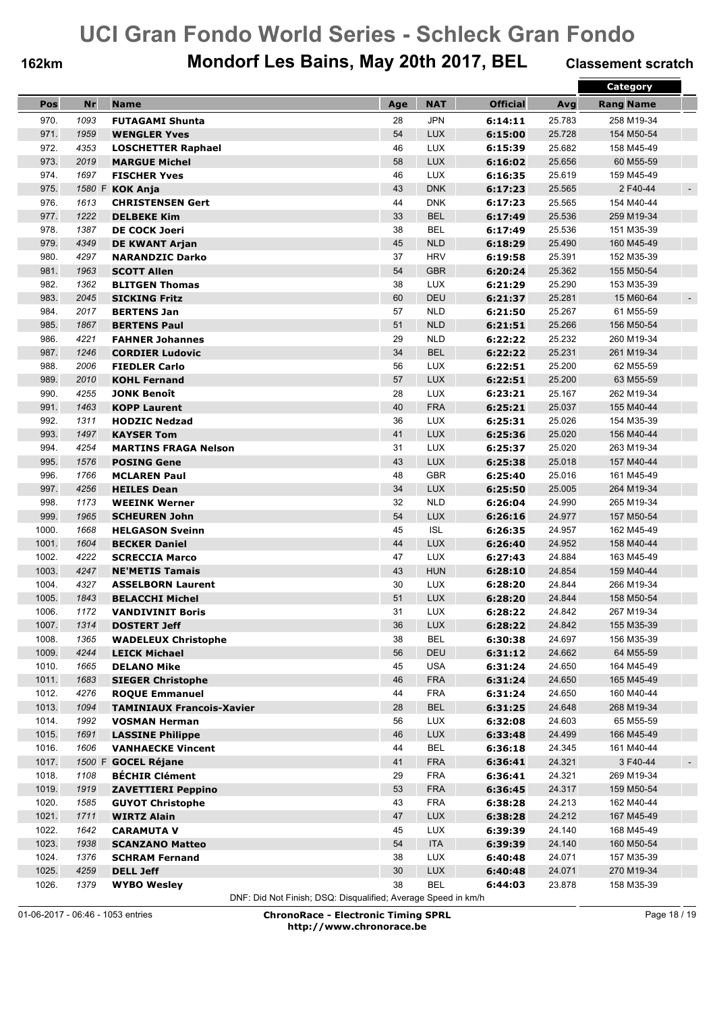## **162km Mondorf Les Bains, May 20th 2017, BEL Classement scratch**

|       |      |                                  |     |                          |                 |        | <b>Category</b>             |
|-------|------|----------------------------------|-----|--------------------------|-----------------|--------|-----------------------------|
| Pos   | Nr   | <b>Name</b>                      | Age | <b>NAT</b>               | <b>Official</b> | Avg    | <b>Rang Name</b>            |
| 970.  | 1093 | <b>FUTAGAMI Shunta</b>           | 28  | <b>JPN</b>               | 6:14:11         | 25.783 | 258 M19-34                  |
|       |      |                                  |     |                          |                 |        |                             |
| 971.  | 1959 | <b>WENGLER Yves</b>              | 54  | <b>LUX</b>               | 6:15:00         | 25.728 | 154 M50-54                  |
| 972.  | 4353 | <b>LOSCHETTER Raphael</b>        | 46  | <b>LUX</b>               | 6:15:39         | 25.682 | 158 M45-49                  |
| 973.  | 2019 | <b>MARGUE Michel</b>             | 58  | <b>LUX</b>               | 6:16:02         | 25.656 | 60 M55-59                   |
| 974.  | 1697 | <b>FISCHER Yves</b>              | 46  | <b>LUX</b>               | 6:16:35         | 25.619 | 159 M45-49                  |
| 975.  |      | 1580 F KOK Anja                  | 43  | <b>DNK</b>               | 6:17:23         | 25.565 | 2 F40-44<br>$\blacksquare$  |
| 976.  | 1613 | <b>CHRISTENSEN Gert</b>          | 44  | <b>DNK</b>               | 6:17:23         | 25.565 | 154 M40-44                  |
| 977.  | 1222 | <b>DELBEKE Kim</b>               | 33  | <b>BEL</b>               | 6:17:49         | 25.536 | 259 M19-34                  |
| 978.  | 1387 | <b>DE COCK Joeri</b>             | 38  | <b>BEL</b>               | 6:17:49         | 25.536 | 151 M35-39                  |
| 979.  | 4349 | <b>DE KWANT Arjan</b>            | 45  | <b>NLD</b>               | 6:18:29         | 25.490 | 160 M45-49                  |
| 980.  | 4297 | <b>NARANDZIC Darko</b>           | 37  | <b>HRV</b>               | 6:19:58         | 25.391 | 152 M35-39                  |
| 981.  | 1963 | <b>SCOTT Allen</b>               | 54  | <b>GBR</b>               | 6:20:24         | 25.362 | 155 M50-54                  |
| 982.  | 1362 | <b>BLITGEN Thomas</b>            | 38  | <b>LUX</b>               | 6:21:29         | 25.290 | 153 M35-39                  |
| 983.  | 2045 | <b>SICKING Fritz</b>             | 60  | <b>DEU</b>               | 6:21:37         | 25.281 | 15 M60-64<br>$\blacksquare$ |
| 984.  | 2017 | <b>BERTENS Jan</b>               | 57  | <b>NLD</b>               | 6:21:50         | 25.267 | 61 M55-59                   |
| 985.  | 1867 | <b>BERTENS Paul</b>              | 51  | <b>NLD</b>               | 6:21:51         | 25.266 | 156 M50-54                  |
| 986.  | 4221 | <b>FAHNER Johannes</b>           | 29  | <b>NLD</b>               | 6:22:22         | 25.232 | 260 M19-34                  |
| 987.  | 1246 | <b>CORDIER Ludovic</b>           | 34  | <b>BEL</b>               | 6:22:22         | 25.231 | 261 M19-34                  |
| 988.  | 2006 | <b>FIEDLER Carlo</b>             | 56  | <b>LUX</b>               | 6:22:51         | 25.200 | 62 M55-59                   |
| 989.  | 2010 | <b>KOHL Fernand</b>              | 57  | <b>LUX</b>               | 6:22:51         | 25.200 | 63 M55-59                   |
| 990.  | 4255 | <b>JONK Benoît</b>               | 28  | <b>LUX</b>               | 6:23:21         | 25.167 | 262 M19-34                  |
| 991.  | 1463 | <b>KOPP Laurent</b>              | 40  | <b>FRA</b>               | 6:25:21         | 25.037 | 155 M40-44                  |
| 992.  | 1311 | <b>HODZIC Nedzad</b>             | 36  | <b>LUX</b>               | 6:25:31         | 25.026 | 154 M35-39                  |
| 993.  | 1497 | <b>KAYSER Tom</b>                | 41  | <b>LUX</b>               | 6:25:36         | 25.020 | 156 M40-44                  |
| 994.  | 4254 | <b>MARTINS FRAGA Nelson</b>      | 31  | <b>LUX</b>               | 6:25:37         | 25.020 | 263 M19-34                  |
|       |      |                                  |     |                          |                 |        |                             |
| 995.  | 1576 | <b>POSING Gene</b>               | 43  | <b>LUX</b><br><b>GBR</b> | 6:25:38         | 25.018 | 157 M40-44                  |
| 996.  | 1766 | <b>MCLAREN Paul</b>              | 48  |                          | 6:25:40         | 25.016 | 161 M45-49                  |
| 997.  | 4256 | <b>HEILES Dean</b>               | 34  | <b>LUX</b>               | 6:25:50         | 25.005 | 264 M19-34                  |
| 998.  | 1173 | <b>WEEINK Werner</b>             | 32  | <b>NLD</b>               | 6:26:04         | 24.990 | 265 M19-34                  |
| 999.  | 1965 | <b>SCHEUREN John</b>             | 54  | <b>LUX</b>               | 6:26:16         | 24.977 | 157 M50-54                  |
| 1000. | 1668 | <b>HELGASON Sveinn</b>           | 45  | <b>ISL</b>               | 6:26:35         | 24.957 | 162 M45-49                  |
| 1001. | 1604 | <b>BECKER Daniel</b>             | 44  | <b>LUX</b>               | 6:26:40         | 24.952 | 158 M40-44                  |
| 1002. | 4222 | <b>SCRECCIA Marco</b>            | 47  | <b>LUX</b>               | 6:27:43         | 24.884 | 163 M45-49                  |
| 1003. | 4247 | <b>NE'METIS Tamais</b>           | 43  | <b>HUN</b>               | 6:28:10         | 24.854 | 159 M40-44                  |
| 1004. | 4327 | <b>ASSELBORN Laurent</b>         | 30  | <b>LUX</b>               | 6:28:20         | 24.844 | 266 M19-34                  |
| 1005. | 1843 | <b>BELACCHI Michel</b>           | 51  | <b>LUX</b>               | 6:28:20         | 24.844 | 158 M50-54                  |
| 1006. | 1172 | <b>VANDIVINIT Boris</b>          | 31  | <b>LUX</b>               | 6:28:22         | 24.842 | 267 M19-34                  |
| 1007. | 1314 | <b>DOSTERT Jeff</b>              | 36  | LUX                      | 6:28:22         | 24.842 | 155 M35-39                  |
| 1008. | 1365 | <b>WADELEUX Christophe</b>       | 38  | <b>BEL</b>               | 6:30:38         | 24.697 | 156 M35-39                  |
| 1009. | 4244 | <b>LEICK Michael</b>             | 56  | DEU                      | 6:31:12         | 24.662 | 64 M55-59                   |
| 1010. | 1665 | <b>DELANO Mike</b>               | 45  | <b>USA</b>               | 6:31:24         | 24.650 | 164 M45-49                  |
| 1011. | 1683 | <b>SIEGER Christophe</b>         | 46  | <b>FRA</b>               | 6:31:24         | 24.650 | 165 M45-49                  |
| 1012. | 4276 | <b>ROQUE Emmanuel</b>            | 44  | <b>FRA</b>               | 6:31:24         | 24.650 | 160 M40-44                  |
| 1013. | 1094 | <b>TAMINIAUX Francois-Xavier</b> | 28  | <b>BEL</b>               | 6:31:25         | 24.648 | 268 M19-34                  |
| 1014. | 1992 | <b>VOSMAN Herman</b>             | 56  | <b>LUX</b>               | 6:32:08         | 24.603 | 65 M55-59                   |
| 1015. | 1691 | <b>LASSINE Philippe</b>          | 46  | <b>LUX</b>               | 6:33:48         | 24.499 | 166 M45-49                  |
| 1016. | 1606 | <b>VANHAECKE Vincent</b>         | 44  | <b>BEL</b>               | 6:36:18         | 24.345 | 161 M40-44                  |
| 1017. |      | 1500 F GOCEL Réjane              | 41  | <b>FRA</b>               | 6:36:41         | 24.321 | 3 F40-44<br>$\sim$          |
| 1018. | 1108 | <b>BÉCHIR Clément</b>            | 29  | <b>FRA</b>               | 6:36:41         | 24.321 | 269 M19-34                  |
| 1019. | 1919 | <b>ZAVETTIERI Peppino</b>        | 53  | <b>FRA</b>               | 6:36:45         | 24.317 | 159 M50-54                  |
| 1020. | 1585 | <b>GUYOT Christophe</b>          | 43  | <b>FRA</b>               | 6:38:28         | 24.213 | 162 M40-44                  |
| 1021. | 1711 | <b>WIRTZ Alain</b>               | 47  | <b>LUX</b>               | 6:38:28         | 24.212 | 167 M45-49                  |
| 1022. | 1642 | <b>CARAMUTA V</b>                | 45  | <b>LUX</b>               | 6:39:39         | 24.140 | 168 M45-49                  |
| 1023. | 1938 | <b>SCANZANO Matteo</b>           | 54  | <b>ITA</b>               | 6:39:39         | 24.140 | 160 M50-54                  |
| 1024. | 1376 | <b>SCHRAM Fernand</b>            | 38  | LUX                      | 6:40:48         | 24.071 | 157 M35-39                  |
| 1025. | 4259 | <b>DELL Jeff</b>                 | 30  | LUX                      | 6:40:48         | 24.071 | 270 M19-34                  |
|       |      |                                  |     |                          |                 |        |                             |
| 1026. | 1379 | <b>WYBO Wesley</b>               | 38  | <b>BEL</b>               | 6:44:03         | 23.878 | 158 M35-39                  |

DNF: Did Not Finish; DSQ: Disqualified; Average Speed in km/h

01-06-2017 - 06:46 - 1053 entries **ChronoRace - Electronic Timing SPRL http://www.chronorace.be**

Page 18 / 19